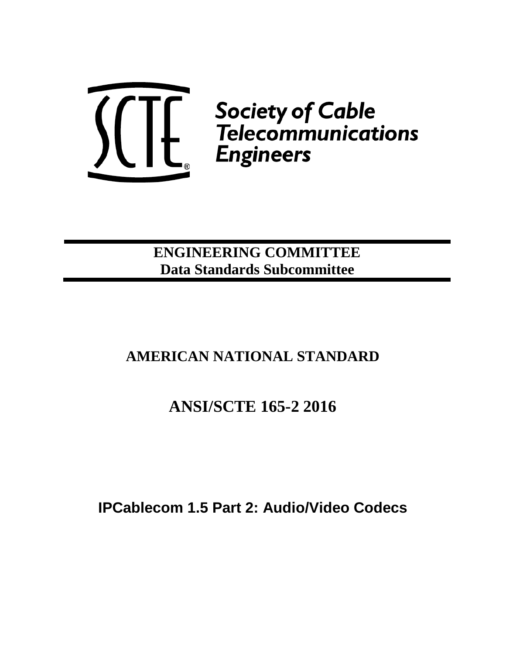

**ENGINEERING COMMITTEE Data Standards Subcommittee**

# **AMERICAN NATIONAL STANDARD**

# **ANSI/SCTE 165-2 2016**

**IPCablecom 1.5 Part 2: Audio/Video Codecs**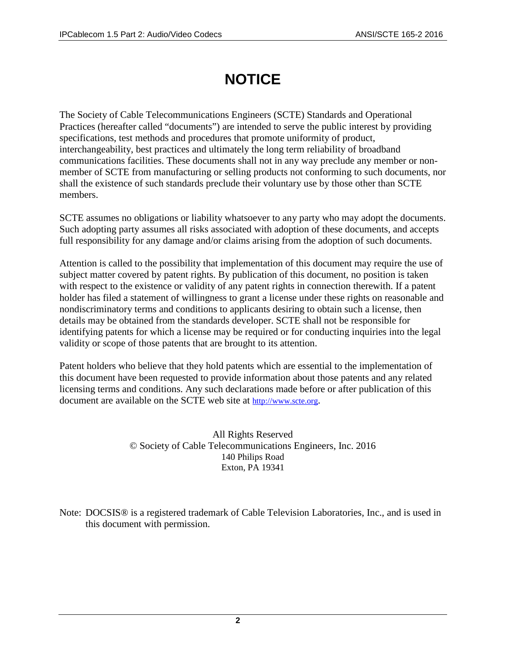# **NOTICE**

The Society of Cable Telecommunications Engineers (SCTE) Standards and Operational Practices (hereafter called "documents") are intended to serve the public interest by providing specifications, test methods and procedures that promote uniformity of product, interchangeability, best practices and ultimately the long term reliability of broadband communications facilities. These documents shall not in any way preclude any member or nonmember of SCTE from manufacturing or selling products not conforming to such documents, nor shall the existence of such standards preclude their voluntary use by those other than SCTE members.

SCTE assumes no obligations or liability whatsoever to any party who may adopt the documents. Such adopting party assumes all risks associated with adoption of these documents, and accepts full responsibility for any damage and/or claims arising from the adoption of such documents.

Attention is called to the possibility that implementation of this document may require the use of subject matter covered by patent rights. By publication of this document, no position is taken with respect to the existence or validity of any patent rights in connection therewith. If a patent holder has filed a statement of willingness to grant a license under these rights on reasonable and nondiscriminatory terms and conditions to applicants desiring to obtain such a license, then details may be obtained from the standards developer. SCTE shall not be responsible for identifying patents for which a license may be required or for conducting inquiries into the legal validity or scope of those patents that are brought to its attention.

Patent holders who believe that they hold patents which are essential to the implementation of this document have been requested to provide information about those patents and any related licensing terms and conditions. Any such declarations made before or after publication of this document are available on the SCTE web site at [http://www.scte.org.](http://www.scte.org/)

> All Rights Reserved © Society of Cable Telecommunications Engineers, Inc. 2016 140 Philips Road Exton, PA 19341

Note: DOCSIS® is a registered trademark of Cable Television Laboratories, Inc., and is used in this document with permission.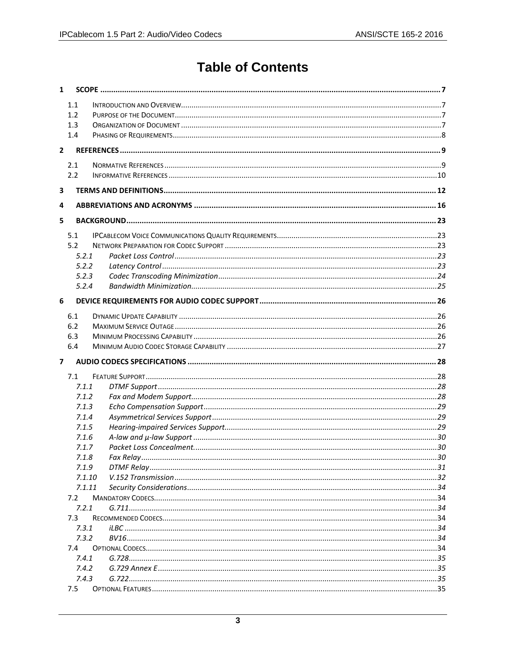# **Table of Contents**

| $\mathbf{1}$   |        |  |
|----------------|--------|--|
|                | 1.1    |  |
|                | 1.2    |  |
|                | 1.3    |  |
|                | 1.4    |  |
| $2^{\circ}$    |        |  |
|                |        |  |
|                | 2.1    |  |
|                | 2.2    |  |
| 3              |        |  |
| 4              |        |  |
| 5              |        |  |
|                | 5.1    |  |
|                | 5.2    |  |
|                | 5.2.1  |  |
|                | 5.2.2  |  |
|                | 5.2.3  |  |
|                | 5.2.4  |  |
| 6              |        |  |
|                |        |  |
|                | 6.1    |  |
|                | 6.2    |  |
|                | 6.3    |  |
|                | 6.4    |  |
| $\overline{7}$ |        |  |
|                | 7.1    |  |
|                | 7.1.1  |  |
|                | 7.1.2  |  |
|                | 7.1.3  |  |
|                | 7.1.4  |  |
|                | 7.1.5  |  |
|                | 7.1.6  |  |
|                | 7.1.7  |  |
|                | 7.1.8  |  |
|                | 7.1.9  |  |
|                | 7.1.10 |  |
|                | 7.1.11 |  |
|                | 7.2    |  |
|                | 7.2.1  |  |
|                | 7.3    |  |
|                | 7.3.1  |  |
|                | 7.3.2  |  |
|                | 7.4    |  |
|                | 7.4.1  |  |
|                | 7.4.2  |  |
|                | 7.4.3  |  |
|                | 7.5    |  |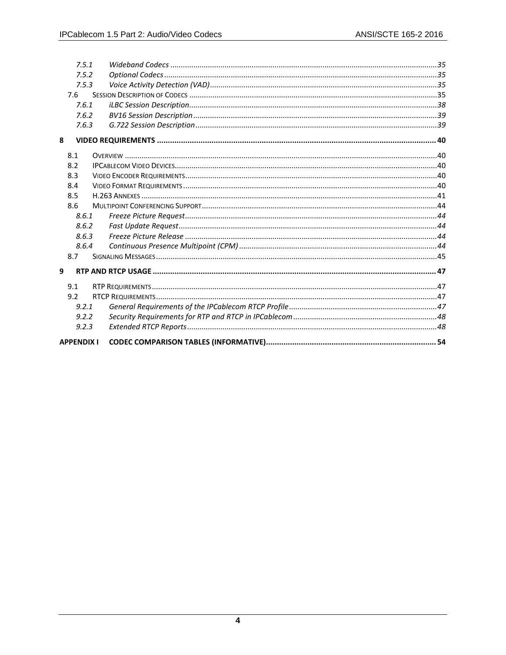|                   | 7.5.1 |  |
|-------------------|-------|--|
|                   | 7.5.2 |  |
|                   | 7.5.3 |  |
|                   | 7.6   |  |
|                   | 7.6.1 |  |
|                   | 7.6.2 |  |
|                   | 7.6.3 |  |
| 8                 |       |  |
|                   | 8.1   |  |
|                   | 8.2   |  |
|                   | 8.3   |  |
|                   | 8.4   |  |
|                   | 8.5   |  |
|                   | 8.6   |  |
|                   | 8.6.1 |  |
|                   | 8.6.2 |  |
|                   | 8.6.3 |  |
|                   | 8.6.4 |  |
|                   | 8.7   |  |
| 9                 |       |  |
|                   | 9.1   |  |
|                   | 9.2   |  |
|                   | 9.2.1 |  |
|                   | 9.2.2 |  |
|                   | 9.2.3 |  |
| <b>APPENDIX I</b> |       |  |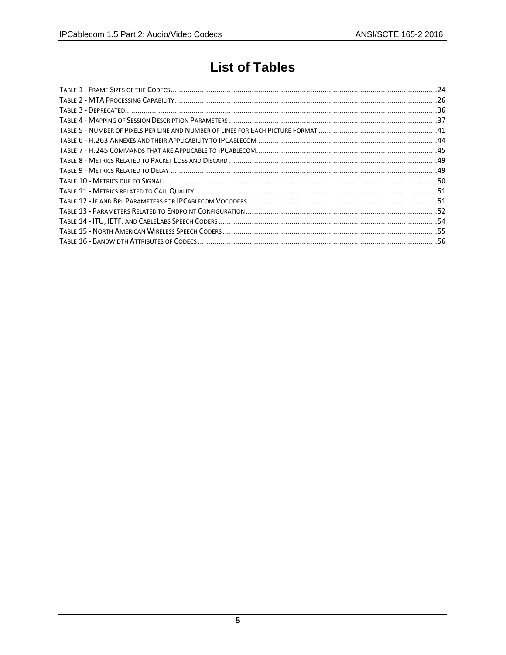# **List of Tables**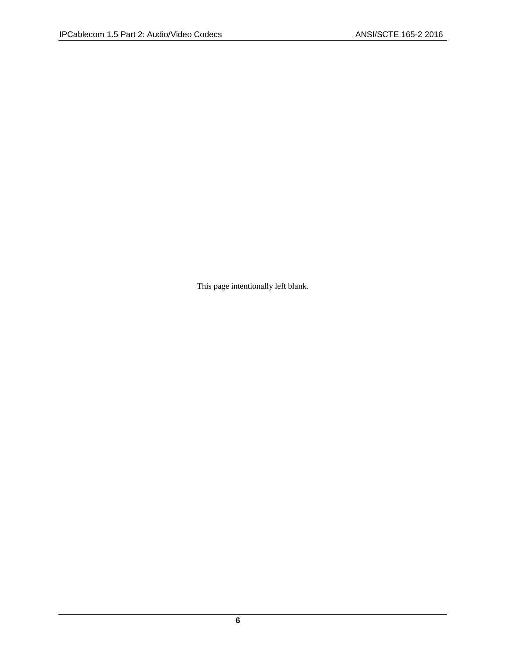This page intentionally left blank.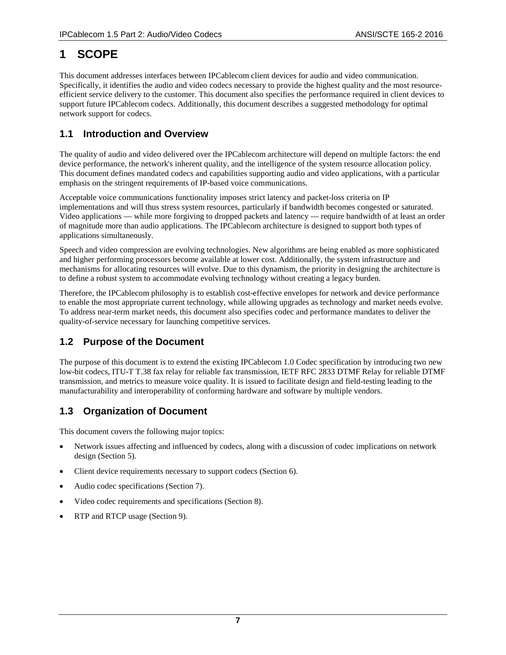# <span id="page-6-0"></span>**1 SCOPE**

This document addresses interfaces between IPCablecom client devices for audio and video communication. Specifically, it identifies the audio and video codecs necessary to provide the highest quality and the most resourceefficient service delivery to the customer. This document also specifies the performance required in client devices to support future IPCablecom codecs. Additionally, this document describes a suggested methodology for optimal network support for codecs.

# <span id="page-6-1"></span>**1.1 Introduction and Overview**

The quality of audio and video delivered over the IPCablecom architecture will depend on multiple factors: the end device performance, the network's inherent quality, and the intelligence of the system resource allocation policy. This document defines mandated codecs and capabilities supporting audio and video applications, with a particular emphasis on the stringent requirements of IP-based voice communications.

Acceptable voice communications functionality imposes strict latency and packet-loss criteria on IP implementations and will thus stress system resources, particularly if bandwidth becomes congested or saturated. Video applications — while more forgiving to dropped packets and latency — require bandwidth of at least an order of magnitude more than audio applications. The IPCablecom architecture is designed to support both types of applications simultaneously.

Speech and video compression are evolving technologies. New algorithms are being enabled as more sophisticated and higher performing processors become available at lower cost. Additionally, the system infrastructure and mechanisms for allocating resources will evolve. Due to this dynamism, the priority in designing the architecture is to define a robust system to accommodate evolving technology without creating a legacy burden.

Therefore, the IPCablecom philosophy is to establish cost-effective envelopes for network and device performance to enable the most appropriate current technology, while allowing upgrades as technology and market needs evolve. To address near-term market needs, this document also specifies codec and performance mandates to deliver the quality-of-service necessary for launching competitive services.

# <span id="page-6-2"></span>**1.2 Purpose of the Document**

The purpose of this document is to extend the existing IPCablecom 1.0 Codec specification by introducing two new low-bit codecs, ITU-T T.38 fax relay for reliable fax transmission, IETF RFC 2833 DTMF Relay for reliable DTMF transmission, and metrics to measure voice quality. It is issued to facilitate design and field-testing leading to the manufacturability and interoperability of conforming hardware and software by multiple vendors.

# <span id="page-6-3"></span>**1.3 Organization of Document**

This document covers the following major topics:

- Network issues affecting and influenced by codecs, along with a discussion of codec implications on network design (Section [5\)](#page-22-0).
- Client device requirements necessary to support codecs (Section [6\)](#page-25-0).
- Audio codec specifications (Sectio[n 7\)](#page-27-0).
- Video codec requirements and specifications (Sectio[n 8\)](#page-39-0).
- RTP and RTCP usage (Section [9\)](#page-46-0).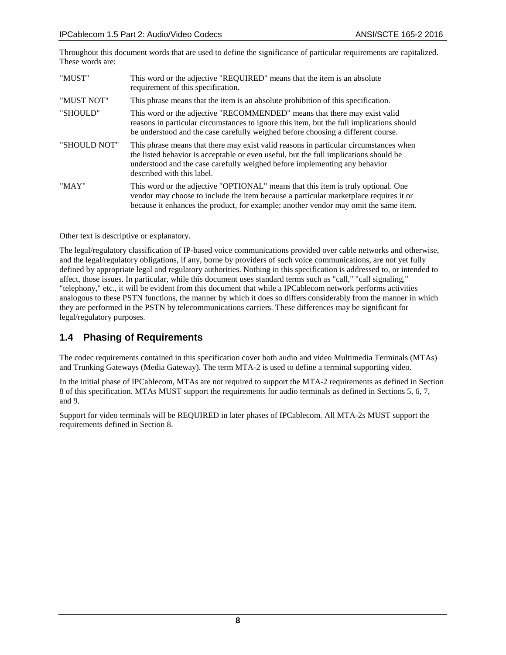Throughout this document words that are used to define the significance of particular requirements are capitalized. These words are:

| "MUST"       | This word or the adjective "REQUIRED" means that the item is an absolute<br>requirement of this specification.                                                                                                                                                                             |
|--------------|--------------------------------------------------------------------------------------------------------------------------------------------------------------------------------------------------------------------------------------------------------------------------------------------|
| "MUST NOT"   | This phrase means that the item is an absolute prohibition of this specification.                                                                                                                                                                                                          |
| "SHOULD"     | This word or the adjective "RECOMMENDED" means that there may exist valid<br>reasons in particular circumstances to ignore this item, but the full implications should<br>be understood and the case carefully weighed before choosing a different course.                                 |
| "SHOULD NOT" | This phrase means that there may exist valid reasons in particular circumstances when<br>the listed behavior is acceptable or even useful, but the full implications should be<br>understood and the case carefully weighed before implementing any behavior<br>described with this label. |
| "MAY"        | This word or the adjective "OPTIONAL" means that this item is truly optional. One<br>vendor may choose to include the item because a particular marketplace requires it or<br>because it enhances the product, for example; another vendor may omit the same item.                         |

Other text is descriptive or explanatory.

The legal/regulatory classification of IP-based voice communications provided over cable networks and otherwise, and the legal/regulatory obligations, if any, borne by providers of such voice communications, are not yet fully defined by appropriate legal and regulatory authorities. Nothing in this specification is addressed to, or intended to affect, those issues. In particular, while this document uses standard terms such as "call," "call signaling," "telephony," etc., it will be evident from this document that while a IPCablecom network performs activities analogous to these PSTN functions, the manner by which it does so differs considerably from the manner in which they are performed in the PSTN by telecommunications carriers. These differences may be significant for legal/regulatory purposes.

# <span id="page-7-0"></span>**1.4 Phasing of Requirements**

The codec requirements contained in this specification cover both audio and video Multimedia Terminals (MTAs) and Trunking Gateways (Media Gateway). The term MTA-2 is used to define a terminal supporting video.

In the initial phase of IPCablecom, MTAs are not required to support the MTA-2 requirements as defined in Section [8](#page-39-0) of this specification. MTAs MUST support the requirements for audio terminals as defined in Sections [5,](#page-22-0) [6,](#page-25-0) [7,](#page-27-0) and [9.](#page-46-0)

Support for video terminals will be REQUIRED in later phases of IPCablecom. All MTA-2s MUST support the requirements defined in Section [8.](#page-39-0)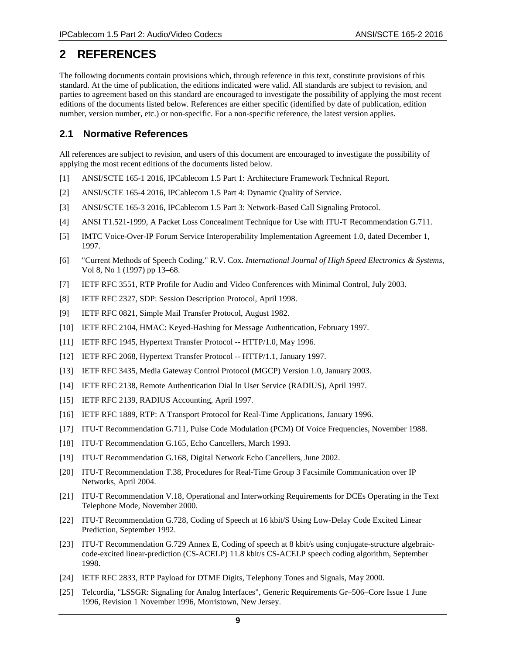# <span id="page-8-0"></span>**2 REFERENCES**

The following documents contain provisions which, through reference in this text, constitute provisions of this standard. At the time of publication, the editions indicated were valid. All standards are subject to revision, and parties to agreement based on this standard are encouraged to investigate the possibility of applying the most recent editions of the documents listed below. References are either specific (identified by date of publication, edition number, version number, etc.) or non-specific. For a non-specific reference, the latest version applies.

## <span id="page-8-1"></span>**2.1 Normative References**

<span id="page-8-11"></span>All references are subject to revision, and users of this document are encouraged to investigate the possibility of applying the most recent editions of the documents listed below.

- [1] ANSI/SCTE 165-1 2016, IPCablecom 1.5 Part 1: Architecture Framework Technical Report.
- <span id="page-8-2"></span>[2] ANSI/SCTE 165-4 2016, IPCablecom 1.5 Part 4: Dynamic Quality of Service.
- <span id="page-8-19"></span>[3] ANSI/SCTE 165-3 2016, IPCablecom 1.5 Part 3: Network-Based Call Signaling Protocol.
- <span id="page-8-18"></span>[4] ANSI T1.521-1999, A Packet Loss Concealment Technique for Use with ITU-T Recommendation G.711.
- <span id="page-8-24"></span>[5] IMTC Voice-Over-IP Forum Service Interoperability Implementation Agreement 1.0, dated December 1, 1997.
- <span id="page-8-26"></span>[6] "Current Methods of Speech Coding." R.V. Cox. *International Journal of High Speed Electronics & Systems*, Vol 8, No 1 (1997) pp 13–68.
- <span id="page-8-12"></span>[7] IETF RFC 3551, RTP Profile for Audio and Video Conferences with Minimal Control, July 2003.
- <span id="page-8-25"></span>[8] IETF RFC 2327, SDP: Session Description Protocol, April 1998.
- <span id="page-8-3"></span>[9] IETF RFC 0821, Simple Mail Transfer Protocol, August 1982.
- <span id="page-8-4"></span>[10] IETF RFC 2104, HMAC: Keyed-Hashing for Message Authentication, February 1997.
- <span id="page-8-5"></span>[11] IETF RFC 1945, Hypertext Transfer Protocol -- HTTP/1.0, May 1996.
- <span id="page-8-6"></span>[12] IETF RFC 2068, Hypertext Transfer Protocol -- HTTP/1.1, January 1997.
- <span id="page-8-7"></span>[13] IETF RFC 3435, Media Gateway Control Protocol (MGCP) Version 1.0, January 2003.
- <span id="page-8-8"></span>[14] IETF RFC 2138, Remote Authentication Dial In User Service (RADIUS), April 1997.
- <span id="page-8-9"></span>[15] IETF RFC 2139, RADIUS Accounting, April 1997.
- <span id="page-8-10"></span>[16] IETF RFC 1889, RTP: A Transport Protocol for Real-Time Applications, January 1996.
- <span id="page-8-21"></span>[17] ITU-T Recommendation G.711, Pulse Code Modulation (PCM) Of Voice Frequencies, November 1988.
- <span id="page-8-14"></span>[18] ITU-T Recommendation G.165, Echo Cancellers, March 1993.
- <span id="page-8-15"></span>[19] ITU-T Recommendation G.168, Digital Network Echo Cancellers, June 2002.
- <span id="page-8-16"></span>[20] ITU-T Recommendation T.38, Procedures for Real-Time Group 3 Facsimile Communication over IP Networks, April 2004.
- <span id="page-8-17"></span>[21] ITU-T Recommendation V.18, Operational and Interworking Requirements for DCEs Operating in the Text Telephone Mode, November 2000.
- <span id="page-8-22"></span>[22] ITU-T Recommendation G.728, Coding of Speech at 16 kbit/S Using Low-Delay Code Excited Linear Prediction, September 1992.
- <span id="page-8-23"></span>[23] ITU-T Recommendation G.729 Annex E, Coding of speech at 8 kbit/s using conjugate-structure algebraiccode-excited linear-prediction (CS-ACELP) 11.8 kbit/s CS-ACELP speech coding algorithm, September 1998.
- <span id="page-8-13"></span>[24] IETF RFC 2833, RTP Payload for DTMF Digits, Telephony Tones and Signals, May 2000.
- <span id="page-8-20"></span>[25] Telcordia, "LSSGR: Signaling for Analog Interfaces", Generic Requirements Gr–506–Core Issue 1 June 1996, Revision 1 November 1996, Morristown, New Jersey.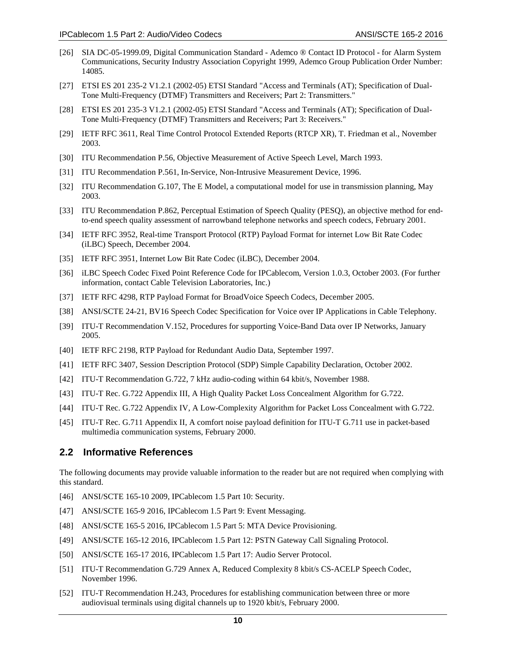- [26] SIA DC-05-1999.09, Digital Communication Standard Ademco ® Contact ID Protocol for Alarm System Communications, Security Industry Association Copyright 1999, Ademco Group Publication Order Number: 14085.
- [27] ETSI ES 201 235-2 V1.2.1 (2002-05) ETSI Standard "Access and Terminals (AT); Specification of Dual-Tone Multi-Frequency (DTMF) Transmitters and Receivers; Part 2: Transmitters."
- [28] ETSI ES 201 235-3 V1.2.1 (2002-05) ETSI Standard "Access and Terminals (AT); Specification of Dual-Tone Multi-Frequency (DTMF) Transmitters and Receivers; Part 3: Receivers."
- <span id="page-9-14"></span>[29] IETF RFC 3611, Real Time Control Protocol Extended Reports (RTCP XR), T. Friedman et al., November 2003.
- <span id="page-9-16"></span>[30] ITU Recommendation P.56, Objective Measurement of Active Speech Level, March 1993.
- <span id="page-9-17"></span>[31] ITU Recommendation P.561, In-Service, Non-Intrusive Measurement Device, 1996.
- <span id="page-9-18"></span>[32] ITU Recommendation G.107, The E Model, a computational model for use in transmission planning, May 2003.
- <span id="page-9-19"></span>[33] ITU Recommendation P.862, Perceptual Estimation of Speech Quality (PESQ), an objective method for endto-end speech quality assessment of narrowband telephone networks and speech codecs, February 2001.
- <span id="page-9-2"></span>[34] IETF RFC 3952, Real-time Transport Protocol (RTP) Payload Format for internet Low Bit Rate Codec (iLBC) Speech, December 2004.
- <span id="page-9-9"></span>[35] IETF RFC 3951, Internet Low Bit Rate Codec (iLBC), December 2004.
- <span id="page-9-10"></span>[36] iLBC Speech Codec Fixed Point Reference Code for IPCablecom, Version 1.0.3, October 2003. (For further information, contact Cable Television Laboratories, Inc.)
- <span id="page-9-11"></span>[37] IETF RFC 4298, RTP Payload Format for BroadVoice Speech Codecs, December 2005.
- <span id="page-9-3"></span>[38] ANSI/SCTE 24-21, BV16 Speech Codec Specification for Voice over IP Applications in Cable Telephony.
- <span id="page-9-1"></span>[39] ITU-T Recommendation V.152, Procedures for supporting Voice-Band Data over IP Networks, January 2005.
- <span id="page-9-7"></span>[40] IETF RFC 2198, RTP Payload for Redundant Audio Data, September 1997.
- <span id="page-9-8"></span>[41] IETF RFC 3407, Session Description Protocol (SDP) Simple Capability Declaration, October 2002.
- <span id="page-9-12"></span>[42] ITU-T Recommendation G.722, 7 kHz audio-coding within 64 kbit/s, November 1988.
- <span id="page-9-4"></span>[43] ITU-T Rec. G.722 Appendix III, A High Quality Packet Loss Concealment Algorithm for G.722.
- <span id="page-9-5"></span>[44] ITU-T Rec. G.722 Appendix IV, A Low-Complexity Algorithm for Packet Loss Concealment with G.722.
- <span id="page-9-13"></span>[45] ITU-T Rec. G.711 Appendix II, A comfort noise payload definition for ITU-T G.711 use in packet-based multimedia communication systems, February 2000.

#### <span id="page-9-0"></span>**2.2 Informative References**

The following documents may provide valuable information to the reader but are not required when complying with this standard.

- <span id="page-9-6"></span>[46] ANSI/SCTE 165-10 2009, IPCablecom 1.5 Part 10: Security.
- [47] ANSI/SCTE 165-9 2016, IPCablecom 1.5 Part 9: Event Messaging.
- [48] ANSI/SCTE 165-5 2016, IPCablecom 1.5 Part 5: MTA Device Provisioning.
- <span id="page-9-15"></span>[49] ANSI/SCTE 165-12 2016, IPCablecom 1.5 Part 12: PSTN Gateway Call Signaling Protocol.
- [50] ANSI/SCTE 165-17 2016, IPCablecom 1.5 Part 17: Audio Server Protocol.
- [51] ITU-T Recommendation G.729 Annex A, Reduced Complexity 8 kbit/s CS-ACELP Speech Codec, November 1996.
- [52] ITU-T Recommendation H.243, Procedures for establishing communication between three or more audiovisual terminals using digital channels up to 1920 kbit/s, February 2000.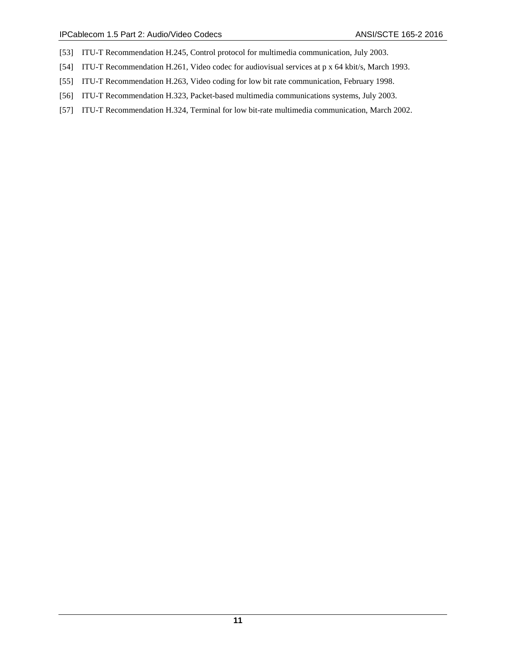- <span id="page-10-2"></span>[53] ITU-T Recommendation H.245, Control protocol for multimedia communication, July 2003.
- <span id="page-10-0"></span>[54] ITU-T Recommendation H.261, Video codec for audiovisual services at p x 64 kbit/s, March 1993.
- <span id="page-10-1"></span>[55] ITU-T Recommendation H.263, Video coding for low bit rate communication, February 1998.
- <span id="page-10-3"></span>[56] ITU-T Recommendation H.323, Packet-based multimedia communications systems, July 2003.
- <span id="page-10-4"></span>[57] ITU-T Recommendation H.324, Terminal for low bit-rate multimedia communication, March 2002.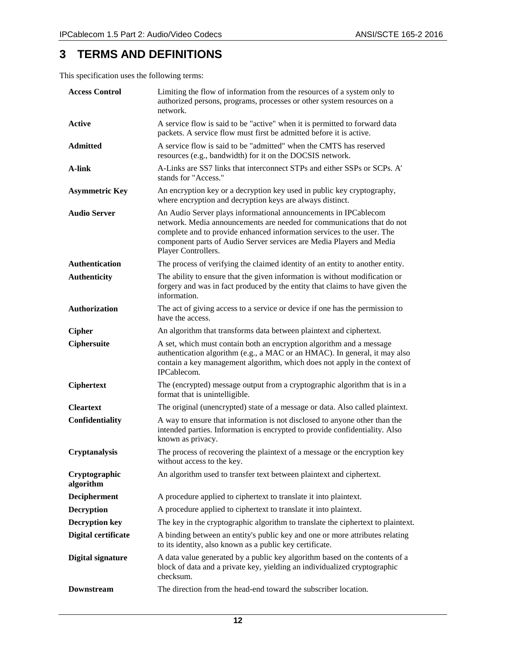# <span id="page-11-0"></span>**3 TERMS AND DEFINITIONS**

This specification uses the following terms:

| <b>Access Control</b>      | Limiting the flow of information from the resources of a system only to<br>authorized persons, programs, processes or other system resources on a<br>network.                                                                                                                                                      |
|----------------------------|--------------------------------------------------------------------------------------------------------------------------------------------------------------------------------------------------------------------------------------------------------------------------------------------------------------------|
| <b>Active</b>              | A service flow is said to be "active" when it is permitted to forward data<br>packets. A service flow must first be admitted before it is active.                                                                                                                                                                  |
| <b>Admitted</b>            | A service flow is said to be "admitted" when the CMTS has reserved<br>resources (e.g., bandwidth) for it on the DOCSIS network.                                                                                                                                                                                    |
| A-link                     | A-Links are SS7 links that interconnect STPs and either SSPs or SCPs. A'<br>stands for "Access."                                                                                                                                                                                                                   |
| <b>Asymmetric Key</b>      | An encryption key or a decryption key used in public key cryptography,<br>where encryption and decryption keys are always distinct.                                                                                                                                                                                |
| <b>Audio Server</b>        | An Audio Server plays informational announcements in IPCablecom<br>network. Media announcements are needed for communications that do not<br>complete and to provide enhanced information services to the user. The<br>component parts of Audio Server services are Media Players and Media<br>Player Controllers. |
| <b>Authentication</b>      | The process of verifying the claimed identity of an entity to another entity.                                                                                                                                                                                                                                      |
| Authenticity               | The ability to ensure that the given information is without modification or<br>forgery and was in fact produced by the entity that claims to have given the<br>information.                                                                                                                                        |
| <b>Authorization</b>       | The act of giving access to a service or device if one has the permission to<br>have the access.                                                                                                                                                                                                                   |
| <b>Cipher</b>              | An algorithm that transforms data between plaintext and ciphertext.                                                                                                                                                                                                                                                |
| Ciphersuite                | A set, which must contain both an encryption algorithm and a message<br>authentication algorithm (e.g., a MAC or an HMAC). In general, it may also<br>contain a key management algorithm, which does not apply in the context of<br>IPCablecom.                                                                    |
| <b>Ciphertext</b>          | The (encrypted) message output from a cryptographic algorithm that is in a<br>format that is unintelligible.                                                                                                                                                                                                       |
| <b>Cleartext</b>           | The original (unencrypted) state of a message or data. Also called plaintext.                                                                                                                                                                                                                                      |
| Confidentiality            | A way to ensure that information is not disclosed to anyone other than the<br>intended parties. Information is encrypted to provide confidentiality. Also<br>known as privacy.                                                                                                                                     |
| Cryptanalysis              | The process of recovering the plaintext of a message or the encryption key<br>without access to the key.                                                                                                                                                                                                           |
| Cryptographic<br>algorithm | An algorithm used to transfer text between plaintext and ciphertext.                                                                                                                                                                                                                                               |
| Decipherment               | A procedure applied to ciphertext to translate it into plaintext.                                                                                                                                                                                                                                                  |
| <b>Decryption</b>          | A procedure applied to ciphertext to translate it into plaintext.                                                                                                                                                                                                                                                  |
| <b>Decryption key</b>      | The key in the cryptographic algorithm to translate the ciphertext to plaintext.                                                                                                                                                                                                                                   |
| <b>Digital certificate</b> | A binding between an entity's public key and one or more attributes relating<br>to its identity, also known as a public key certificate.                                                                                                                                                                           |
| <b>Digital signature</b>   | A data value generated by a public key algorithm based on the contents of a<br>block of data and a private key, yielding an individualized cryptographic<br>checksum.                                                                                                                                              |
| Downstream                 | The direction from the head-end toward the subscriber location.                                                                                                                                                                                                                                                    |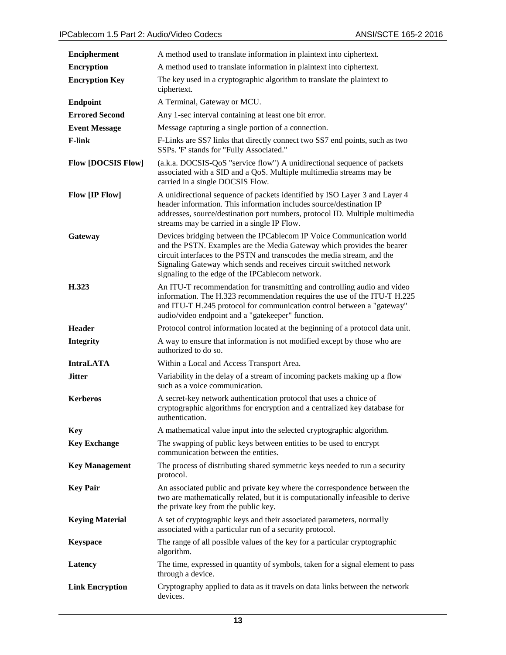| Encipherment              | A method used to translate information in plaintext into ciphertext.                                                                                                                                                                                                                                                                                 |
|---------------------------|------------------------------------------------------------------------------------------------------------------------------------------------------------------------------------------------------------------------------------------------------------------------------------------------------------------------------------------------------|
| <b>Encryption</b>         | A method used to translate information in plaintext into ciphertext.                                                                                                                                                                                                                                                                                 |
| <b>Encryption Key</b>     | The key used in a cryptographic algorithm to translate the plaintext to<br>ciphertext.                                                                                                                                                                                                                                                               |
| <b>Endpoint</b>           | A Terminal, Gateway or MCU.                                                                                                                                                                                                                                                                                                                          |
| <b>Errored Second</b>     | Any 1-sec interval containing at least one bit error.                                                                                                                                                                                                                                                                                                |
| <b>Event Message</b>      | Message capturing a single portion of a connection.                                                                                                                                                                                                                                                                                                  |
| <b>F-link</b>             | F-Links are SS7 links that directly connect two SS7 end points, such as two<br>SSPs. 'F' stands for "Fully Associated."                                                                                                                                                                                                                              |
| <b>Flow [DOCSIS Flow]</b> | (a.k.a. DOCSIS-QoS "service flow") A unidirectional sequence of packets<br>associated with a SID and a QoS. Multiple multimedia streams may be<br>carried in a single DOCSIS Flow.                                                                                                                                                                   |
| <b>Flow [IP Flow]</b>     | A unidirectional sequence of packets identified by ISO Layer 3 and Layer 4<br>header information. This information includes source/destination IP<br>addresses, source/destination port numbers, protocol ID. Multiple multimedia<br>streams may be carried in a single IP Flow.                                                                     |
| Gateway                   | Devices bridging between the IPCablecom IP Voice Communication world<br>and the PSTN. Examples are the Media Gateway which provides the bearer<br>circuit interfaces to the PSTN and transcodes the media stream, and the<br>Signaling Gateway which sends and receives circuit switched network<br>signaling to the edge of the IPCablecom network. |
| H.323                     | An ITU-T recommendation for transmitting and controlling audio and video<br>information. The H.323 recommendation requires the use of the ITU-T H.225<br>and ITU-T H.245 protocol for communication control between a "gateway"<br>audio/video endpoint and a "gatekeeper" function.                                                                 |
| <b>Header</b>             | Protocol control information located at the beginning of a protocol data unit.                                                                                                                                                                                                                                                                       |
| <b>Integrity</b>          | A way to ensure that information is not modified except by those who are<br>authorized to do so.                                                                                                                                                                                                                                                     |
| <b>IntraLATA</b>          | Within a Local and Access Transport Area.                                                                                                                                                                                                                                                                                                            |
| <b>Jitter</b>             | Variability in the delay of a stream of incoming packets making up a flow<br>such as a voice communication.                                                                                                                                                                                                                                          |
| <b>Kerberos</b>           | A secret-key network authentication protocol that uses a choice of<br>cryptographic algorithms for encryption and a centralized key database for<br>authentication.                                                                                                                                                                                  |
| <b>Key</b>                | A mathematical value input into the selected cryptographic algorithm.                                                                                                                                                                                                                                                                                |
| <b>Key Exchange</b>       | The swapping of public keys between entities to be used to encrypt<br>communication between the entities.                                                                                                                                                                                                                                            |
| <b>Key Management</b>     | The process of distributing shared symmetric keys needed to run a security<br>protocol.                                                                                                                                                                                                                                                              |
| <b>Key Pair</b>           | An associated public and private key where the correspondence between the<br>two are mathematically related, but it is computationally infeasible to derive<br>the private key from the public key.                                                                                                                                                  |
| <b>Keying Material</b>    | A set of cryptographic keys and their associated parameters, normally<br>associated with a particular run of a security protocol.                                                                                                                                                                                                                    |
| <b>Keyspace</b>           | The range of all possible values of the key for a particular cryptographic<br>algorithm.                                                                                                                                                                                                                                                             |
| Latency                   | The time, expressed in quantity of symbols, taken for a signal element to pass                                                                                                                                                                                                                                                                       |
|                           | through a device.                                                                                                                                                                                                                                                                                                                                    |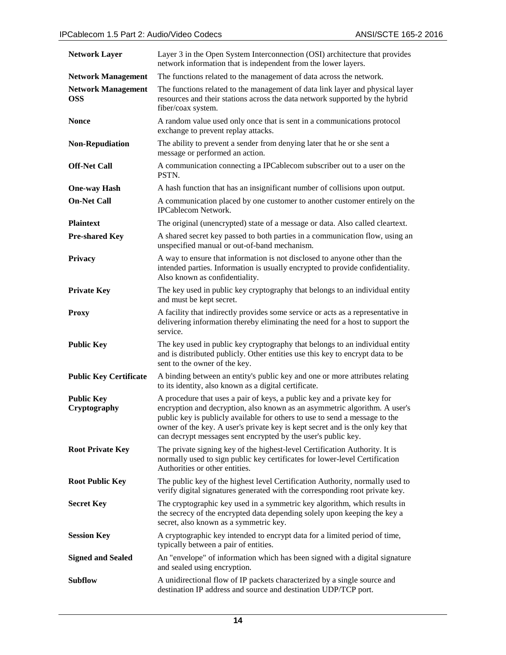| <b>Network Layer</b>                    | Layer 3 in the Open System Interconnection (OSI) architecture that provides<br>network information that is independent from the lower layers.                                                                                                                                                                                                                                            |
|-----------------------------------------|------------------------------------------------------------------------------------------------------------------------------------------------------------------------------------------------------------------------------------------------------------------------------------------------------------------------------------------------------------------------------------------|
| <b>Network Management</b>               | The functions related to the management of data across the network.                                                                                                                                                                                                                                                                                                                      |
| <b>Network Management</b><br><b>OSS</b> | The functions related to the management of data link layer and physical layer<br>resources and their stations across the data network supported by the hybrid<br>fiber/coax system.                                                                                                                                                                                                      |
| Nonce                                   | A random value used only once that is sent in a communications protocol<br>exchange to prevent replay attacks.                                                                                                                                                                                                                                                                           |
| <b>Non-Repudiation</b>                  | The ability to prevent a sender from denying later that he or she sent a<br>message or performed an action.                                                                                                                                                                                                                                                                              |
| <b>Off-Net Call</b>                     | A communication connecting a IPCablecom subscriber out to a user on the<br>PSTN.                                                                                                                                                                                                                                                                                                         |
| <b>One-way Hash</b>                     | A hash function that has an insignificant number of collisions upon output.                                                                                                                                                                                                                                                                                                              |
| <b>On-Net Call</b>                      | A communication placed by one customer to another customer entirely on the<br><b>IPCablecom Network.</b>                                                                                                                                                                                                                                                                                 |
| <b>Plaintext</b>                        | The original (unencrypted) state of a message or data. Also called cleartext.                                                                                                                                                                                                                                                                                                            |
| <b>Pre-shared Key</b>                   | A shared secret key passed to both parties in a communication flow, using an<br>unspecified manual or out-of-band mechanism.                                                                                                                                                                                                                                                             |
| Privacy                                 | A way to ensure that information is not disclosed to anyone other than the<br>intended parties. Information is usually encrypted to provide confidentiality.<br>Also known as confidentiality.                                                                                                                                                                                           |
| <b>Private Key</b>                      | The key used in public key cryptography that belongs to an individual entity<br>and must be kept secret.                                                                                                                                                                                                                                                                                 |
| <b>Proxy</b>                            | A facility that indirectly provides some service or acts as a representative in<br>delivering information thereby eliminating the need for a host to support the<br>service.                                                                                                                                                                                                             |
| <b>Public Key</b>                       | The key used in public key cryptography that belongs to an individual entity<br>and is distributed publicly. Other entities use this key to encrypt data to be<br>sent to the owner of the key.                                                                                                                                                                                          |
| <b>Public Key Certificate</b>           | A binding between an entity's public key and one or more attributes relating<br>to its identity, also known as a digital certificate.                                                                                                                                                                                                                                                    |
| <b>Public Key</b><br>Cryptography       | A procedure that uses a pair of keys, a public key and a private key for<br>encryption and decryption, also known as an asymmetric algorithm. A user's<br>public key is publicly available for others to use to send a message to the<br>owner of the key. A user's private key is kept secret and is the only key that<br>can decrypt messages sent encrypted by the user's public key. |
| <b>Root Private Key</b>                 | The private signing key of the highest-level Certification Authority. It is<br>normally used to sign public key certificates for lower-level Certification<br>Authorities or other entities.                                                                                                                                                                                             |
| <b>Root Public Key</b>                  | The public key of the highest level Certification Authority, normally used to<br>verify digital signatures generated with the corresponding root private key.                                                                                                                                                                                                                            |
| <b>Secret Key</b>                       | The cryptographic key used in a symmetric key algorithm, which results in<br>the secrecy of the encrypted data depending solely upon keeping the key a<br>secret, also known as a symmetric key.                                                                                                                                                                                         |
| <b>Session Key</b>                      | A cryptographic key intended to encrypt data for a limited period of time,<br>typically between a pair of entities.                                                                                                                                                                                                                                                                      |
| <b>Signed and Sealed</b>                | An "envelope" of information which has been signed with a digital signature<br>and sealed using encryption.                                                                                                                                                                                                                                                                              |
| <b>Subflow</b>                          | A unidirectional flow of IP packets characterized by a single source and<br>destination IP address and source and destination UDP/TCP port.                                                                                                                                                                                                                                              |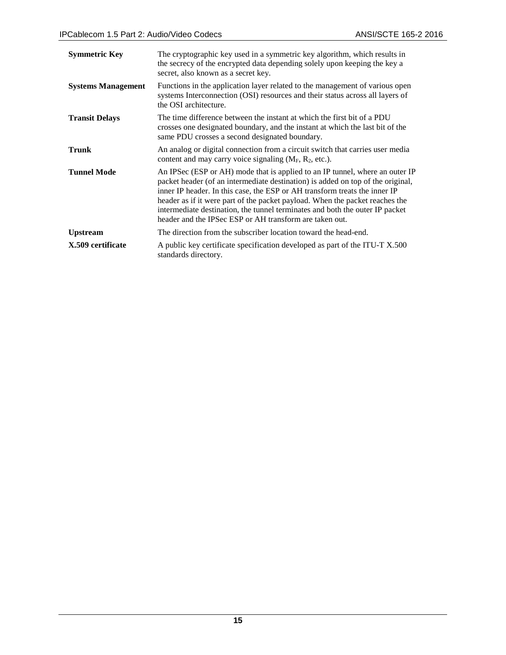| <b>Symmetric Key</b>      | The cryptographic key used in a symmetric key algorithm, which results in<br>the secrecy of the encrypted data depending solely upon keeping the key a<br>secret, also known as a secret key.                                                                                                                                                                                                                                                                            |
|---------------------------|--------------------------------------------------------------------------------------------------------------------------------------------------------------------------------------------------------------------------------------------------------------------------------------------------------------------------------------------------------------------------------------------------------------------------------------------------------------------------|
| <b>Systems Management</b> | Functions in the application layer related to the management of various open<br>systems Interconnection (OSI) resources and their status across all layers of<br>the OSI architecture.                                                                                                                                                                                                                                                                                   |
| <b>Transit Delays</b>     | The time difference between the instant at which the first bit of a PDU<br>crosses one designated boundary, and the instant at which the last bit of the<br>same PDU crosses a second designated boundary.                                                                                                                                                                                                                                                               |
| Trunk                     | An analog or digital connection from a circuit switch that carries user media<br>content and may carry voice signaling $(M_F, R_2, etc.).$                                                                                                                                                                                                                                                                                                                               |
| <b>Tunnel Mode</b>        | An IPSec (ESP or AH) mode that is applied to an IP tunnel, where an outer IP<br>packet header (of an intermediate destination) is added on top of the original,<br>inner IP header. In this case, the ESP or AH transform treats the inner IP<br>header as if it were part of the packet payload. When the packet reaches the<br>intermediate destination, the tunnel terminates and both the outer IP packet<br>header and the IPSec ESP or AH transform are taken out. |
| <b>Upstream</b>           | The direction from the subscriber location toward the head-end.                                                                                                                                                                                                                                                                                                                                                                                                          |
| X.509 certificate         | A public key certificate specification developed as part of the ITU-T X.500<br>standards directory.                                                                                                                                                                                                                                                                                                                                                                      |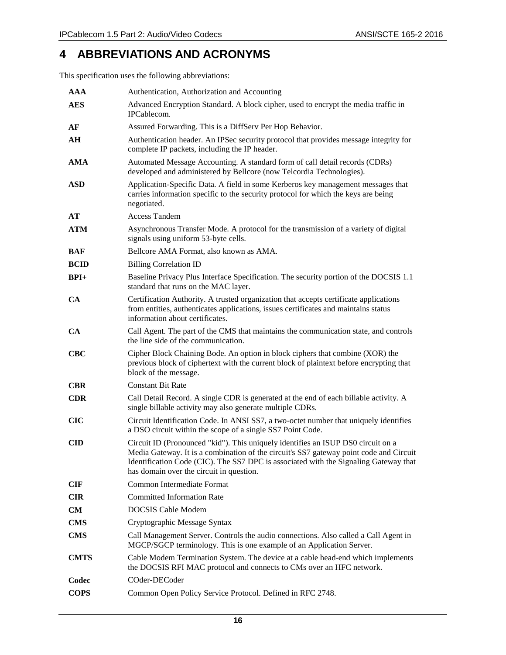# <span id="page-15-0"></span>**4 ABBREVIATIONS AND ACRONYMS**

This specification uses the following abbreviations:

| <b>AAA</b>    | Authentication, Authorization and Accounting                                                                                                                                                                                                                                                                   |
|---------------|----------------------------------------------------------------------------------------------------------------------------------------------------------------------------------------------------------------------------------------------------------------------------------------------------------------|
| <b>AES</b>    | Advanced Encryption Standard. A block cipher, used to encrypt the media traffic in<br>IPCablecom.                                                                                                                                                                                                              |
| AF            | Assured Forwarding. This is a DiffServ Per Hop Behavior.                                                                                                                                                                                                                                                       |
| AН            | Authentication header. An IPSec security protocol that provides message integrity for<br>complete IP packets, including the IP header.                                                                                                                                                                         |
| <b>AMA</b>    | Automated Message Accounting. A standard form of call detail records (CDRs)<br>developed and administered by Bellcore (now Telcordia Technologies).                                                                                                                                                            |
| <b>ASD</b>    | Application-Specific Data. A field in some Kerberos key management messages that<br>carries information specific to the security protocol for which the keys are being<br>negotiated.                                                                                                                          |
| AT            | <b>Access Tandem</b>                                                                                                                                                                                                                                                                                           |
| <b>ATM</b>    | Asynchronous Transfer Mode. A protocol for the transmission of a variety of digital<br>signals using uniform 53-byte cells.                                                                                                                                                                                    |
| <b>BAF</b>    | Bellcore AMA Format, also known as AMA.                                                                                                                                                                                                                                                                        |
| <b>BCID</b>   | <b>Billing Correlation ID</b>                                                                                                                                                                                                                                                                                  |
| $BPI+$        | Baseline Privacy Plus Interface Specification. The security portion of the DOCSIS 1.1<br>standard that runs on the MAC layer.                                                                                                                                                                                  |
| <b>CA</b>     | Certification Authority. A trusted organization that accepts certificate applications<br>from entities, authenticates applications, issues certificates and maintains status<br>information about certificates.                                                                                                |
| <b>CA</b>     | Call Agent. The part of the CMS that maintains the communication state, and controls<br>the line side of the communication.                                                                                                                                                                                    |
| <b>CBC</b>    | Cipher Block Chaining Bode. An option in block ciphers that combine (XOR) the<br>previous block of ciphertext with the current block of plaintext before encrypting that<br>block of the message.                                                                                                              |
| <b>CBR</b>    | <b>Constant Bit Rate</b>                                                                                                                                                                                                                                                                                       |
| <b>CDR</b>    | Call Detail Record. A single CDR is generated at the end of each billable activity. A<br>single billable activity may also generate multiple CDRs.                                                                                                                                                             |
| <b>CIC</b>    | Circuit Identification Code. In ANSI SS7, a two-octet number that uniquely identifies<br>a DSO circuit within the scope of a single SS7 Point Code.                                                                                                                                                            |
| $\mathbf{CD}$ | Circuit ID (Pronounced "kid"). This uniquely identifies an ISUP DS0 circuit on a<br>Media Gateway. It is a combination of the circuit's SS7 gateway point code and Circuit<br>Identification Code (CIC). The SS7 DPC is associated with the Signaling Gateway that<br>has domain over the circuit in question. |
| CIF           | Common Intermediate Format                                                                                                                                                                                                                                                                                     |
| <b>CIR</b>    | <b>Committed Information Rate</b>                                                                                                                                                                                                                                                                              |
| <b>CM</b>     | <b>DOCSIS Cable Modem</b>                                                                                                                                                                                                                                                                                      |
| <b>CMS</b>    | Cryptographic Message Syntax                                                                                                                                                                                                                                                                                   |
| <b>CMS</b>    | Call Management Server. Controls the audio connections. Also called a Call Agent in<br>MGCP/SGCP terminology. This is one example of an Application Server.                                                                                                                                                    |
| <b>CMTS</b>   | Cable Modem Termination System. The device at a cable head-end which implements<br>the DOCSIS RFI MAC protocol and connects to CMs over an HFC network.                                                                                                                                                        |
| Codec         | COder-DECoder                                                                                                                                                                                                                                                                                                  |
| <b>COPS</b>   | Common Open Policy Service Protocol. Defined in RFC 2748.                                                                                                                                                                                                                                                      |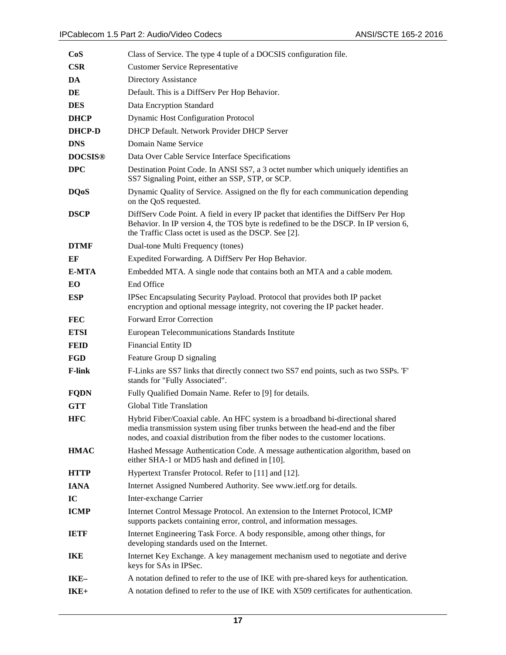| CoS            | Class of Service. The type 4 tuple of a DOCSIS configuration file.                                                                                                                                                                                   |
|----------------|------------------------------------------------------------------------------------------------------------------------------------------------------------------------------------------------------------------------------------------------------|
| $\bf CSR$      | <b>Customer Service Representative</b>                                                                                                                                                                                                               |
| DA             | Directory Assistance                                                                                                                                                                                                                                 |
| DE             | Default. This is a DiffServ Per Hop Behavior.                                                                                                                                                                                                        |
| <b>DES</b>     | Data Encryption Standard                                                                                                                                                                                                                             |
| <b>DHCP</b>    | <b>Dynamic Host Configuration Protocol</b>                                                                                                                                                                                                           |
| <b>DHCP-D</b>  | <b>DHCP Default. Network Provider DHCP Server</b>                                                                                                                                                                                                    |
| <b>DNS</b>     | Domain Name Service                                                                                                                                                                                                                                  |
| <b>DOCSIS®</b> | Data Over Cable Service Interface Specifications                                                                                                                                                                                                     |
| <b>DPC</b>     | Destination Point Code. In ANSI SS7, a 3 octet number which uniquely identifies an<br>SS7 Signaling Point, either an SSP, STP, or SCP.                                                                                                               |
| <b>DQoS</b>    | Dynamic Quality of Service. Assigned on the fly for each communication depending<br>on the QoS requested.                                                                                                                                            |
| <b>DSCP</b>    | DiffServ Code Point. A field in every IP packet that identifies the DiffServ Per Hop<br>Behavior. In IP version 4, the TOS byte is redefined to be the DSCP. In IP version 6,<br>the Traffic Class octet is used as the DSCP. See [2].               |
| <b>DTMF</b>    | Dual-tone Multi Frequency (tones)                                                                                                                                                                                                                    |
| EF             | Expedited Forwarding. A DiffServ Per Hop Behavior.                                                                                                                                                                                                   |
| E-MTA          | Embedded MTA. A single node that contains both an MTA and a cable modem.                                                                                                                                                                             |
| EO             | End Office                                                                                                                                                                                                                                           |
| <b>ESP</b>     | IPSec Encapsulating Security Payload. Protocol that provides both IP packet<br>encryption and optional message integrity, not covering the IP packet header.                                                                                         |
| <b>FEC</b>     | <b>Forward Error Correction</b>                                                                                                                                                                                                                      |
| <b>ETSI</b>    | European Telecommunications Standards Institute                                                                                                                                                                                                      |
| <b>FEID</b>    | <b>Financial Entity ID</b>                                                                                                                                                                                                                           |
| <b>FGD</b>     | Feature Group D signaling                                                                                                                                                                                                                            |
| <b>F-link</b>  | F-Links are SS7 links that directly connect two SS7 end points, such as two SSPs. 'F'<br>stands for "Fully Associated".                                                                                                                              |
| <b>FQDN</b>    | Fully Qualified Domain Name. Refer to [9] for details.                                                                                                                                                                                               |
| <b>GTT</b>     | <b>Global Title Translation</b>                                                                                                                                                                                                                      |
| <b>HFC</b>     | Hybrid Fiber/Coaxial cable. An HFC system is a broadband bi-directional shared<br>media transmission system using fiber trunks between the head-end and the fiber<br>nodes, and coaxial distribution from the fiber nodes to the customer locations. |
| <b>HMAC</b>    | Hashed Message Authentication Code. A message authentication algorithm, based on<br>either SHA-1 or MD5 hash and defined in [10].                                                                                                                    |
| <b>HTTP</b>    | Hypertext Transfer Protocol. Refer to [11] and [12].                                                                                                                                                                                                 |
| <b>IANA</b>    | Internet Assigned Numbered Authority. See www.ietf.org for details.                                                                                                                                                                                  |
| IC             | Inter-exchange Carrier                                                                                                                                                                                                                               |
| <b>ICMP</b>    | Internet Control Message Protocol. An extension to the Internet Protocol, ICMP<br>supports packets containing error, control, and information messages.                                                                                              |
| <b>IETF</b>    | Internet Engineering Task Force. A body responsible, among other things, for<br>developing standards used on the Internet.                                                                                                                           |
| IKE            | Internet Key Exchange. A key management mechanism used to negotiate and derive<br>keys for SAs in IPSec.                                                                                                                                             |
| IKE-           | A notation defined to refer to the use of IKE with pre-shared keys for authentication.                                                                                                                                                               |
| $IKE+$         | A notation defined to refer to the use of IKE with X509 certificates for authentication.                                                                                                                                                             |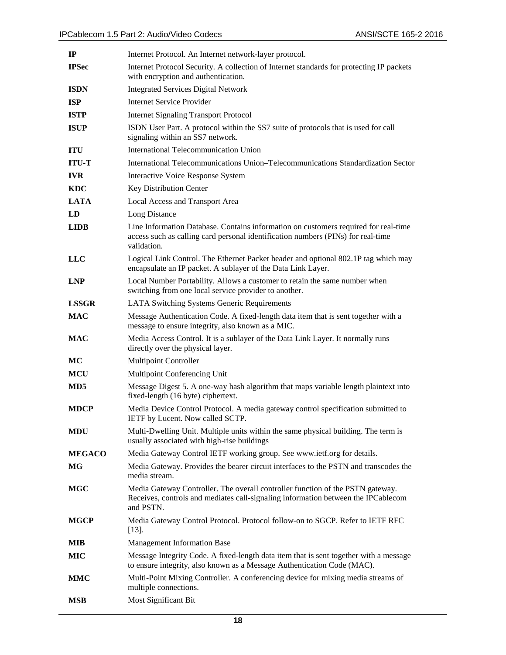| IP              | Internet Protocol. An Internet network-layer protocol.                                                                                                                                 |
|-----------------|----------------------------------------------------------------------------------------------------------------------------------------------------------------------------------------|
| <b>IPSec</b>    | Internet Protocol Security. A collection of Internet standards for protecting IP packets<br>with encryption and authentication.                                                        |
| <b>ISDN</b>     | <b>Integrated Services Digital Network</b>                                                                                                                                             |
| <b>ISP</b>      | <b>Internet Service Provider</b>                                                                                                                                                       |
| <b>ISTP</b>     | <b>Internet Signaling Transport Protocol</b>                                                                                                                                           |
| <b>ISUP</b>     | ISDN User Part. A protocol within the SS7 suite of protocols that is used for call<br>signaling within an SS7 network.                                                                 |
| <b>ITU</b>      | International Telecommunication Union                                                                                                                                                  |
| <b>ITU-T</b>    | International Telecommunications Union-Telecommunications Standardization Sector                                                                                                       |
| <b>IVR</b>      | Interactive Voice Response System                                                                                                                                                      |
| <b>KDC</b>      | Key Distribution Center                                                                                                                                                                |
| <b>LATA</b>     | Local Access and Transport Area                                                                                                                                                        |
| LD              | Long Distance                                                                                                                                                                          |
| <b>LIDB</b>     | Line Information Database. Contains information on customers required for real-time<br>access such as calling card personal identification numbers (PINs) for real-time<br>validation. |
| <b>LLC</b>      | Logical Link Control. The Ethernet Packet header and optional 802.1P tag which may<br>encapsulate an IP packet. A sublayer of the Data Link Layer.                                     |
| <b>LNP</b>      | Local Number Portability. Allows a customer to retain the same number when<br>switching from one local service provider to another.                                                    |
| <b>LSSGR</b>    | <b>LATA Switching Systems Generic Requirements</b>                                                                                                                                     |
| <b>MAC</b>      | Message Authentication Code. A fixed-length data item that is sent together with a<br>message to ensure integrity, also known as a MIC.                                                |
| <b>MAC</b>      | Media Access Control. It is a sublayer of the Data Link Layer. It normally runs<br>directly over the physical layer.                                                                   |
| МC              | <b>Multipoint Controller</b>                                                                                                                                                           |
| <b>MCU</b>      | Multipoint Conferencing Unit                                                                                                                                                           |
| MD <sub>5</sub> | Message Digest 5. A one-way hash algorithm that maps variable length plaintext into<br>fixed-length (16 byte) ciphertext.                                                              |
| <b>MDCP</b>     | Media Device Control Protocol. A media gateway control specification submitted to<br>IETF by Lucent. Now called SCTP                                                                   |
| <b>MDU</b>      | Multi-Dwelling Unit. Multiple units within the same physical building. The term is<br>usually associated with high-rise buildings                                                      |
| <b>MEGACO</b>   | Media Gateway Control IETF working group. See www.ietf.org for details.                                                                                                                |
| MG              | Media Gateway. Provides the bearer circuit interfaces to the PSTN and transcodes the<br>media stream.                                                                                  |
| <b>MGC</b>      | Media Gateway Controller. The overall controller function of the PSTN gateway.<br>Receives, controls and mediates call-signaling information between the IPCablecom<br>and PSTN.       |
| <b>MGCP</b>     | Media Gateway Control Protocol. Protocol follow-on to SGCP. Refer to IETF RFC<br>$[13]$ .                                                                                              |
| <b>MIB</b>      | <b>Management Information Base</b>                                                                                                                                                     |
| <b>MIC</b>      | Message Integrity Code. A fixed-length data item that is sent together with a message<br>to ensure integrity, also known as a Message Authentication Code (MAC).                       |
| <b>MMC</b>      | Multi-Point Mixing Controller. A conferencing device for mixing media streams of<br>multiple connections.                                                                              |
| <b>MSB</b>      | Most Significant Bit                                                                                                                                                                   |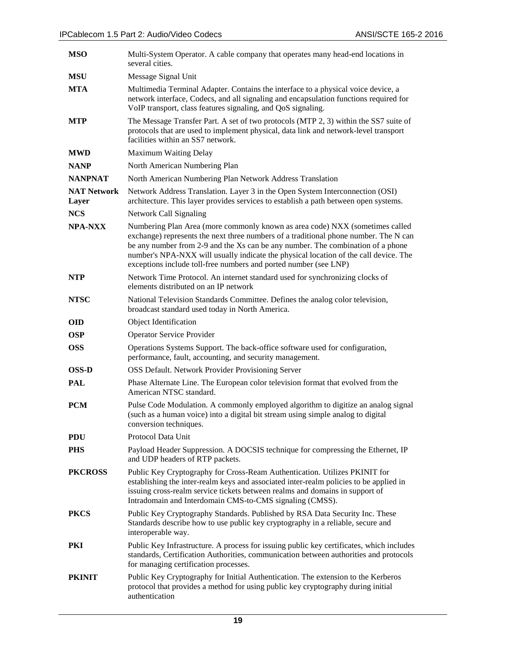| MSO                         | Multi-System Operator. A cable company that operates many head-end locations in<br>several cities.                                                                                                                                                                                                                                                                                                                  |
|-----------------------------|---------------------------------------------------------------------------------------------------------------------------------------------------------------------------------------------------------------------------------------------------------------------------------------------------------------------------------------------------------------------------------------------------------------------|
| MSU                         | Message Signal Unit                                                                                                                                                                                                                                                                                                                                                                                                 |
| MTA                         | Multimedia Terminal Adapter. Contains the interface to a physical voice device, a<br>network interface, Codecs, and all signaling and encapsulation functions required for<br>VoIP transport, class features signaling, and QoS signaling.                                                                                                                                                                          |
| MTP                         | The Message Transfer Part. A set of two protocols (MTP 2, 3) within the SS7 suite of<br>protocols that are used to implement physical, data link and network-level transport<br>facilities within an SS7 network.                                                                                                                                                                                                   |
| MWD                         | Maximum Waiting Delay                                                                                                                                                                                                                                                                                                                                                                                               |
| NANP                        | North American Numbering Plan                                                                                                                                                                                                                                                                                                                                                                                       |
| NANPNAT                     | North American Numbering Plan Network Address Translation                                                                                                                                                                                                                                                                                                                                                           |
| <b>NAT Network</b><br>Layer | Network Address Translation. Layer 3 in the Open System Interconnection (OSI)<br>architecture. This layer provides services to establish a path between open systems.                                                                                                                                                                                                                                               |
| <b>NCS</b>                  | <b>Network Call Signaling</b>                                                                                                                                                                                                                                                                                                                                                                                       |
| NPA-NXX                     | Numbering Plan Area (more commonly known as area code) NXX (sometimes called<br>exchange) represents the next three numbers of a traditional phone number. The N can<br>be any number from 2-9 and the Xs can be any number. The combination of a phone<br>number's NPA-NXX will usually indicate the physical location of the call device. The<br>exceptions include toll-free numbers and ported number (see LNP) |
| NTP                         | Network Time Protocol. An internet standard used for synchronizing clocks of<br>elements distributed on an IP network                                                                                                                                                                                                                                                                                               |
| NTSC                        | National Television Standards Committee. Defines the analog color television,<br>broadcast standard used today in North America.                                                                                                                                                                                                                                                                                    |
| OID                         | Object Identification                                                                                                                                                                                                                                                                                                                                                                                               |
| OSP                         | <b>Operator Service Provider</b>                                                                                                                                                                                                                                                                                                                                                                                    |
| OSS                         | Operations Systems Support. The back-office software used for configuration,<br>performance, fault, accounting, and security management.                                                                                                                                                                                                                                                                            |
| OSS-D                       | OSS Default. Network Provider Provisioning Server                                                                                                                                                                                                                                                                                                                                                                   |
| PAL                         | Phase Alternate Line. The European color television format that evolved from the<br>American NTSC standard.                                                                                                                                                                                                                                                                                                         |
| PCM                         | Pulse Code Modulation. A commonly employed algorithm to digitize an analog signal<br>(such as a human voice) into a digital bit stream using simple analog to digital<br>conversion techniques.                                                                                                                                                                                                                     |
| PDU                         | Protocol Data Unit                                                                                                                                                                                                                                                                                                                                                                                                  |
| PHS                         | Payload Header Suppression. A DOCSIS technique for compressing the Ethernet, IP<br>and UDP headers of RTP packets.                                                                                                                                                                                                                                                                                                  |
| <b>PKCROSS</b>              | Public Key Cryptography for Cross-Ream Authentication. Utilizes PKINIT for<br>establishing the inter-realm keys and associated inter-realm policies to be applied in<br>issuing cross-realm service tickets between realms and domains in support of<br>Intradomain and Interdomain CMS-to-CMS signaling (CMSS).                                                                                                    |
| PKCS                        | Public Key Cryptography Standards. Published by RSA Data Security Inc. These<br>Standards describe how to use public key cryptography in a reliable, secure and<br>interoperable way.                                                                                                                                                                                                                               |
| PKI                         | Public Key Infrastructure. A process for issuing public key certificates, which includes<br>standards, Certification Authorities, communication between authorities and protocols<br>for managing certification processes.                                                                                                                                                                                          |
| PKINIT                      | Public Key Cryptography for Initial Authentication. The extension to the Kerberos<br>protocol that provides a method for using public key cryptography during initial<br>authentication                                                                                                                                                                                                                             |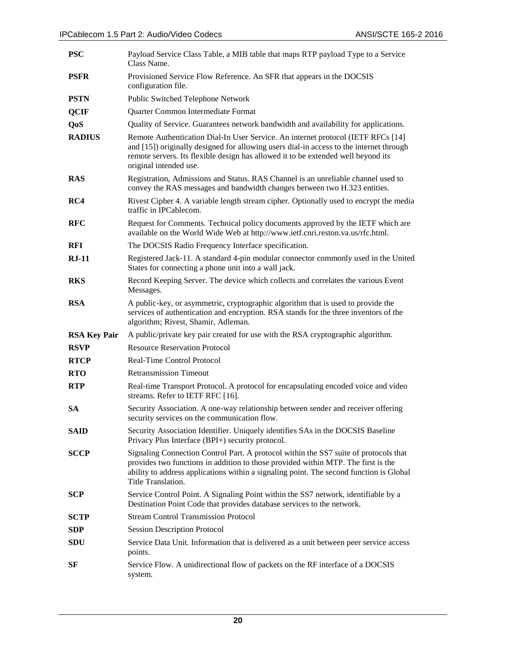| <b>PSC</b>          | Payload Service Class Table, a MIB table that maps RTP payload Type to a Service<br>Class Name.                                                                                                                                                                                            |
|---------------------|--------------------------------------------------------------------------------------------------------------------------------------------------------------------------------------------------------------------------------------------------------------------------------------------|
| <b>PSFR</b>         | Provisioned Service Flow Reference. An SFR that appears in the DOCSIS<br>configuration file.                                                                                                                                                                                               |
| <b>PSTN</b>         | Public Switched Telephone Network                                                                                                                                                                                                                                                          |
| <b>QCIF</b>         | Quarter Common Intermediate Format                                                                                                                                                                                                                                                         |
| QoS                 | Quality of Service. Guarantees network bandwidth and availability for applications.                                                                                                                                                                                                        |
| <b>RADIUS</b>       | Remote Authentication Dial-In User Service. An internet protocol (IETF RFCs [14]<br>and [15]) originally designed for allowing users dial-in access to the internet through<br>remote servers. Its flexible design has allowed it to be extended well beyond its<br>original intended use. |
| <b>RAS</b>          | Registration, Admissions and Status. RAS Channel is an unreliable channel used to<br>convey the RAS messages and bandwidth changes between two H.323 entities.                                                                                                                             |
| RC4                 | Rivest Cipher 4. A variable length stream cipher. Optionally used to encrypt the media<br>traffic in IPCablecom.                                                                                                                                                                           |
| <b>RFC</b>          | Request for Comments. Technical policy documents approved by the IETF which are<br>available on the World Wide Web at http://www.ietf.cnri.reston.va.us/rfc.html.                                                                                                                          |
| RFI                 | The DOCSIS Radio Frequency Interface specification.                                                                                                                                                                                                                                        |
| $RJ-11$             | Registered Jack-11. A standard 4-pin modular connector commonly used in the United<br>States for connecting a phone unit into a wall jack.                                                                                                                                                 |
| <b>RKS</b>          | Record Keeping Server. The device which collects and correlates the various Event<br>Messages.                                                                                                                                                                                             |
| <b>RSA</b>          | A public-key, or asymmetric, cryptographic algorithm that is used to provide the<br>services of authentication and encryption. RSA stands for the three inventors of the<br>algorithm; Rivest, Shamir, Adleman.                                                                            |
| <b>RSA Key Pair</b> | A public/private key pair created for use with the RSA cryptographic algorithm.                                                                                                                                                                                                            |
| <b>RSVP</b>         | <b>Resource Reservation Protocol</b>                                                                                                                                                                                                                                                       |
| <b>RTCP</b>         | <b>Real-Time Control Protocol</b>                                                                                                                                                                                                                                                          |
| <b>RTO</b>          | <b>Retransmission Timeout</b>                                                                                                                                                                                                                                                              |
| <b>RTP</b>          | Real-time Transport Protocol. A protocol for encapsulating encoded voice and video<br>streams. Refer to IETF RFC [16].                                                                                                                                                                     |
| SA                  | Security Association. A one-way relationship between sender and receiver offering<br>security services on the communication flow.                                                                                                                                                          |
| SAID                | Security Association Identifier. Uniquely identifies SAs in the DOCSIS Baseline<br>Privacy Plus Interface (BPI+) security protocol.                                                                                                                                                        |
| <b>SCCP</b>         | Signaling Connection Control Part. A protocol within the SS7 suite of protocols that<br>provides two functions in addition to those provided within MTP. The first is the<br>ability to address applications within a signaling point. The second function is Global<br>Title Translation. |
| <b>SCP</b>          | Service Control Point. A Signaling Point within the SS7 network, identifiable by a<br>Destination Point Code that provides database services to the network.                                                                                                                               |
| <b>SCTP</b>         | <b>Stream Control Transmission Protocol</b>                                                                                                                                                                                                                                                |
| <b>SDP</b>          | <b>Session Description Protocol</b>                                                                                                                                                                                                                                                        |
| <b>SDU</b>          | Service Data Unit. Information that is delivered as a unit between peer service access<br>points.                                                                                                                                                                                          |
| SF                  | Service Flow. A unidirectional flow of packets on the RF interface of a DOCSIS<br>system.                                                                                                                                                                                                  |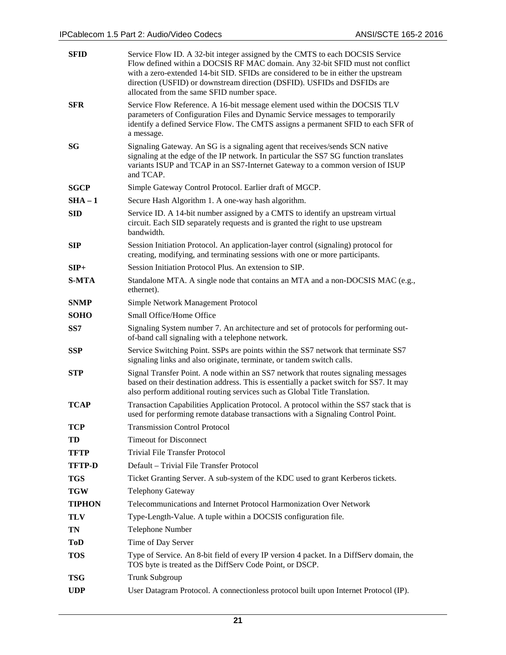| <b>SFID</b>     | Service Flow ID. A 32-bit integer assigned by the CMTS to each DOCSIS Service<br>Flow defined within a DOCSIS RF MAC domain. Any 32-bit SFID must not conflict<br>with a zero-extended 14-bit SID. SFIDs are considered to be in either the upstream<br>direction (USFID) or downstream direction (DSFID). USFIDs and DSFIDs are<br>allocated from the same SFID number space. |
|-----------------|--------------------------------------------------------------------------------------------------------------------------------------------------------------------------------------------------------------------------------------------------------------------------------------------------------------------------------------------------------------------------------|
| <b>SFR</b>      | Service Flow Reference. A 16-bit message element used within the DOCSIS TLV<br>parameters of Configuration Files and Dynamic Service messages to temporarily<br>identify a defined Service Flow. The CMTS assigns a permanent SFID to each SFR of<br>a message.                                                                                                                |
| SG              | Signaling Gateway. An SG is a signaling agent that receives/sends SCN native<br>signaling at the edge of the IP network. In particular the SS7 SG function translates<br>variants ISUP and TCAP in an SS7-Internet Gateway to a common version of ISUP<br>and TCAP.                                                                                                            |
| <b>SGCP</b>     | Simple Gateway Control Protocol. Earlier draft of MGCP.                                                                                                                                                                                                                                                                                                                        |
| $SHA - 1$       | Secure Hash Algorithm 1. A one-way hash algorithm.                                                                                                                                                                                                                                                                                                                             |
| <b>SID</b>      | Service ID. A 14-bit number assigned by a CMTS to identify an upstream virtual<br>circuit. Each SID separately requests and is granted the right to use upstream<br>bandwidth.                                                                                                                                                                                                 |
| <b>SIP</b>      | Session Initiation Protocol. An application-layer control (signaling) protocol for<br>creating, modifying, and terminating sessions with one or more participants.                                                                                                                                                                                                             |
| $SIP+$          | Session Initiation Protocol Plus. An extension to SIP.                                                                                                                                                                                                                                                                                                                         |
| <b>S-MTA</b>    | Standalone MTA. A single node that contains an MTA and a non-DOCSIS MAC (e.g.,<br>ethernet).                                                                                                                                                                                                                                                                                   |
| <b>SNMP</b>     | Simple Network Management Protocol                                                                                                                                                                                                                                                                                                                                             |
| <b>SOHO</b>     | Small Office/Home Office                                                                                                                                                                                                                                                                                                                                                       |
| SS <sub>7</sub> | Signaling System number 7. An architecture and set of protocols for performing out-<br>of-band call signaling with a telephone network.                                                                                                                                                                                                                                        |
| <b>SSP</b>      | Service Switching Point. SSPs are points within the SS7 network that terminate SS7<br>signaling links and also originate, terminate, or tandem switch calls.                                                                                                                                                                                                                   |
| <b>STP</b>      | Signal Transfer Point. A node within an SS7 network that routes signaling messages<br>based on their destination address. This is essentially a packet switch for SS7. It may<br>also perform additional routing services such as Global Title Translation.                                                                                                                    |
| <b>TCAP</b>     | Transaction Capabilities Application Protocol. A protocol within the SS7 stack that is<br>used for performing remote database transactions with a Signaling Control Point.                                                                                                                                                                                                     |
| <b>TCP</b>      | <b>Transmission Control Protocol</b>                                                                                                                                                                                                                                                                                                                                           |
| TD              | <b>Timeout for Disconnect</b>                                                                                                                                                                                                                                                                                                                                                  |
| <b>TFTP</b>     | <b>Trivial File Transfer Protocol</b>                                                                                                                                                                                                                                                                                                                                          |
| <b>TFTP-D</b>   | Default - Trivial File Transfer Protocol                                                                                                                                                                                                                                                                                                                                       |
| <b>TGS</b>      | Ticket Granting Server. A sub-system of the KDC used to grant Kerberos tickets.                                                                                                                                                                                                                                                                                                |
| <b>TGW</b>      | <b>Telephony Gateway</b>                                                                                                                                                                                                                                                                                                                                                       |
| <b>TIPHON</b>   | Telecommunications and Internet Protocol Harmonization Over Network                                                                                                                                                                                                                                                                                                            |
| <b>TLV</b>      | Type-Length-Value. A tuple within a DOCSIS configuration file.                                                                                                                                                                                                                                                                                                                 |
| TN              | Telephone Number                                                                                                                                                                                                                                                                                                                                                               |
| ToD             | Time of Day Server                                                                                                                                                                                                                                                                                                                                                             |
| <b>TOS</b>      | Type of Service. An 8-bit field of every IP version 4 packet. In a DiffServ domain, the<br>TOS byte is treated as the DiffServ Code Point, or DSCP.                                                                                                                                                                                                                            |
| <b>TSG</b>      | <b>Trunk Subgroup</b>                                                                                                                                                                                                                                                                                                                                                          |
| <b>UDP</b>      | User Datagram Protocol. A connectionless protocol built upon Internet Protocol (IP).                                                                                                                                                                                                                                                                                           |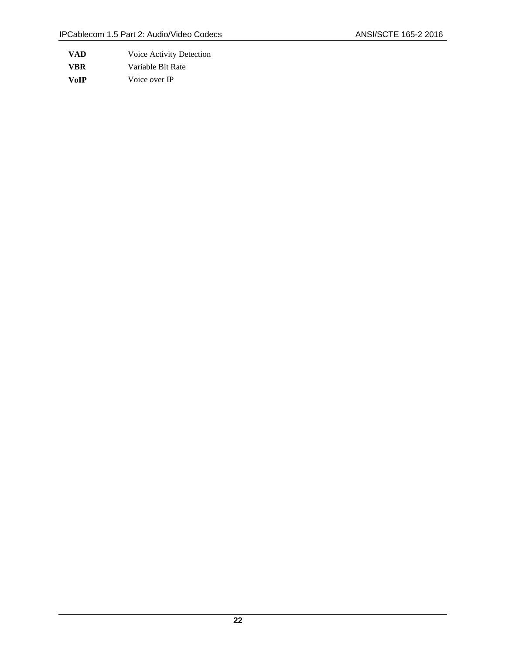- **VAD** Voice Activity Detection
- **VBR** Variable Bit Rate
- **VoIP** Voice over IP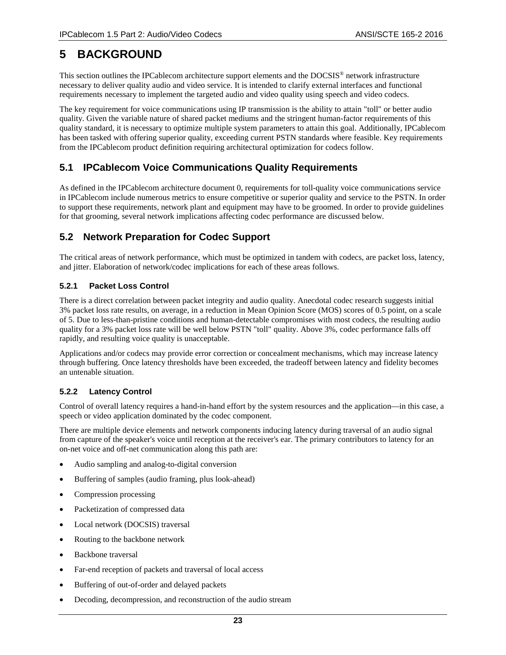# <span id="page-22-0"></span>**5 BACKGROUND**

This section outlines the IPCablecom architecture support elements and the DOCSIS® network infrastructure necessary to deliver quality audio and video service. It is intended to clarify external interfaces and functional requirements necessary to implement the targeted audio and video quality using speech and video codecs.

The key requirement for voice communications using IP transmission is the ability to attain "toll" or better audio quality. Given the variable nature of shared packet mediums and the stringent human-factor requirements of this quality standard, it is necessary to optimize multiple system parameters to attain this goal. Additionally, IPCablecom has been tasked with offering superior quality, exceeding current PSTN standards where feasible. Key requirements from the IPCablecom product definition requiring architectural optimization for codecs follow.

## <span id="page-22-1"></span>**5.1 IPCablecom Voice Communications Quality Requirements**

As defined in the IPCablecom architecture documen[t 0,](#page-8-11) requirements for toll-quality voice communications service in IPCablecom include numerous metrics to ensure competitive or superior quality and service to the PSTN. In order to support these requirements, network plant and equipment may have to be groomed. In order to provide guidelines for that grooming, several network implications affecting codec performance are discussed below.

# <span id="page-22-2"></span>**5.2 Network Preparation for Codec Support**

The critical areas of network performance, which must be optimized in tandem with codecs, are packet loss, latency, and jitter. Elaboration of network/codec implications for each of these areas follows.

#### <span id="page-22-3"></span>**5.2.1 Packet Loss Control**

There is a direct correlation between packet integrity and audio quality. Anecdotal codec research suggests initial 3% packet loss rate results, on average, in a reduction in Mean Opinion Score (MOS) scores of 0.5 point, on a scale of 5. Due to less-than-pristine conditions and human-detectable compromises with most codecs, the resulting audio quality for a 3% packet loss rate will be well below PSTN "toll" quality. Above 3%, codec performance falls off rapidly, and resulting voice quality is unacceptable.

Applications and/or codecs may provide error correction or concealment mechanisms, which may increase latency through buffering. Once latency thresholds have been exceeded, the tradeoff between latency and fidelity becomes an untenable situation.

#### <span id="page-22-4"></span>**5.2.2 Latency Control**

Control of overall latency requires a hand-in-hand effort by the system resources and the application—in this case, a speech or video application dominated by the codec component.

There are multiple device elements and network components inducing latency during traversal of an audio signal from capture of the speaker's voice until reception at the receiver's ear. The primary contributors to latency for an on-net voice and off-net communication along this path are:

- Audio sampling and analog-to-digital conversion
- Buffering of samples (audio framing, plus look-ahead)
- Compression processing
- Packetization of compressed data
- Local network (DOCSIS) traversal
- Routing to the backbone network
- Backbone traversal
- Far-end reception of packets and traversal of local access
- Buffering of out-of-order and delayed packets
- Decoding, decompression, and reconstruction of the audio stream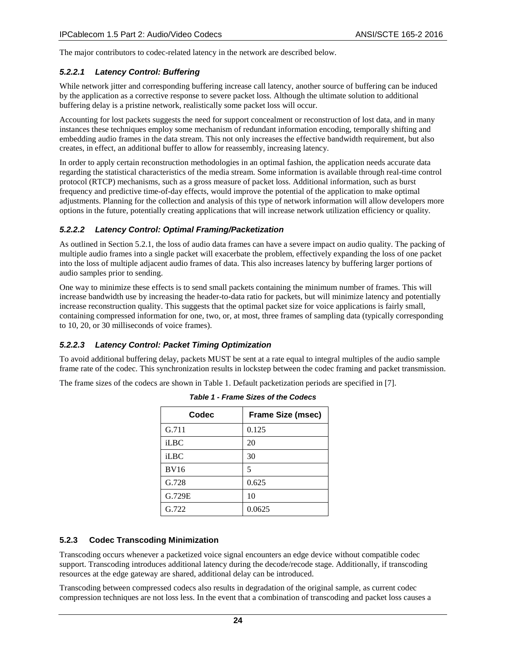The major contributors to codec-related latency in the network are described below.

#### *5.2.2.1 Latency Control: Buffering*

While network jitter and corresponding buffering increase call latency, another source of buffering can be induced by the application as a corrective response to severe packet loss. Although the ultimate solution to additional buffering delay is a pristine network, realistically some packet loss will occur.

Accounting for lost packets suggests the need for support concealment or reconstruction of lost data, and in many instances these techniques employ some mechanism of redundant information encoding, temporally shifting and embedding audio frames in the data stream. This not only increases the effective bandwidth requirement, but also creates, in effect, an additional buffer to allow for reassembly, increasing latency.

In order to apply certain reconstruction methodologies in an optimal fashion, the application needs accurate data regarding the statistical characteristics of the media stream. Some information is available through real-time control protocol (RTCP) mechanisms, such as a gross measure of packet loss. Additional information, such as burst frequency and predictive time-of-day effects, would improve the potential of the application to make optimal adjustments. Planning for the collection and analysis of this type of network information will allow developers more options in the future, potentially creating applications that will increase network utilization efficiency or quality.

#### *5.2.2.2 Latency Control: Optimal Framing/Packetization*

As outlined in Sectio[n 5.2.1,](#page-22-3) the loss of audio data frames can have a severe impact on audio quality. The packing of multiple audio frames into a single packet will exacerbate the problem, effectively expanding the loss of one packet into the loss of multiple adjacent audio frames of data. This also increases latency by buffering larger portions of audio samples prior to sending.

One way to minimize these effects is to send small packets containing the minimum number of frames. This will increase bandwidth use by increasing the header-to-data ratio for packets, but will minimize latency and potentially increase reconstruction quality. This suggests that the optimal packet size for voice applications is fairly small, containing compressed information for one, two, or, at most, three frames of sampling data (typically corresponding to 10, 20, or 30 milliseconds of voice frames).

#### *5.2.2.3 Latency Control: Packet Timing Optimization*

To avoid additional buffering delay, packets MUST be sent at a rate equal to integral multiples of the audio sample frame rate of the codec. This synchronization results in lockstep between the codec framing and packet transmission.

<span id="page-23-1"></span>The frame sizes of the codecs are shown i[n Table](#page-23-1) 1. Default packetization periods are specified in [\[7\].](#page-8-12) 

| Codec       | <b>Frame Size (msec)</b> |
|-------------|--------------------------|
| G.711       | 0.125                    |
| iLBC        | 20                       |
| iLBC        | 30                       |
| <b>BV16</b> | 5                        |
| G.728       | 0.625                    |
| G.729E      | 10                       |
| G.722       | 0.0625                   |

| Table 1 - Frame Sizes of the Codecs |  |  |
|-------------------------------------|--|--|
|                                     |  |  |

#### <span id="page-23-0"></span>**5.2.3 Codec Transcoding Minimization**

Transcoding occurs whenever a packetized voice signal encounters an edge device without compatible codec support. Transcoding introduces additional latency during the decode/recode stage. Additionally, if transcoding resources at the edge gateway are shared, additional delay can be introduced.

Transcoding between compressed codecs also results in degradation of the original sample, as current codec compression techniques are not loss less. In the event that a combination of transcoding and packet loss causes a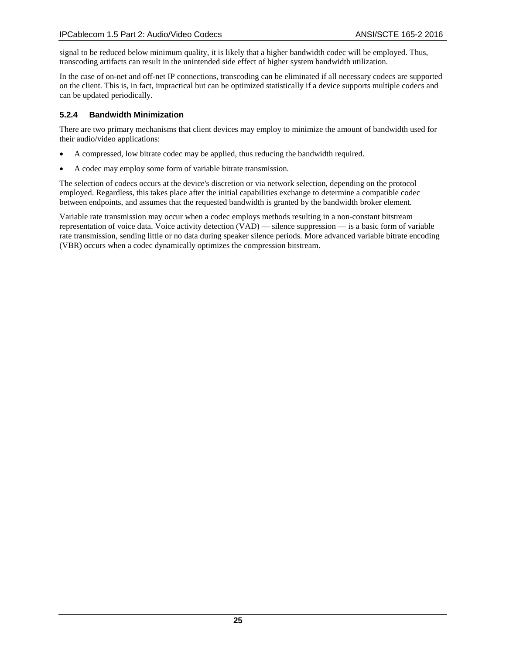signal to be reduced below minimum quality, it is likely that a higher bandwidth codec will be employed. Thus, transcoding artifacts can result in the unintended side effect of higher system bandwidth utilization.

In the case of on-net and off-net IP connections, transcoding can be eliminated if all necessary codecs are supported on the client. This is, in fact, impractical but can be optimized statistically if a device supports multiple codecs and can be updated periodically.

#### <span id="page-24-0"></span>**5.2.4 Bandwidth Minimization**

There are two primary mechanisms that client devices may employ to minimize the amount of bandwidth used for their audio/video applications:

- A compressed, low bitrate codec may be applied, thus reducing the bandwidth required.
- A codec may employ some form of variable bitrate transmission.

The selection of codecs occurs at the device's discretion or via network selection, depending on the protocol employed. Regardless, this takes place after the initial capabilities exchange to determine a compatible codec between endpoints, and assumes that the requested bandwidth is granted by the bandwidth broker element.

Variable rate transmission may occur when a codec employs methods resulting in a non-constant bitstream representation of voice data. Voice activity detection (VAD) — silence suppression — is a basic form of variable rate transmission, sending little or no data during speaker silence periods. More advanced variable bitrate encoding (VBR) occurs when a codec dynamically optimizes the compression bitstream.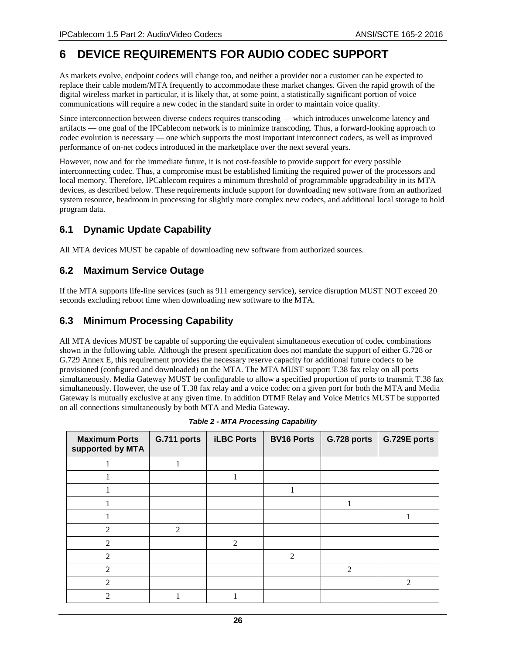# <span id="page-25-0"></span>**6 DEVICE REQUIREMENTS FOR AUDIO CODEC SUPPORT**

As markets evolve, endpoint codecs will change too, and neither a provider nor a customer can be expected to replace their cable modem/MTA frequently to accommodate these market changes. Given the rapid growth of the digital wireless market in particular, it is likely that, at some point, a statistically significant portion of voice communications will require a new codec in the standard suite in order to maintain voice quality.

Since interconnection between diverse codecs requires transcoding — which introduces unwelcome latency and artifacts — one goal of the IPCablecom network is to minimize transcoding. Thus, a forward-looking approach to codec evolution is necessary — one which supports the most important interconnect codecs, as well as improved performance of on-net codecs introduced in the marketplace over the next several years.

However, now and for the immediate future, it is not cost-feasible to provide support for every possible interconnecting codec. Thus, a compromise must be established limiting the required power of the processors and local memory. Therefore, IPCablecom requires a minimum threshold of programmable upgradeability in its MTA devices, as described below. These requirements include support for downloading new software from an authorized system resource, headroom in processing for slightly more complex new codecs, and additional local storage to hold program data.

# <span id="page-25-1"></span>**6.1 Dynamic Update Capability**

All MTA devices MUST be capable of downloading new software from authorized sources.

# <span id="page-25-2"></span>**6.2 Maximum Service Outage**

If the MTA supports life-line services (such as 911 emergency service), service disruption MUST NOT exceed 20 seconds excluding reboot time when downloading new software to the MTA.

# <span id="page-25-3"></span>**6.3 Minimum Processing Capability**

All MTA devices MUST be capable of supporting the equivalent simultaneous execution of codec combinations shown in the following table. Although the present specification does not mandate the support of either G.728 or G.729 Annex E, this requirement provides the necessary reserve capacity for additional future codecs to be provisioned (configured and downloaded) on the MTA. The MTA MUST support T.38 fax relay on all ports simultaneously. Media Gateway MUST be configurable to allow a specified proportion of ports to transmit T.38 fax simultaneously. However, the use of T.38 fax relay and a voice codec on a given port for both the MTA and Media Gateway is mutually exclusive at any given time. In addition DTMF Relay and Voice Metrics MUST be supported on all connections simultaneously by both MTA and Media Gateway.

<span id="page-25-4"></span>

| <b>Maximum Ports</b><br>supported by MTA | G.711 ports    | <b>iLBC Ports</b> | <b>BV16 Ports</b> | G.728 ports   | G.729E ports  |
|------------------------------------------|----------------|-------------------|-------------------|---------------|---------------|
|                                          |                |                   |                   |               |               |
|                                          |                |                   |                   |               |               |
|                                          |                |                   |                   |               |               |
|                                          |                |                   |                   |               |               |
|                                          |                |                   |                   |               |               |
| $\mathfrak{D}$                           | $\overline{2}$ |                   |                   |               |               |
| $\mathcal{D}$                            |                | $\mathfrak{D}$    |                   |               |               |
| $\overline{c}$                           |                |                   | $\overline{c}$    |               |               |
| $\mathfrak{D}$                           |                |                   |                   | $\mathcal{L}$ |               |
| $\overline{2}$                           |                |                   |                   |               | $\mathcal{L}$ |
| ∍                                        |                |                   |                   |               |               |

| <b>Table 2 - MTA Processing Capability</b> |  |  |
|--------------------------------------------|--|--|
|--------------------------------------------|--|--|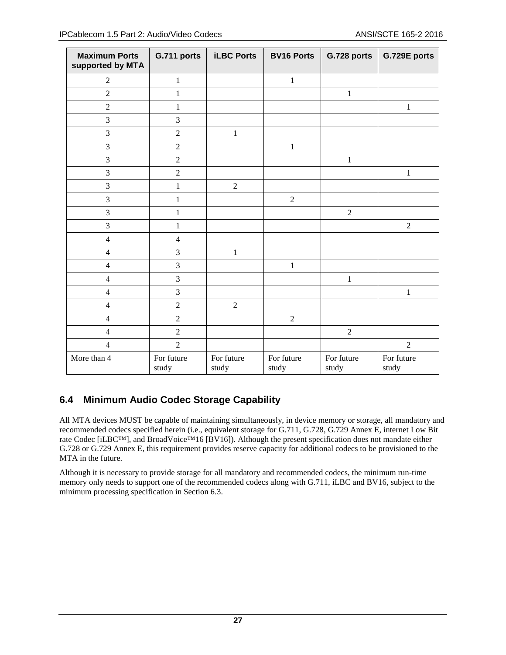| <b>Maximum Ports</b><br>supported by MTA | G.711 ports         | <b>iLBC Ports</b>   | <b>BV16 Ports</b>   | G.728 ports         | G.729E ports        |
|------------------------------------------|---------------------|---------------------|---------------------|---------------------|---------------------|
| $\sqrt{2}$                               | $\,1\,$             |                     | $\mathbf 1$         |                     |                     |
| $\overline{2}$                           | $\mathbf{1}$        |                     |                     | $\mathbf{1}$        |                     |
| $\overline{2}$                           | $\,1\,$             |                     |                     |                     | $\,1\,$             |
| 3                                        | 3                   |                     |                     |                     |                     |
| $\mathfrak{Z}$                           | $\overline{2}$      | $\,1\,$             |                     |                     |                     |
| $\mathfrak{Z}$                           | $\overline{2}$      |                     | $\mathbf{1}$        |                     |                     |
| $\mathfrak{Z}$                           | $\overline{2}$      |                     |                     | $\mathbf 1$         |                     |
| $\mathfrak{Z}$                           | $\overline{2}$      |                     |                     |                     | $\,1\,$             |
| $\mathfrak{Z}$                           | $\,1\,$             | $\overline{2}$      |                     |                     |                     |
| $\mathfrak{Z}$                           | $\,1$               |                     | $\overline{c}$      |                     |                     |
| $\overline{3}$                           | $\,1\,$             |                     |                     | $\overline{2}$      |                     |
| 3                                        | $\mathbf{1}$        |                     |                     |                     | $\overline{2}$      |
| $\overline{4}$                           | $\overline{4}$      |                     |                     |                     |                     |
| $\overline{4}$                           | 3                   | $\mathbf{1}$        |                     |                     |                     |
| $\overline{4}$                           | 3                   |                     | $\mathbf{1}$        |                     |                     |
| $\overline{4}$                           | 3                   |                     |                     | $\mathbf{1}$        |                     |
| $\overline{4}$                           | 3                   |                     |                     |                     | $\mathbf{1}$        |
| $\overline{4}$                           | $\overline{2}$      | $\overline{2}$      |                     |                     |                     |
| $\overline{4}$                           | $\overline{2}$      |                     | $\overline{2}$      |                     |                     |
| $\overline{4}$                           | $\overline{2}$      |                     |                     | $\overline{2}$      |                     |
| $\overline{4}$                           | $\overline{2}$      |                     |                     |                     | $\overline{2}$      |
| More than 4                              | For future<br>study | For future<br>study | For future<br>study | For future<br>study | For future<br>study |

# <span id="page-26-0"></span>**6.4 Minimum Audio Codec Storage Capability**

All MTA devices MUST be capable of maintaining simultaneously, in device memory or storage, all mandatory and recommended codecs specified herein (i.e., equivalent storage for G.711, G.728, G.729 Annex E, internet Low Bit rate Codec [iLBC™], and BroadVoice™16 [BV16]). Although the present specification does not mandate either G.728 or G.729 Annex E, this requirement provides reserve capacity for additional codecs to be provisioned to the MTA in the future.

Although it is necessary to provide storage for all mandatory and recommended codecs, the minimum run-time memory only needs to support one of the recommended codecs along with G.711, iLBC and BV16, subject to the minimum processing specification in Section [6.3.](#page-25-3)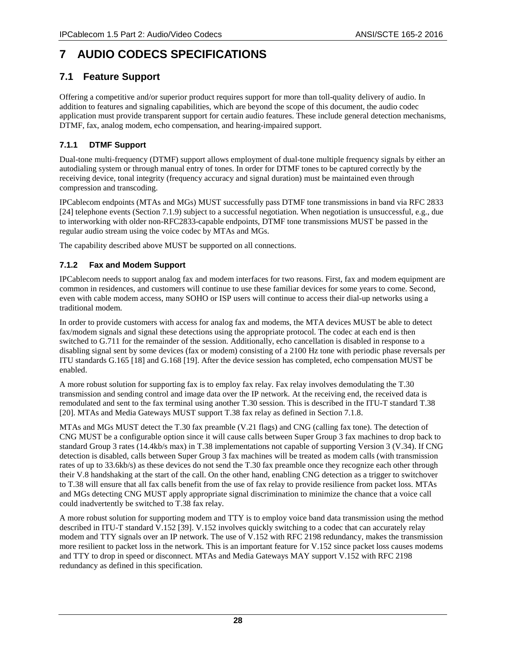# <span id="page-27-0"></span>**7 AUDIO CODECS SPECIFICATIONS**

# <span id="page-27-1"></span>**7.1 Feature Support**

Offering a competitive and/or superior product requires support for more than toll-quality delivery of audio. In addition to features and signaling capabilities, which are beyond the scope of this document, the audio codec application must provide transparent support for certain audio features. These include general detection mechanisms, DTMF, fax, analog modem, echo compensation, and hearing-impaired support.

### <span id="page-27-2"></span>**7.1.1 DTMF Support**

Dual-tone multi-frequency (DTMF) support allows employment of dual-tone multiple frequency signals by either an autodialing system or through manual entry of tones. In order for DTMF tones to be captured correctly by the receiving device, tonal integrity (frequency accuracy and signal duration) must be maintained even through compression and transcoding.

IPCablecom endpoints (MTAs and MGs) MUST successfully pass DTMF tone transmissions in band via RFC 2833 [\[24\]](#page-8-13) telephone events (Section [7.1.9\)](#page-30-0) subject to a successful negotiation. When negotiation is unsuccessful, e.g., due to interworking with older non-RFC2833-capable endpoints, DTMF tone transmissions MUST be passed in the regular audio stream using the voice codec by MTAs and MGs.

The capability described above MUST be supported on all connections.

### <span id="page-27-3"></span>**7.1.2 Fax and Modem Support**

IPCablecom needs to support analog fax and modem interfaces for two reasons. First, fax and modem equipment are common in residences, and customers will continue to use these familiar devices for some years to come. Second, even with cable modem access, many SOHO or ISP users will continue to access their dial-up networks using a traditional modem.

In order to provide customers with access for analog fax and modems, the MTA devices MUST be able to detect fax/modem signals and signal these detections using the appropriate protocol. The codec at each end is then switched to G.711 for the remainder of the session. Additionally, echo cancellation is disabled in response to a disabling signal sent by some devices (fax or modem) consisting of a 2100 Hz tone with periodic phase reversals per ITU standards G.16[5 \[18\]](#page-8-14) and G.168 [\[19\].](#page-8-15) After the device session has completed, echo compensation MUST be enabled.

A more robust solution for supporting fax is to employ fax relay. Fax relay involves demodulating the T.30 transmission and sending control and image data over the IP network. At the receiving end, the received data is remodulated and sent to the fax terminal using another T.30 session. This is described in the ITU-T standard T.38 [\[20\].](#page-8-16) MTAs and Media Gateways MUST support T.38 fax relay as defined in Section [7.1.8.](#page-29-2)

MTAs and MGs MUST detect the T.30 fax preamble (V.21 flags) and CNG (calling fax tone). The detection of CNG MUST be a configurable option since it will cause calls between Super Group 3 fax machines to drop back to standard Group 3 rates (14.4kb/s max) in T.38 implementations not capable of supporting Version 3 (V.34). If CNG detection is disabled, calls between Super Group 3 fax machines will be treated as modem calls (with transmission rates of up to 33.6kb/s) as these devices do not send the T.30 fax preamble once they recognize each other through their V.8 handshaking at the start of the call. On the other hand, enabling CNG detection as a trigger to switchover to T.38 will ensure that all fax calls benefit from the use of fax relay to provide resilience from packet loss. MTAs and MGs detecting CNG MUST apply appropriate signal discrimination to minimize the chance that a voice call could inadvertently be switched to T.38 fax relay.

A more robust solution for supporting modem and TTY is to employ voice band data transmission using the method described in ITU-T standard V.152 [\[39\].](#page-9-1) V.152 involves quickly switching to a codec that can accurately relay modem and TTY signals over an IP network. The use of V.152 with RFC 2198 redundancy, makes the transmission more resilient to packet loss in the network. This is an important feature for V.152 since packet loss causes modems and TTY to drop in speed or disconnect. MTAs and Media Gateways MAY support V.152 with RFC 2198 redundancy as defined in this specification.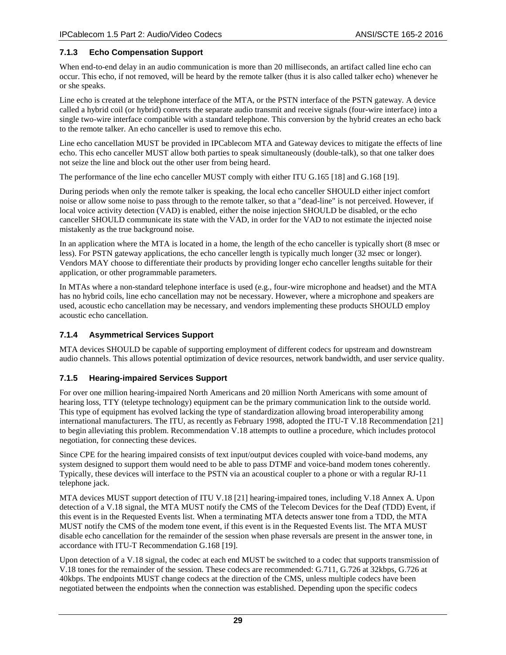#### <span id="page-28-0"></span>**7.1.3 Echo Compensation Support**

When end-to-end delay in an audio communication is more than 20 milliseconds, an artifact called line echo can occur. This echo, if not removed, will be heard by the remote talker (thus it is also called talker echo) whenever he or she speaks.

Line echo is created at the telephone interface of the MTA, or the PSTN interface of the PSTN gateway. A device called a hybrid coil (or hybrid) converts the separate audio transmit and receive signals (four-wire interface) into a single two-wire interface compatible with a standard telephone. This conversion by the hybrid creates an echo back to the remote talker. An echo canceller is used to remove this echo.

Line echo cancellation MUST be provided in IPCablecom MTA and Gateway devices to mitigate the effects of line echo. This echo canceller MUST allow both parties to speak simultaneously (double-talk), so that one talker does not seize the line and block out the other user from being heard.

The performance of the line echo canceller MUST comply with either ITU G.165 [\[18\]](#page-8-14) and G.168 [\[19\].](#page-8-15)

During periods when only the remote talker is speaking, the local echo canceller SHOULD either inject comfort noise or allow some noise to pass through to the remote talker, so that a "dead-line" is not perceived. However, if local voice activity detection (VAD) is enabled, either the noise injection SHOULD be disabled, or the echo canceller SHOULD communicate its state with the VAD, in order for the VAD to not estimate the injected noise mistakenly as the true background noise.

In an application where the MTA is located in a home, the length of the echo canceller is typically short (8 msec or less). For PSTN gateway applications, the echo canceller length is typically much longer (32 msec or longer). Vendors MAY choose to differentiate their products by providing longer echo canceller lengths suitable for their application, or other programmable parameters.

In MTAs where a non-standard telephone interface is used (e.g., four-wire microphone and headset) and the MTA has no hybrid coils, line echo cancellation may not be necessary. However, where a microphone and speakers are used, acoustic echo cancellation may be necessary, and vendors implementing these products SHOULD employ acoustic echo cancellation.

#### <span id="page-28-1"></span>**7.1.4 Asymmetrical Services Support**

MTA devices SHOULD be capable of supporting employment of different codecs for upstream and downstream audio channels. This allows potential optimization of device resources, network bandwidth, and user service quality.

#### <span id="page-28-2"></span>**7.1.5 Hearing-impaired Services Support**

For over one million hearing-impaired North Americans and 20 million North Americans with some amount of hearing loss, TTY (teletype technology) equipment can be the primary communication link to the outside world. This type of equipment has evolved lacking the type of standardization allowing broad interoperability among international manufacturers. The ITU, as recently as February 1998, adopted the ITU-T V.18 Recommendatio[n \[21\]](#page-8-17) to begin alleviating this problem. Recommendation V.18 attempts to outline a procedure, which includes protocol negotiation, for connecting these devices.

Since CPE for the hearing impaired consists of text input/output devices coupled with voice-band modems, any system designed to support them would need to be able to pass DTMF and voice-band modem tones coherently. Typically, these devices will interface to the PSTN via an acoustical coupler to a phone or with a regular RJ-11 telephone jack.

MTA devices MUST support detection of ITU V.18 [\[21\]](#page-8-17) hearing-impaired tones, including V.18 Annex A. Upon detection of a V.18 signal, the MTA MUST notify the CMS of the Telecom Devices for the Deaf (TDD) Event, if this event is in the Requested Events list. When a terminating MTA detects answer tone from a TDD, the MTA MUST notify the CMS of the modem tone event, if this event is in the Requested Events list. The MTA MUST disable echo cancellation for the remainder of the session when phase reversals are present in the answer tone, in accordance with ITU-T Recommendation G.16[8 \[19\].](#page-8-15)

Upon detection of a V.18 signal, the codec at each end MUST be switched to a codec that supports transmission of V.18 tones for the remainder of the session. These codecs are recommended: G.711, G.726 at 32kbps, G.726 at 40kbps. The endpoints MUST change codecs at the direction of the CMS, unless multiple codecs have been negotiated between the endpoints when the connection was established. Depending upon the specific codecs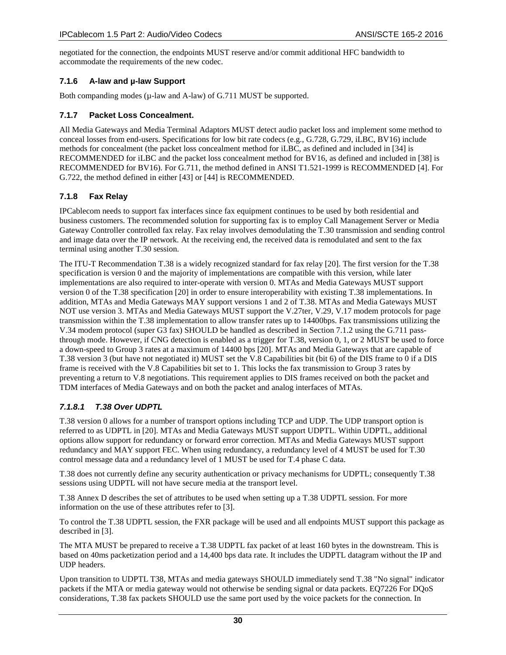negotiated for the connection, the endpoints MUST reserve and/or commit additional HFC bandwidth to accommodate the requirements of the new codec.

#### <span id="page-29-0"></span>**7.1.6 A-law and µ-law Support**

Both companding modes ( $\mu$ -law and A-law) of G.711 MUST be supported.

#### <span id="page-29-1"></span>**7.1.7 Packet Loss Concealment.**

All Media Gateways and Media Terminal Adaptors MUST detect audio packet loss and implement some method to conceal losses from end-users. Specifications for low bit rate codecs (e.g., G.728, G.729, iLBC, BV16) include methods for concealment (the packet loss concealment method for iLBC, as defined and included i[n \[34\]](#page-9-2) is RECOMMENDED for iLBC and the packet loss concealment method for BV16, as defined and included in [\[38\]](#page-9-3) is RECOMMENDED for BV16). For G.711, the method defined in ANSI T1.521-1999 is RECOMMENDE[D \[4\].](#page-8-18) For G.722, the method defined in either [\[43\]](#page-9-4) or [\[44\]](#page-9-5) is RECOMMENDED.

#### <span id="page-29-2"></span>**7.1.8 Fax Relay**

IPCablecom needs to support fax interfaces since fax equipment continues to be used by both residential and business customers. The recommended solution for supporting fax is to employ Call Management Server or Media Gateway Controller controlled fax relay. Fax relay involves demodulating the T.30 transmission and sending control and image data over the IP network. At the receiving end, the received data is remodulated and sent to the fax terminal using another T.30 session.

The ITU-T Recommendation T.38 is a widely recognized standard for fax relay [\[20\].](#page-8-16) The first version for the T.38 specification is version 0 and the majority of implementations are compatible with this version, while later implementations are also required to inter-operate with version 0. MTAs and Media Gateways MUST support version 0 of the T.38 specificatio[n \[20\]](#page-8-16) in order to ensure interoperability with existing T.38 implementations. In addition, MTAs and Media Gateways MAY support versions 1 and 2 of T.38. MTAs and Media Gateways MUST NOT use version 3. MTAs and Media Gateways MUST support the V.27ter, V.29, V.17 modem protocols for page transmission within the T.38 implementation to allow transfer rates up to 14400bps. Fax transmissions utilizing the V.34 modem protocol (super G3 fax) SHOULD be handled as described in Section [7.1.2](#page-27-3) using the G.711 passthrough mode. However, if CNG detection is enabled as a trigger for T.38, version 0, 1, or 2 MUST be used to force a down-speed to Group 3 rates at a maximum of 14400 bp[s \[20\].](#page-8-16) MTAs and Media Gateways that are capable of T.38 version 3 (but have not negotiated it) MUST set the V.8 Capabilities bit (bit 6) of the DIS frame to 0 if a DIS frame is received with the V.8 Capabilities bit set to 1. This locks the fax transmission to Group 3 rates by preventing a return to V.8 negotiations. This requirement applies to DIS frames received on both the packet and TDM interfaces of Media Gateways and on both the packet and analog interfaces of MTAs.

#### *7.1.8.1 T.38 Over UDPTL*

T.38 version 0 allows for a number of transport options including TCP and UDP. The UDP transport option is referred to as UDPTL in [\[20\].](#page-8-16) MTAs and Media Gateways MUST support UDPTL. Within UDPTL, additional options allow support for redundancy or forward error correction. MTAs and Media Gateways MUST support redundancy and MAY support FEC. When using redundancy, a redundancy level of 4 MUST be used for T.30 control message data and a redundancy level of 1 MUST be used for T.4 phase C data.

T.38 does not currently define any security authentication or privacy mechanisms for UDPTL; consequently T.38 sessions using UDPTL will not have secure media at the transport level.

T.38 Annex D describes the set of attributes to be used when setting up a T.38 UDPTL session. For more information on the use of these attributes refer to [\[3\].](#page-8-19)

To control the T.38 UDPTL session, the FXR package will be used and all endpoints MUST support this package as described in [\[3\].](#page-8-19)

The MTA MUST be prepared to receive a T.38 UDPTL fax packet of at least 160 bytes in the downstream. This is based on 40ms packetization period and a 14,400 bps data rate. It includes the UDPTL datagram without the IP and UDP headers.

Upon transition to UDPTL T38, MTAs and media gateways SHOULD immediately send T.38 "No signal" indicator packets if the MTA or media gateway would not otherwise be sending signal or data packets. EQ7226 For DQoS considerations, T.38 fax packets SHOULD use the same port used by the voice packets for the connection. In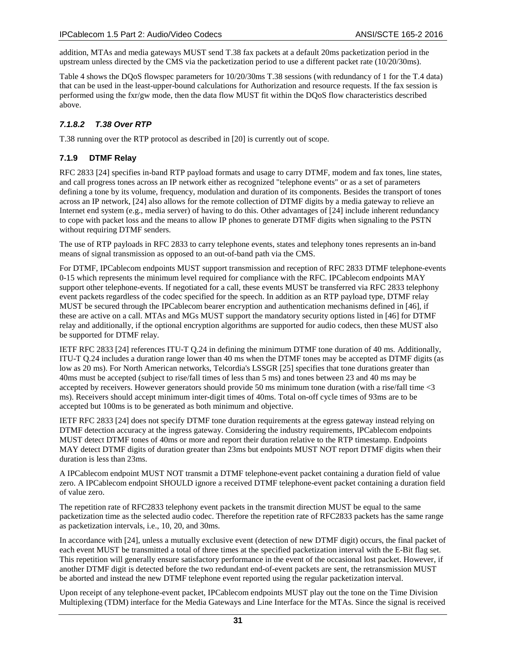addition, MTAs and media gateways MUST send T.38 fax packets at a default 20ms packetization period in the upstream unless directed by the CMS via the packetization period to use a different packet rate (10/20/30ms).

[Table](#page-36-0) 4 shows the DQoS flowspec parameters for 10/20/30ms T.38 sessions (with redundancy of 1 for the T.4 data) that can be used in the least-upper-bound calculations for Authorization and resource requests. If the fax session is performed using the fxr/gw mode, then the data flow MUST fit within the DQoS flow characteristics described above.

### *7.1.8.2 T.38 Over RTP*

T.38 running over the RTP protocol as described in [\[20\]](#page-8-16) is currently out of scope.

#### <span id="page-30-0"></span>**7.1.9 DTMF Relay**

RFC 2833 [\[24\]](#page-8-13) specifies in-band RTP payload formats and usage to carry DTMF, modem and fax tones, line states, and call progress tones across an IP network either as recognized "telephone events" or as a set of parameters defining a tone by its volume, frequency, modulation and duration of its components. Besides the transport of tones across an IP network, [\[24\]](#page-8-13) also allows for the remote collection of DTMF digits by a media gateway to relieve an Internet end system (e.g., media server) of having to do this. Other advantages o[f \[24\]](#page-8-13) include inherent redundancy to cope with packet loss and the means to allow IP phones to generate DTMF digits when signaling to the PSTN without requiring DTMF senders.

The use of RTP payloads in RFC 2833 to carry telephone events, states and telephony tones represents an in-band means of signal transmission as opposed to an out-of-band path via the CMS.

For DTMF, IPCablecom endpoints MUST support transmission and reception of RFC 2833 DTMF telephone-events 0-15 which represents the minimum level required for compliance with the RFC. IPCablecom endpoints MAY support other telephone-events. If negotiated for a call, these events MUST be transferred via RFC 2833 telephony event packets regardless of the codec specified for the speech. In addition as an RTP payload type, DTMF relay MUST be secured through the IPCablecom bearer encryption and authentication mechanisms defined in [\[46\],](#page-9-6) if these are active on a call. MTAs and MGs MUST support the mandatory security options listed in [\[46\]](#page-9-6) for DTMF relay and additionally, if the optional encryption algorithms are supported for audio codecs, then these MUST also be supported for DTMF relay.

IETF RFC 283[3 \[24\]](#page-8-13) references ITU-T Q.24 in defining the minimum DTMF tone duration of 40 ms. Additionally, ITU-T Q.24 includes a duration range lower than 40 ms when the DTMF tones may be accepted as DTMF digits (as low as 20 ms). For North American networks, Telcordia's LSSGR [\[25\]](#page-8-20) specifies that tone durations greater than 40ms must be accepted (subject to rise/fall times of less than 5 ms) and tones between 23 and 40 ms may be accepted by receivers. However generators should provide 50 ms minimum tone duration (with a rise/fall time <3 ms). Receivers should accept minimum inter-digit times of 40ms. Total on-off cycle times of 93ms are to be accepted but 100ms is to be generated as both minimum and objective.

IETF RFC 283[3 \[24\]](#page-8-13) does not specify DTMF tone duration requirements at the egress gateway instead relying on DTMF detection accuracy at the ingress gateway. Considering the industry requirements, IPCablecom endpoints MUST detect DTMF tones of 40ms or more and report their duration relative to the RTP timestamp. Endpoints MAY detect DTMF digits of duration greater than 23ms but endpoints MUST NOT report DTMF digits when their duration is less than 23ms.

A IPCablecom endpoint MUST NOT transmit a DTMF telephone-event packet containing a duration field of value zero. A IPCablecom endpoint SHOULD ignore a received DTMF telephone-event packet containing a duration field of value zero.

The repetition rate of RFC2833 telephony event packets in the transmit direction MUST be equal to the same packetization time as the selected audio codec. Therefore the repetition rate of RFC2833 packets has the same range as packetization intervals, i.e., 10, 20, and 30ms.

In accordance with [\[24\],](#page-8-13) unless a mutually exclusive event (detection of new DTMF digit) occurs, the final packet of each event MUST be transmitted a total of three times at the specified packetization interval with the E-Bit flag set. This repetition will generally ensure satisfactory performance in the event of the occasional lost packet. However, if another DTMF digit is detected before the two redundant end-of-event packets are sent, the retransmission MUST be aborted and instead the new DTMF telephone event reported using the regular packetization interval.

Upon receipt of any telephone-event packet, IPCablecom endpoints MUST play out the tone on the Time Division Multiplexing (TDM) interface for the Media Gateways and Line Interface for the MTAs. Since the signal is received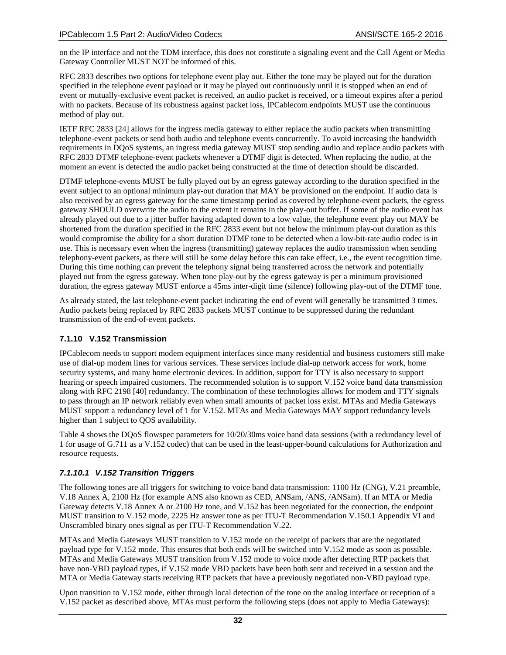on the IP interface and not the TDM interface, this does not constitute a signaling event and the Call Agent or Media Gateway Controller MUST NOT be informed of this.

RFC 2833 describes two options for telephone event play out. Either the tone may be played out for the duration specified in the telephone event payload or it may be played out continuously until it is stopped when an end of event or mutually-exclusive event packet is received, an audio packet is received, or a timeout expires after a period with no packets. Because of its robustness against packet loss, IPCablecom endpoints MUST use the continuous method of play out.

IETF RFC 283[3 \[24\]](#page-8-13) allows for the ingress media gateway to either replace the audio packets when transmitting telephone-event packets or send both audio and telephone events concurrently. To avoid increasing the bandwidth requirements in DQoS systems, an ingress media gateway MUST stop sending audio and replace audio packets with RFC 2833 DTMF telephone-event packets whenever a DTMF digit is detected. When replacing the audio, at the moment an event is detected the audio packet being constructed at the time of detection should be discarded.

DTMF telephone-events MUST be fully played out by an egress gateway according to the duration specified in the event subject to an optional minimum play-out duration that MAY be provisioned on the endpoint. If audio data is also received by an egress gateway for the same timestamp period as covered by telephone-event packets, the egress gateway SHOULD overwrite the audio to the extent it remains in the play-out buffer. If some of the audio event has already played out due to a jitter buffer having adapted down to a low value, the telephone event play out MAY be shortened from the duration specified in the RFC 2833 event but not below the minimum play-out duration as this would compromise the ability for a short duration DTMF tone to be detected when a low-bit-rate audio codec is in use. This is necessary even when the ingress (transmitting) gateway replaces the audio transmission when sending telephony-event packets, as there will still be some delay before this can take effect, i.e., the event recognition time. During this time nothing can prevent the telephony signal being transferred across the network and potentially played out from the egress gateway. When tone play-out by the egress gateway is per a minimum provisioned duration, the egress gateway MUST enforce a 45ms inter-digit time (silence) following play-out of the DTMF tone.

As already stated, the last telephone-event packet indicating the end of event will generally be transmitted 3 times. Audio packets being replaced by RFC 2833 packets MUST continue to be suppressed during the redundant transmission of the end-of-event packets.

#### <span id="page-31-0"></span>**7.1.10 V.152 Transmission**

IPCablecom needs to support modem equipment interfaces since many residential and business customers still make use of dial-up modem lines for various services. These services include dial-up network access for work, home security systems, and many home electronic devices. In addition, support for TTY is also necessary to support hearing or speech impaired customers. The recommended solution is to support V.152 voice band data transmission along with RFC 2198 [\[40\]](#page-9-7) redundancy. The combination of these technologies allows for modem and TTY signals to pass through an IP network reliably even when small amounts of packet loss exist. MTAs and Media Gateways MUST support a redundancy level of 1 for V.152. MTAs and Media Gateways MAY support redundancy levels higher than 1 subject to QOS availability.

[Table](#page-36-0) 4 shows the DQoS flowspec parameters for 10/20/30ms voice band data sessions (with a redundancy level of 1 for usage of G.711 as a V.152 codec) that can be used in the least-upper-bound calculations for Authorization and resource requests.

#### *7.1.10.1 V.152 Transition Triggers*

The following tones are all triggers for switching to voice band data transmission: 1100 Hz (CNG), V.21 preamble, V.18 Annex A, 2100 Hz (for example ANS also known as CED, ANSam, /ANS, /ANSam). If an MTA or Media Gateway detects V.18 Annex A or 2100 Hz tone, and V.152 has been negotiated for the connection, the endpoint MUST transition to V.152 mode, 2225 Hz answer tone as per ITU-T Recommendation V.150.1 Appendix VI and Unscrambled binary ones signal as per ITU-T Recommendation V.22.

MTAs and Media Gateways MUST transition to V.152 mode on the receipt of packets that are the negotiated payload type for V.152 mode. This ensures that both ends will be switched into V.152 mode as soon as possible. MTAs and Media Gateways MUST transition from V.152 mode to voice mode after detecting RTP packets that have non-VBD payload types, if V.152 mode VBD packets have been both sent and received in a session and the MTA or Media Gateway starts receiving RTP packets that have a previously negotiated non-VBD payload type.

Upon transition to V.152 mode, either through local detection of the tone on the analog interface or reception of a V.152 packet as described above, MTAs must perform the following steps (does not apply to Media Gateways):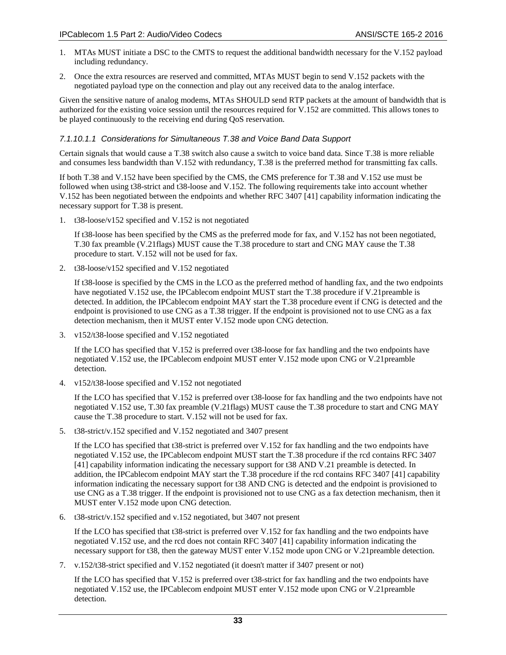- 1. MTAs MUST initiate a DSC to the CMTS to request the additional bandwidth necessary for the V.152 payload including redundancy.
- 2. Once the extra resources are reserved and committed, MTAs MUST begin to send V.152 packets with the negotiated payload type on the connection and play out any received data to the analog interface.

Given the sensitive nature of analog modems, MTAs SHOULD send RTP packets at the amount of bandwidth that is authorized for the existing voice session until the resources required for V.152 are committed. This allows tones to be played continuously to the receiving end during QoS reservation.

#### *7.1.10.1.1 Considerations for Simultaneous T.38 and Voice Band Data Support*

Certain signals that would cause a T.38 switch also cause a switch to voice band data. Since T.38 is more reliable and consumes less bandwidth than V.152 with redundancy, T.38 is the preferred method for transmitting fax calls.

If both T.38 and V.152 have been specified by the CMS, the CMS preference for T.38 and V.152 use must be followed when using t38-strict and t38-loose and V.152. The following requirements take into account whether V.152 has been negotiated between the endpoints and whether RFC 3407 [\[41\]](#page-9-8) capability information indicating the necessary support for T.38 is present.

1. t38-loose/v152 specified and V.152 is not negotiated

If t38-loose has been specified by the CMS as the preferred mode for fax, and V.152 has not been negotiated, T.30 fax preamble (V.21flags) MUST cause the T.38 procedure to start and CNG MAY cause the T.38 procedure to start. V.152 will not be used for fax.

2. t38-loose/v152 specified and V.152 negotiated

If t38-loose is specified by the CMS in the LCO as the preferred method of handling fax, and the two endpoints have negotiated V.152 use, the IPCablecom endpoint MUST start the T.38 procedure if V.21 preamble is detected. In addition, the IPCablecom endpoint MAY start the T.38 procedure event if CNG is detected and the endpoint is provisioned to use CNG as a T.38 trigger. If the endpoint is provisioned not to use CNG as a fax detection mechanism, then it MUST enter V.152 mode upon CNG detection.

3. v152/t38-loose specified and V.152 negotiated

If the LCO has specified that V.152 is preferred over t38-loose for fax handling and the two endpoints have negotiated V.152 use, the IPCablecom endpoint MUST enter V.152 mode upon CNG or V.21preamble detection.

4. v152/t38-loose specified and V.152 not negotiated

If the LCO has specified that V.152 is preferred over t38-loose for fax handling and the two endpoints have not negotiated V.152 use, T.30 fax preamble (V.21flags) MUST cause the T.38 procedure to start and CNG MAY cause the T.38 procedure to start. V.152 will not be used for fax.

5. t38-strict/v.152 specified and V.152 negotiated and 3407 present

If the LCO has specified that t38-strict is preferred over V.152 for fax handling and the two endpoints have negotiated V.152 use, the IPCablecom endpoint MUST start the T.38 procedure if the rcd contains RFC 3407 [\[41\]](#page-9-8) capability information indicating the necessary support for t38 AND V.21 preamble is detected. In addition, the IPCablecom endpoint MAY start the T.38 procedure if the rcd contains RFC 3407 [\[41\]](#page-9-8) capability information indicating the necessary support for t38 AND CNG is detected and the endpoint is provisioned to use CNG as a T.38 trigger. If the endpoint is provisioned not to use CNG as a fax detection mechanism, then it MUST enter V.152 mode upon CNG detection.

6. t38-strict/v.152 specified and v.152 negotiated, but 3407 not present

If the LCO has specified that t38-strict is preferred over V.152 for fax handling and the two endpoints have negotiated V.152 use, and the rcd does not contain RFC 3407 [\[41\]](#page-9-8) capability information indicating the necessary support for t38, then the gateway MUST enter V.152 mode upon CNG or V.21preamble detection.

7. v.152/t38-strict specified and V.152 negotiated (it doesn't matter if 3407 present or not)

If the LCO has specified that V.152 is preferred over t38-strict for fax handling and the two endpoints have negotiated V.152 use, the IPCablecom endpoint MUST enter V.152 mode upon CNG or V.21preamble detection.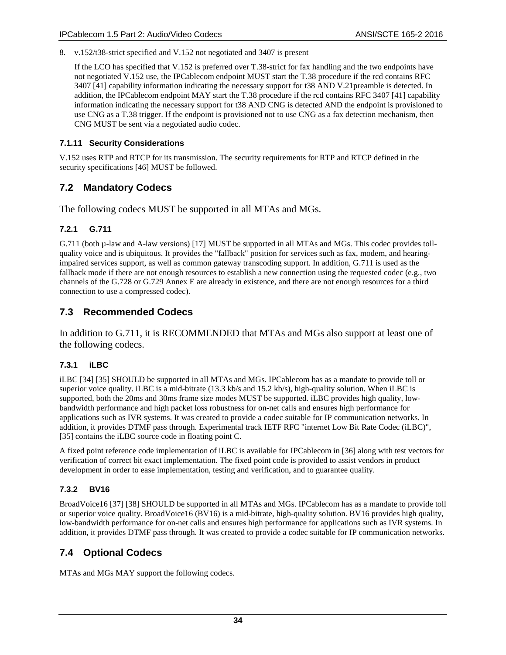8. v.152/t38-strict specified and V.152 not negotiated and 3407 is present

If the LCO has specified that V.152 is preferred over T.38-strict for fax handling and the two endpoints have not negotiated V.152 use, the IPCablecom endpoint MUST start the T.38 procedure if the rcd contains RFC 340[7 \[41\]](#page-9-8) capability information indicating the necessary support for t38 AND V.21preamble is detected. In addition, the IPCablecom endpoint MAY start the T.38 procedure if the rcd contains RFC 3407 [\[41\]](#page-9-8) capability information indicating the necessary support for t38 AND CNG is detected AND the endpoint is provisioned to use CNG as a T.38 trigger. If the endpoint is provisioned not to use CNG as a fax detection mechanism, then CNG MUST be sent via a negotiated audio codec.

#### <span id="page-33-0"></span>**7.1.11 Security Considerations**

V.152 uses RTP and RTCP for its transmission. The security requirements for RTP and RTCP defined in the security specification[s \[46\]](#page-9-6) MUST be followed.

### <span id="page-33-1"></span>**7.2 Mandatory Codecs**

The following codecs MUST be supported in all MTAs and MGs.

#### <span id="page-33-2"></span>**7.2.1 G.711**

G.711 (both µ-law and A-law versions) [\[17\]](#page-8-21) MUST be supported in all MTAs and MGs. This codec provides tollquality voice and is ubiquitous. It provides the "fallback" position for services such as fax, modem, and hearingimpaired services support, as well as common gateway transcoding support. In addition, G.711 is used as the fallback mode if there are not enough resources to establish a new connection using the requested codec (e.g., two channels of the G.728 or G.729 Annex E are already in existence, and there are not enough resources for a third connection to use a compressed codec).

### <span id="page-33-3"></span>**7.3 Recommended Codecs**

In addition to G.711, it is RECOMMENDED that MTAs and MGs also support at least one of the following codecs.

#### <span id="page-33-4"></span>**7.3.1 iLBC**

iLB[C \[34\]](#page-9-2) [\[35\]](#page-9-9) SHOULD be supported in all MTAs and MGs. IPCablecom has as a mandate to provide toll or superior voice quality. iLBC is a mid-bitrate (13.3 kb/s and 15.2 kb/s), high-quality solution. When iLBC is supported, both the 20ms and 30ms frame size modes MUST be supported. iLBC provides high quality, lowbandwidth performance and high packet loss robustness for on-net calls and ensures high performance for applications such as IVR systems. It was created to provide a codec suitable for IP communication networks. In addition, it provides DTMF pass through. Experimental track IETF RFC "internet Low Bit Rate Codec (iLBC)", [\[35\]](#page-9-9) contains the iLBC source code in floating point C.

A fixed point reference code implementation of iLBC is available for IPCablecom in [\[36\]](#page-9-10) along with test vectors for verification of correct bit exact implementation. The fixed point code is provided to assist vendors in product development in order to ease implementation, testing and verification, and to guarantee quality.

#### <span id="page-33-5"></span>**7.3.2 BV16**

BroadVoice16 [\[37\]](#page-9-11) [\[38\]](#page-9-3) SHOULD be supported in all MTAs and MGs. IPCablecom has as a mandate to provide toll or superior voice quality. BroadVoice16 (BV16) is a mid-bitrate, high-quality solution. BV16 provides high quality, low-bandwidth performance for on-net calls and ensures high performance for applications such as IVR systems. In addition, it provides DTMF pass through. It was created to provide a codec suitable for IP communication networks.

# <span id="page-33-6"></span>**7.4 Optional Codecs**

MTAs and MGs MAY support the following codecs.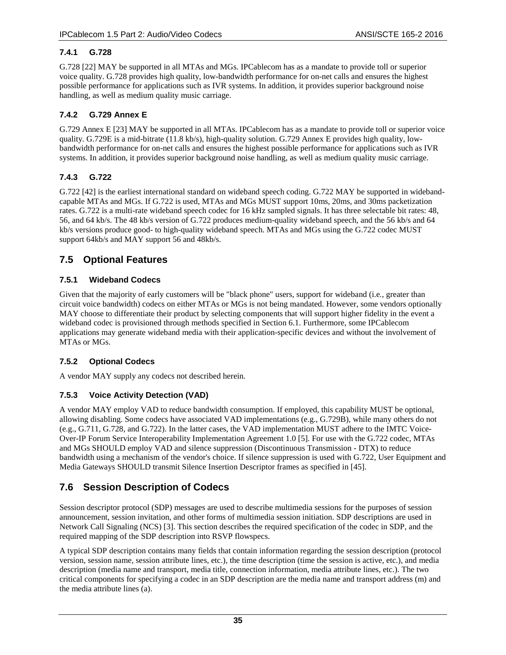## <span id="page-34-0"></span>**7.4.1 G.728**

G.728 [\[22\]](#page-8-22) MAY be supported in all MTAs and MGs. IPCablecom has as a mandate to provide toll or superior voice quality. G.728 provides high quality, low-bandwidth performance for on-net calls and ensures the highest possible performance for applications such as IVR systems. In addition, it provides superior background noise handling, as well as medium quality music carriage.

### <span id="page-34-1"></span>**7.4.2 G.729 Annex E**

G.729 Annex E [\[23\]](#page-8-23) MAY be supported in all MTAs. IPCablecom has as a mandate to provide toll or superior voice quality. G.729E is a mid-bitrate (11.8 kb/s), high-quality solution. G.729 Annex E provides high quality, lowbandwidth performance for on-net calls and ensures the highest possible performance for applications such as IVR systems. In addition, it provides superior background noise handling, as well as medium quality music carriage.

### <span id="page-34-2"></span>**7.4.3 G.722**

G.722 [\[42\]](#page-9-12) is the earliest international standard on wideband speech coding. G.722 MAY be supported in widebandcapable MTAs and MGs. If G.722 is used, MTAs and MGs MUST support 10ms, 20ms, and 30ms packetization rates. G.722 is a multi-rate wideband speech codec for 16 kHz sampled signals. It has three selectable bit rates: 48, 56, and 64 kb/s. The 48 kb/s version of G.722 produces medium-quality wideband speech, and the 56 kb/s and 64 kb/s versions produce good- to high-quality wideband speech. MTAs and MGs using the G.722 codec MUST support 64kb/s and MAY support 56 and 48kb/s.

# <span id="page-34-3"></span>**7.5 Optional Features**

#### <span id="page-34-4"></span>**7.5.1 Wideband Codecs**

Given that the majority of early customers will be "black phone" users, support for wideband (i.e*.*, greater than circuit voice bandwidth) codecs on either MTAs or MGs is not being mandated. However, some vendors optionally MAY choose to differentiate their product by selecting components that will support higher fidelity in the event a wideband codec is provisioned through methods specified in Section [6.1.](#page-25-1) Furthermore, some IPCablecom applications may generate wideband media with their application-specific devices and without the involvement of MTAs or MGs.

#### <span id="page-34-5"></span>**7.5.2 Optional Codecs**

A vendor MAY supply any codecs not described herein.

#### <span id="page-34-6"></span>**7.5.3 Voice Activity Detection (VAD)**

A vendor MAY employ VAD to reduce bandwidth consumption. If employed, this capability MUST be optional, allowing disabling. Some codecs have associated VAD implementations (e.g., G.729B), while many others do not (e.g., G.711, G.728, and G.722). In the latter cases, the VAD implementation MUST adhere to the IMTC Voice-Over-IP Forum Service Interoperability Implementation Agreement 1.0 [\[5\].](#page-8-24) For use with the G.722 codec, MTAs and MGs SHOULD employ VAD and silence suppression (Discontinuous Transmission - DTX) to reduce bandwidth using a mechanism of the vendor's choice. If silence suppression is used with G.722, User Equipment and Media Gateways SHOULD transmit Silence Insertion Descriptor frames as specified in [\[45\].](#page-9-13)

# <span id="page-34-7"></span>**7.6 Session Description of Codecs**

Session descriptor protocol (SDP) messages are used to describe multimedia sessions for the purposes of session announcement, session invitation, and other forms of multimedia session initiation. SDP descriptions are used in Network Call Signaling (NCS) [\[3\].](#page-8-19) This section describes the required specification of the codec in SDP, and the required mapping of the SDP description into RSVP flowspecs.

A typical SDP description contains many fields that contain information regarding the session description (protocol version, session name, session attribute lines, etc.), the time description (time the session is active, etc.), and media description (media name and transport, media title, connection information, media attribute lines, etc.). The two critical components for specifying a codec in an SDP description are the media name and transport address (m) and the media attribute lines (a).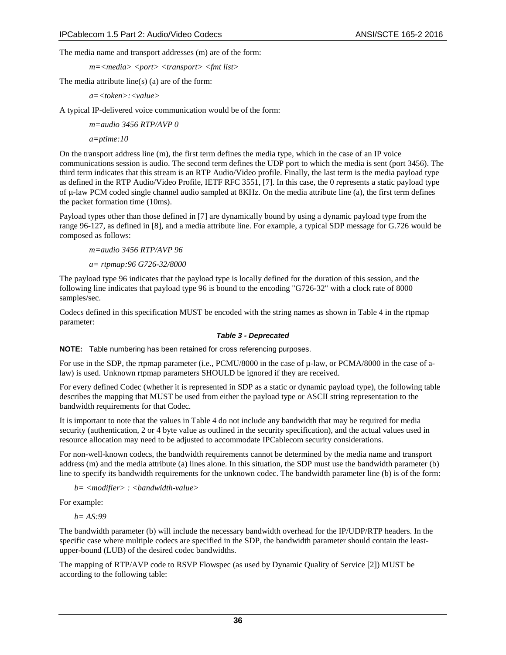The media name and transport addresses (m) are of the form:

*m=<media> <port> <transport> <fmt list>*

The media attribute line(s) (a) are of the form:

*a=<token>:<value>*

A typical IP-delivered voice communication would be of the form:

*m=audio 3456 RTP/AVP 0*

*a=ptime:10*

On the transport address line (m), the first term defines the media type, which in the case of an IP voice communications session is audio. The second term defines the UDP port to which the media is sent (port 3456). The third term indicates that this stream is an RTP Audio/Video profile. Finally, the last term is the media payload type as defined in the RTP Audio/Video Profile, IETF RFC 3551, [\[7\].](#page-8-12) In this case, the 0 represents a static payload type of  $\mu$ -law PCM coded single channel audio sampled at 8KHz. On the media attribute line (a), the first term defines the packet formation time (10ms).

Payload types other than those defined in [\[7\]](#page-8-12) are dynamically bound by using a dynamic payload type from the range 96-127, as defined in [\[8\],](#page-8-25) and a media attribute line. For example, a typical SDP message for G.726 would be composed as follows:

*m=audio 3456 RTP/AVP 96*

*a= rtpmap:96 G726-32/8000*

The payload type 96 indicates that the payload type is locally defined for the duration of this session, and the following line indicates that payload type 96 is bound to the encoding "G726-32" with a clock rate of 8000 samples/sec.

Codecs defined in this specification MUST be encoded with the string names as shown in [Table](#page-36-0) 4 in the rtpmap parameter:

#### *Table 3 - Deprecated*

<span id="page-35-0"></span>**NOTE:** Table numbering has been retained for cross referencing purposes.

For use in the SDP, the rtpmap parameter (i.e., PCMU/8000 in the case of µ-law, or PCMA/8000 in the case of alaw) is used. Unknown rtpmap parameters SHOULD be ignored if they are received.

For every defined Codec (whether it is represented in SDP as a static or dynamic payload type), the following table describes the mapping that MUST be used from either the payload type or ASCII string representation to the bandwidth requirements for that Codec.

It is important to note that the values i[n Table](#page-36-0) 4 do not include any bandwidth that may be required for media security (authentication, 2 or 4 byte value as outlined in the security specification), and the actual values used in resource allocation may need to be adjusted to accommodate IPCablecom security considerations.

For non-well-known codecs, the bandwidth requirements cannot be determined by the media name and transport address (m) and the media attribute (a) lines alone. In this situation, the SDP must use the bandwidth parameter (b) line to specify its bandwidth requirements for the unknown codec. The bandwidth parameter line (b) is of the form:

*b= <modifier> : <bandwidth-value>*

For example:

*b= AS:99*

The bandwidth parameter (b) will include the necessary bandwidth overhead for the IP/UDP/RTP headers. In the specific case where multiple codecs are specified in the SDP, the bandwidth parameter should contain the leastupper-bound (LUB) of the desired codec bandwidths.

The mapping of RTP/AVP code to RSVP Flowspec (as used by Dynamic Quality of Service [\[2\]\)](#page-8-2) MUST be according to the following table: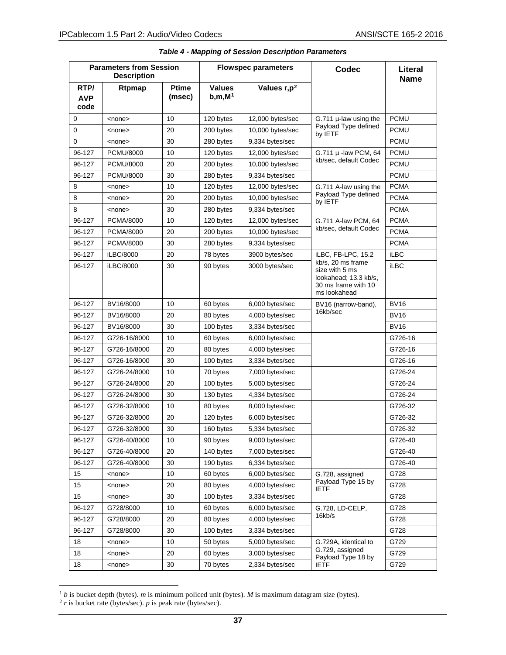<span id="page-36-0"></span>

|                            | <b>Parameters from Session</b><br><b>Description</b> |                        | <b>Flowspec parameters</b>          |                  |                                                                                                     |             | Codec | Literal<br><b>Name</b> |
|----------------------------|------------------------------------------------------|------------------------|-------------------------------------|------------------|-----------------------------------------------------------------------------------------------------|-------------|-------|------------------------|
| RTP/<br><b>AVP</b><br>code | Rtpmap                                               | <b>Ptime</b><br>(msec) | <b>Values</b><br>b,m,M <sup>1</sup> | Values $r, p^2$  |                                                                                                     |             |       |                        |
| 0                          | <none></none>                                        | 10                     | 120 bytes                           | 12,000 bytes/sec | $G.711$ µ-law using the                                                                             | <b>PCMU</b> |       |                        |
| 0                          | <none></none>                                        | 20                     | 200 bytes                           | 10,000 bytes/sec | Payload Type defined<br>by IETF                                                                     | <b>PCMU</b> |       |                        |
| 0                          | <none></none>                                        | 30                     | 280 bytes                           | 9,334 bytes/sec  |                                                                                                     | <b>PCMU</b> |       |                        |
| 96-127                     | <b>PCMU/8000</b>                                     | 10                     | 120 bytes                           | 12,000 bytes/sec | G.711 µ -law PCM, 64                                                                                | <b>PCMU</b> |       |                        |
| 96-127                     | <b>PCMU/8000</b>                                     | 20                     | 200 bytes                           | 10,000 bytes/sec | kb/sec, default Codec                                                                               | <b>PCMU</b> |       |                        |
| 96-127                     | PCMU/8000                                            | 30                     | 280 bytes                           | 9,334 bytes/sec  |                                                                                                     | <b>PCMU</b> |       |                        |
| 8                          | <none></none>                                        | 10                     | 120 bytes                           | 12,000 bytes/sec | G.711 A-law using the                                                                               | <b>PCMA</b> |       |                        |
| 8                          | <none></none>                                        | 20                     | 200 bytes                           | 10,000 bytes/sec | Payload Type defined<br>by IETF                                                                     | <b>PCMA</b> |       |                        |
| 8                          | <none></none>                                        | 30                     | 280 bytes                           | 9,334 bytes/sec  |                                                                                                     | <b>PCMA</b> |       |                        |
| 96-127                     | <b>PCMA/8000</b>                                     | 10                     | 120 bytes                           | 12,000 bytes/sec | G.711 A-law PCM, 64                                                                                 | <b>PCMA</b> |       |                        |
| 96-127                     | <b>PCMA/8000</b>                                     | 20                     | 200 bytes                           | 10,000 bytes/sec | kb/sec, default Codec                                                                               | <b>PCMA</b> |       |                        |
| 96-127                     | <b>PCMA/8000</b>                                     | 30                     | 280 bytes                           | 9,334 bytes/sec  |                                                                                                     | <b>PCMA</b> |       |                        |
| 96-127                     | iLBC/8000                                            | 20                     | 78 bytes                            | 3900 bytes/sec   | iLBC, FB-LPC, 15.2                                                                                  | iLBC        |       |                        |
| 96-127                     | iLBC/8000                                            | 30                     | 90 bytes                            | 3000 bytes/sec   | kb/s, 20 ms frame<br>size with 5 ms<br>lookahead; 13.3 kb/s,<br>30 ms frame with 10<br>ms lookahead | <b>iLBC</b> |       |                        |
| 96-127                     | BV16/8000                                            | 10                     | 60 bytes                            | 6,000 bytes/sec  | BV16 (narrow-band),                                                                                 | <b>BV16</b> |       |                        |
| 96-127                     | BV16/8000                                            | 20                     | 80 bytes                            | 4,000 bytes/sec  | 16kb/sec                                                                                            | <b>BV16</b> |       |                        |
| 96-127                     | BV16/8000                                            | 30                     | 100 bytes                           | 3,334 bytes/sec  |                                                                                                     | <b>BV16</b> |       |                        |
| 96-127                     | G726-16/8000                                         | 10                     | 60 bytes                            | 6,000 bytes/sec  |                                                                                                     | G726-16     |       |                        |
| 96-127                     | G726-16/8000                                         | 20                     | 80 bytes                            | 4,000 bytes/sec  |                                                                                                     | G726-16     |       |                        |
| 96-127                     | G726-16/8000                                         | 30                     | 100 bytes                           | 3,334 bytes/sec  |                                                                                                     | G726-16     |       |                        |
| 96-127                     | G726-24/8000                                         | 10                     | 70 bytes                            | 7,000 bytes/sec  |                                                                                                     | G726-24     |       |                        |
| 96-127                     | G726-24/8000                                         | 20                     | 100 bytes                           | 5,000 bytes/sec  |                                                                                                     | G726-24     |       |                        |
| 96-127                     | G726-24/8000                                         | 30                     | 130 bytes                           | 4,334 bytes/sec  |                                                                                                     | G726-24     |       |                        |
| 96-127                     | G726-32/8000                                         | 10                     | 80 bytes                            | 8,000 bytes/sec  |                                                                                                     | G726-32     |       |                        |
| 96-127                     | G726-32/8000                                         | 20                     | 120 bytes                           | 6,000 bytes/sec  |                                                                                                     | G726-32     |       |                        |
| 96-127                     | G726-32/8000                                         | 30                     | $160$ bytes $\,$                    | 5,334 bytes/sec  |                                                                                                     | G726-32     |       |                        |
| 96-127                     | G726-40/8000                                         | 10                     | 90 bytes                            | 9,000 bytes/sec  |                                                                                                     | G726-40     |       |                        |
| 96-127                     | G726-40/8000                                         | 20                     | 140 bytes                           | 7,000 bytes/sec  |                                                                                                     | G726-40     |       |                        |
| 96-127                     | G726-40/8000                                         | 30                     | 190 bytes                           | 6,334 bytes/sec  |                                                                                                     | G726-40     |       |                        |
| 15                         | <none></none>                                        | 10                     | 60 bytes                            | 6,000 bytes/sec  | G.728, assigned                                                                                     | G728        |       |                        |
| 15                         | <none></none>                                        | 20                     | 80 bytes                            | 4,000 bytes/sec  | Payload Type 15 by<br><b>IETF</b>                                                                   | G728        |       |                        |
| 15                         | <none></none>                                        | 30                     | 100 bytes                           | 3,334 bytes/sec  |                                                                                                     | G728        |       |                        |
| 96-127                     | G728/8000                                            | 10                     | 60 bytes                            | 6,000 bytes/sec  | G.728, LD-CELP,                                                                                     | G728        |       |                        |
| 96-127                     | G728/8000                                            | 20                     | 80 bytes                            | 4,000 bytes/sec  | 16kb/s                                                                                              | G728        |       |                        |
| 96-127                     | G728/8000                                            | 30                     | 100 bytes                           | 3,334 bytes/sec  |                                                                                                     | G728        |       |                        |
| 18                         | <none></none>                                        | 10                     | 50 bytes                            | 5,000 bytes/sec  | G.729A, identical to                                                                                | G729        |       |                        |
| 18                         | <none></none>                                        | 20                     | 60 bytes                            | 3,000 bytes/sec  | G.729, assigned<br>Payload Type 18 by                                                               | G729        |       |                        |
| 18                         | <none></none>                                        | 30                     | 70 bytes                            | 2,334 bytes/sec  | IETF                                                                                                | G729        |       |                        |

| <b>Table 4 - Mapping of Session Description Parameters</b> |  |
|------------------------------------------------------------|--|
|------------------------------------------------------------|--|

<span id="page-36-1"></span> <sup>1</sup> *<sup>b</sup>* is bucket depth (bytes). *<sup>m</sup>* is minimum policed unit (bytes). *<sup>M</sup>* is maximum datagram size (bytes).

<span id="page-36-2"></span> $^2$  *r* is bucket rate (bytes/sec). *p* is peak rate (bytes/sec).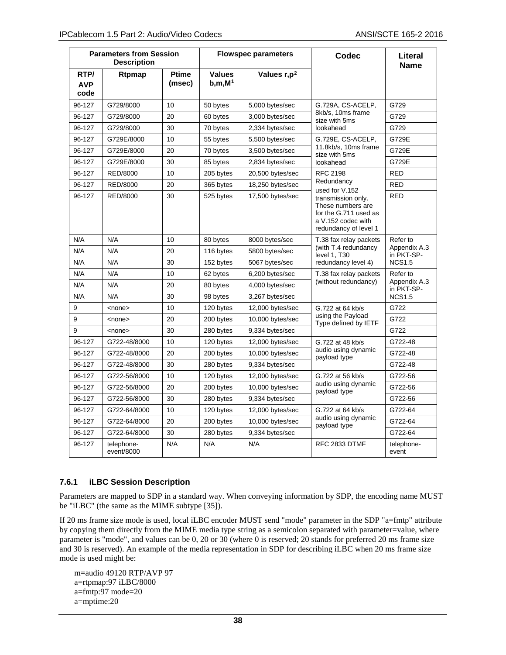|                            | <b>Description</b>       | <b>Parameters from Session</b> |                                     | <b>Flowspec parameters</b> | <b>Codec</b>                                                                                                                      | Literal<br><b>Name</b>     |
|----------------------------|--------------------------|--------------------------------|-------------------------------------|----------------------------|-----------------------------------------------------------------------------------------------------------------------------------|----------------------------|
| RTP/<br><b>AVP</b><br>code | Rtpmap                   | <b>Ptime</b><br>(msec)         | <b>Values</b><br>b.m.M <sup>1</sup> | Values r,p <sup>2</sup>    |                                                                                                                                   |                            |
| 96-127                     | G729/8000                | 10                             | 50 bytes                            | 5,000 bytes/sec            | G.729A, CS-ACELP,                                                                                                                 | G729                       |
| 96-127                     | G729/8000                | 20                             | 60 bytes                            | 3,000 bytes/sec            | 8kb/s, 10ms frame<br>size with 5ms                                                                                                | G729                       |
| 96-127                     | G729/8000                | 30                             | 70 bytes                            | 2,334 bytes/sec            | lookahead                                                                                                                         | G729                       |
| 96-127                     | G729E/8000               | 10                             | 55 bytes                            | 5,500 bytes/sec            | G.729E, CS-ACELP,                                                                                                                 | G729E                      |
| 96-127                     | G729E/8000               | 20                             | 70 bytes                            | 3,500 bytes/sec            | 11.8kb/s, 10ms frame<br>size with 5ms                                                                                             | G729E                      |
| 96-127                     | G729E/8000               | 30                             | 85 bytes                            | 2,834 bytes/sec            | lookahead                                                                                                                         | G729E                      |
| 96-127                     | RED/8000                 | 10                             | 205 bytes                           | 20,500 bytes/sec           | <b>RFC 2198</b>                                                                                                                   | <b>RED</b>                 |
| 96-127                     | RED/8000                 | 20                             | 365 bytes                           | 18,250 bytes/sec           | Redundancy                                                                                                                        | <b>RED</b>                 |
| 96-127                     | RED/8000                 | 30                             | 525 bytes                           | 17,500 bytes/sec           | used for V.152<br>transmission only.<br>These numbers are<br>for the G.711 used as<br>a V.152 codec with<br>redundancy of level 1 | <b>RED</b>                 |
| N/A                        | N/A                      | 10                             | 80 bytes                            | 8000 bytes/sec             | T.38 fax relay packets                                                                                                            | Refer to                   |
| N/A                        | N/A                      | 20                             | 116 bytes                           | 5800 bytes/sec             | (with T.4 redundancy<br>level 1, T30                                                                                              | Appendix A.3<br>in PKT-SP- |
| N/A                        | N/A                      | 30                             | 152 bytes                           | 5067 bytes/sec             | redundancy level 4)                                                                                                               | <b>NCS1.5</b>              |
| N/A                        | N/A                      | 10                             | 62 bytes                            | 6,200 bytes/sec            | T.38 fax relay packets                                                                                                            | Refer to                   |
| N/A                        | N/A                      | 20                             | 80 bytes                            | 4,000 bytes/sec            | (without redundancy)                                                                                                              | Appendix A.3<br>in PKT-SP- |
| N/A                        | N/A                      | 30                             | 98 bytes                            | 3,267 bytes/sec            |                                                                                                                                   | <b>NCS1.5</b>              |
| 9                          | $<$ none $>$             | 10                             | 120 bytes                           | 12,000 bytes/sec           | G.722 at 64 kb/s                                                                                                                  | G722                       |
| 9                          | $<$ none $>$             | 20                             | 200 bytes                           | 10,000 bytes/sec           | using the Payload<br>Type defined by IETF                                                                                         | G722                       |
| 9                          | $<$ none $>$             | 30                             | 280 bytes                           | 9,334 bytes/sec            |                                                                                                                                   | G722                       |
| 96-127                     | G722-48/8000             | 10                             | 120 bytes                           | 12,000 bytes/sec           | G.722 at 48 kb/s                                                                                                                  | G722-48                    |
| 96-127                     | G722-48/8000             | 20                             | 200 bytes                           | 10,000 bytes/sec           | audio using dynamic<br>payload type                                                                                               | G722-48                    |
| 96-127                     | G722-48/8000             | 30                             | 280 bytes                           | 9,334 bytes/sec            |                                                                                                                                   | G722-48                    |
| 96-127                     | G722-56/8000             | 10                             | 120 bytes                           | 12,000 bytes/sec           | G.722 at 56 kb/s                                                                                                                  | G722-56                    |
| 96-127                     | G722-56/8000             | 20                             | 200 bytes                           | 10,000 bytes/sec           | audio using dynamic<br>payload type                                                                                               | G722-56                    |
| 96-127                     | G722-56/8000             | 30                             | 280 bytes                           | 9,334 bytes/sec            |                                                                                                                                   | G722-56                    |
| 96-127                     | G722-64/8000             | 10                             | 120 bytes                           | 12,000 bytes/sec           | G.722 at 64 kb/s                                                                                                                  | G722-64                    |
| 96-127                     | G722-64/8000             | 20                             | 200 bytes                           | 10,000 bytes/sec           | audio using dynamic<br>payload type                                                                                               | G722-64                    |
| 96-127                     | G722-64/8000             | 30                             | 280 bytes                           | 9,334 bytes/sec            |                                                                                                                                   | G722-64                    |
| 96-127                     | telephone-<br>event/8000 | N/A                            | N/A                                 | N/A                        | RFC 2833 DTMF                                                                                                                     | telephone-<br>event        |

#### <span id="page-37-0"></span>**7.6.1 iLBC Session Description**

Parameters are mapped to SDP in a standard way. When conveying information by SDP, the encoding name MUST be "iLBC" (the same as the MIME subtype [\[35\]\)](#page-9-9).

If 20 ms frame size mode is used, local iLBC encoder MUST send "mode" parameter in the SDP "a=fmtp" attribute by copying them directly from the MIME media type string as a semicolon separated with parameter=value, where parameter is "mode", and values can be 0, 20 or 30 (where 0 is reserved; 20 stands for preferred 20 ms frame size and 30 is reserved). An example of the media representation in SDP for describing iLBC when 20 ms frame size mode is used might be:

m=audio 49120 RTP/AVP 97 a=rtpmap:97 iLBC/8000 a=fmtp:97 mode=20 a=mptime:20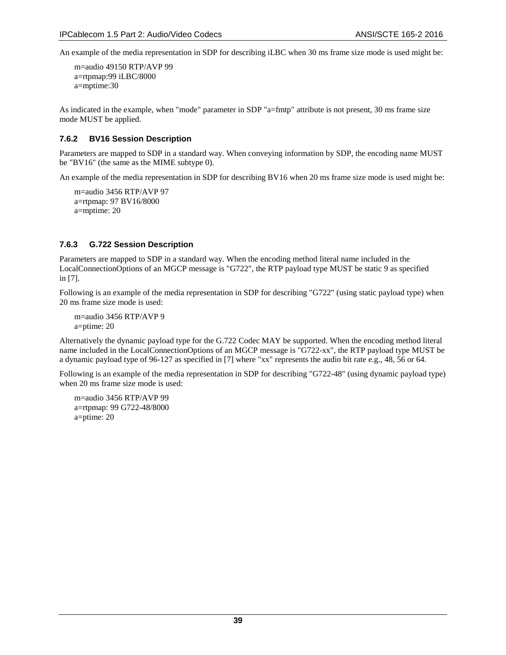An example of the media representation in SDP for describing iLBC when 30 ms frame size mode is used might be:

m=audio 49150 RTP/AVP 99 a=rtpmap:99 iLBC/8000 a=mptime:30

As indicated in the example, when "mode" parameter in SDP "a=fmtp" attribute is not present, 30 ms frame size mode MUST be applied.

#### <span id="page-38-0"></span>**7.6.2 BV16 Session Description**

Parameters are mapped to SDP in a standard way. When conveying information by SDP, the encoding name MUST be "BV16" (the same as the MIME subtype [0\)](#page-8-11).

An example of the media representation in SDP for describing BV16 when 20 ms frame size mode is used might be:

```
m=audio 3456 RTP/AVP 97
a=rtpmap: 97 BV16/8000
a=mptime: 20
```
#### <span id="page-38-1"></span>**7.6.3 G.722 Session Description**

Parameters are mapped to SDP in a standard way. When the encoding method literal name included in the LocalConnectionOptions of an MGCP message is "G722", the RTP payload type MUST be static 9 as specified in [\[7\].](#page-8-12)

Following is an example of the media representation in SDP for describing "G722" (using static payload type) when 20 ms frame size mode is used:

m=audio 3456 RTP/AVP 9 a=ptime: 20

Alternatively the dynamic payload type for the G.722 Codec MAY be supported. When the encoding method literal name included in the LocalConnectionOptions of an MGCP message is "G722-xx", the RTP payload type MUST be a dynamic payload type of 96-127 as specified in [\[7\]](#page-8-12) where "xx" represents the audio bit rate e.g., 48, 56 or 64.

Following is an example of the media representation in SDP for describing "G722-48" (using dynamic payload type) when 20 ms frame size mode is used:

m=audio 3456 RTP/AVP 99 a=rtpmap: 99 G722-48/8000 a=ptime: 20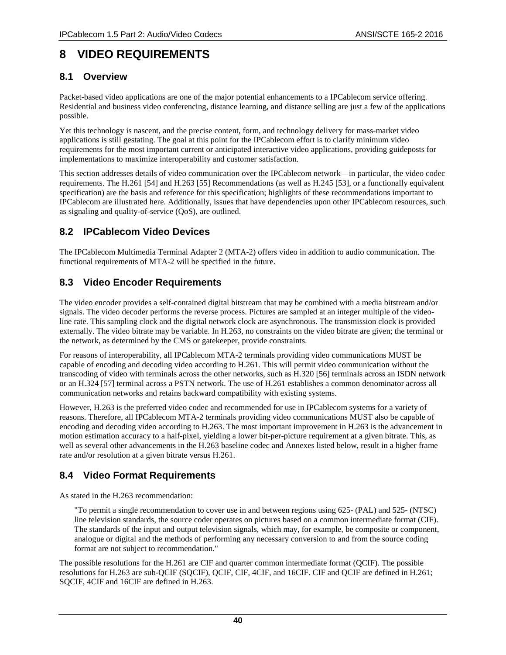# <span id="page-39-0"></span>**8 VIDEO REQUIREMENTS**

# <span id="page-39-1"></span>**8.1 Overview**

Packet-based video applications are one of the major potential enhancements to a IPCablecom service offering. Residential and business video conferencing, distance learning, and distance selling are just a few of the applications possible.

Yet this technology is nascent, and the precise content, form, and technology delivery for mass-market video applications is still gestating. The goal at this point for the IPCablecom effort is to clarify minimum video requirements for the most important current or anticipated interactive video applications, providing guideposts for implementations to maximize interoperability and customer satisfaction.

This section addresses details of video communication over the IPCablecom network—in particular, the video codec requirements. The H.26[1 \[54\]](#page-10-0) and H.263 [\[55\]](#page-10-1) Recommendations (as well as H.245 [\[53\],](#page-10-2) or a functionally equivalent specification) are the basis and reference for this specification; highlights of these recommendations important to IPCablecom are illustrated here. Additionally, issues that have dependencies upon other IPCablecom resources, such as signaling and quality-of-service (QoS), are outlined.

# <span id="page-39-2"></span>**8.2 IPCablecom Video Devices**

The IPCablecom Multimedia Terminal Adapter 2 (MTA-2) offers video in addition to audio communication. The functional requirements of MTA-2 will be specified in the future.

# <span id="page-39-3"></span>**8.3 Video Encoder Requirements**

The video encoder provides a self-contained digital bitstream that may be combined with a media bitstream and/or signals. The video decoder performs the reverse process. Pictures are sampled at an integer multiple of the videoline rate. This sampling clock and the digital network clock are asynchronous. The transmission clock is provided externally. The video bitrate may be variable. In H.263, no constraints on the video bitrate are given; the terminal or the network, as determined by the CMS or gatekeeper, provide constraints.

For reasons of interoperability, all IPCablecom MTA-2 terminals providing video communications MUST be capable of encoding and decoding video according to H.261. This will permit video communication without the transcoding of video with terminals across the other networks, such as H.320 [\[56\]](#page-10-3) terminals across an ISDN network or an H.324 [\[57\]](#page-10-4) terminal across a PSTN network. The use of H.261 establishes a common denominator across all communication networks and retains backward compatibility with existing systems.

However, H.263 is the preferred video codec and recommended for use in IPCablecom systems for a variety of reasons. Therefore, all IPCablecom MTA-2 terminals providing video communications MUST also be capable of encoding and decoding video according to H.263. The most important improvement in H.263 is the advancement in motion estimation accuracy to a half-pixel, yielding a lower bit-per-picture requirement at a given bitrate. This, as well as several other advancements in the H.263 baseline codec and Annexes listed below, result in a higher frame rate and/or resolution at a given bitrate versus H.261.

# <span id="page-39-4"></span>**8.4 Video Format Requirements**

As stated in the H.263 recommendation:

"To permit a single recommendation to cover use in and between regions using 625- (PAL) and 525- (NTSC) line television standards, the source coder operates on pictures based on a common intermediate format (CIF). The standards of the input and output television signals, which may, for example, be composite or component, analogue or digital and the methods of performing any necessary conversion to and from the source coding format are not subject to recommendation."

The possible resolutions for the H.261 are CIF and quarter common intermediate format (QCIF). The possible resolutions for H.263 are sub-QCIF (SQCIF), QCIF, CIF, 4CIF, and 16CIF. CIF and QCIF are defined in H.261; SQCIF, 4CIF and 16CIF are defined in H.263.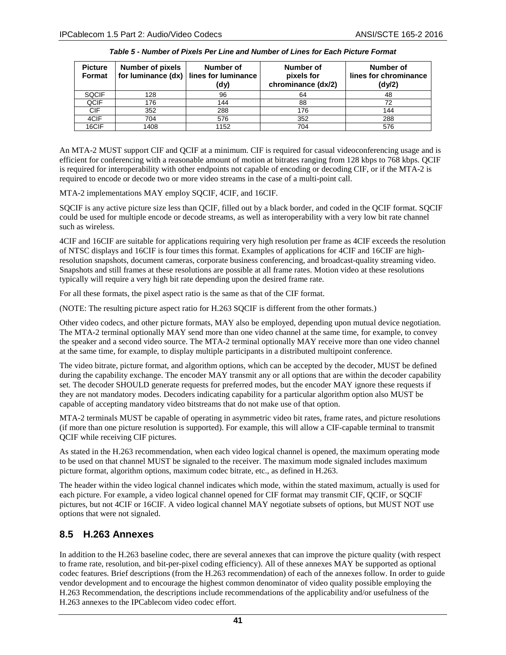<span id="page-40-1"></span>

| <b>Picture</b><br>Format | <b>Number of pixels</b> | Number of<br>for luminance $(dx)$ lines for luminance<br>(dy) | Number of<br>pixels for<br>chrominance (dx/2) | Number of<br>lines for chrominance<br>(dy/2) |
|--------------------------|-------------------------|---------------------------------------------------------------|-----------------------------------------------|----------------------------------------------|
| <b>SQCIF</b>             | 128                     | 96                                                            | 64                                            | 48                                           |
| QCIF                     | 176                     | 144                                                           | 88                                            | 72                                           |
| <b>CIF</b>               | 352                     | 288                                                           | 176                                           | 144                                          |
| 4CIF                     | 704                     | 576                                                           | 352                                           | 288                                          |
| 16CIF                    | 1408                    | 1152                                                          | 704                                           | 576                                          |

| Table 5 - Number of Pixels Per Line and Number of Lines for Each Picture Format |  |  |  |  |
|---------------------------------------------------------------------------------|--|--|--|--|
|                                                                                 |  |  |  |  |

An MTA-2 MUST support CIF and QCIF at a minimum. CIF is required for casual videoconferencing usage and is efficient for conferencing with a reasonable amount of motion at bitrates ranging from 128 kbps to 768 kbps. QCIF is required for interoperability with other endpoints not capable of encoding or decoding CIF, or if the MTA-2 is required to encode or decode two or more video streams in the case of a multi-point call.

MTA-2 implementations MAY employ SQCIF, 4CIF, and 16CIF.

SQCIF is any active picture size less than QCIF, filled out by a black border, and coded in the QCIF format. SQCIF could be used for multiple encode or decode streams, as well as interoperability with a very low bit rate channel such as wireless.

4CIF and 16CIF are suitable for applications requiring very high resolution per frame as 4CIF exceeds the resolution of NTSC displays and 16CIF is four times this format. Examples of applications for 4CIF and 16CIF are highresolution snapshots, document cameras, corporate business conferencing, and broadcast-quality streaming video. Snapshots and still frames at these resolutions are possible at all frame rates. Motion video at these resolutions typically will require a very high bit rate depending upon the desired frame rate.

For all these formats, the pixel aspect ratio is the same as that of the CIF format.

(NOTE: The resulting picture aspect ratio for H.263 SQCIF is different from the other formats.)

Other video codecs, and other picture formats, MAY also be employed, depending upon mutual device negotiation. The MTA-2 terminal optionally MAY send more than one video channel at the same time, for example, to convey the speaker and a second video source. The MTA-2 terminal optionally MAY receive more than one video channel at the same time, for example, to display multiple participants in a distributed multipoint conference.

The video bitrate, picture format, and algorithm options, which can be accepted by the decoder, MUST be defined during the capability exchange. The encoder MAY transmit any or all options that are within the decoder capability set. The decoder SHOULD generate requests for preferred modes, but the encoder MAY ignore these requests if they are not mandatory modes. Decoders indicating capability for a particular algorithm option also MUST be capable of accepting mandatory video bitstreams that do not make use of that option.

MTA-2 terminals MUST be capable of operating in asymmetric video bit rates, frame rates, and picture resolutions (if more than one picture resolution is supported). For example, this will allow a CIF-capable terminal to transmit QCIF while receiving CIF pictures.

As stated in the H.263 recommendation, when each video logical channel is opened, the maximum operating mode to be used on that channel MUST be signaled to the receiver. The maximum mode signaled includes maximum picture format, algorithm options, maximum codec bitrate, etc., as defined in H.263.

The header within the video logical channel indicates which mode, within the stated maximum, actually is used for each picture. For example, a video logical channel opened for CIF format may transmit CIF, QCIF, or SQCIF pictures, but not 4CIF or 16CIF. A video logical channel MAY negotiate subsets of options, but MUST NOT use options that were not signaled.

# <span id="page-40-0"></span>**8.5 H.263 Annexes**

In addition to the H.263 baseline codec, there are several annexes that can improve the picture quality (with respect to frame rate, resolution, and bit-per-pixel coding efficiency). All of these annexes MAY be supported as optional codec features. Brief descriptions (from the H.263 recommendation) of each of the annexes follow. In order to guide vendor development and to encourage the highest common denominator of video quality possible employing the H.263 Recommendation, the descriptions include recommendations of the applicability and/or usefulness of the H.263 annexes to the IPCablecom video codec effort.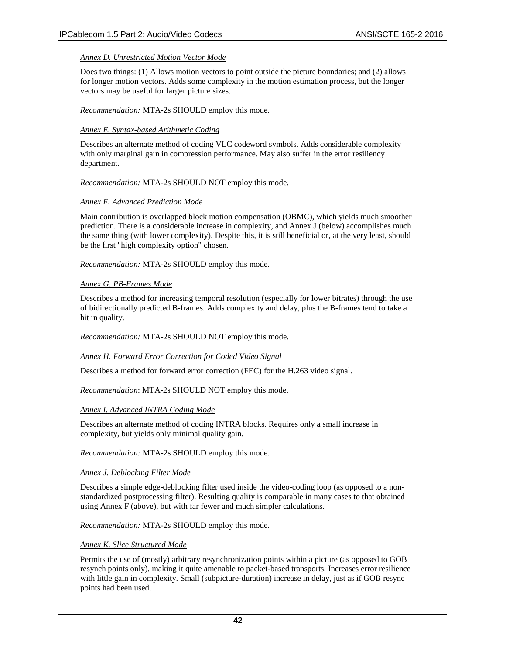#### *Annex D. Unrestricted Motion Vector Mode*

Does two things: (1) Allows motion vectors to point outside the picture boundaries; and (2) allows for longer motion vectors. Adds some complexity in the motion estimation process, but the longer vectors may be useful for larger picture sizes.

*Recommendation:* MTA-2s SHOULD employ this mode.

#### *Annex E. Syntax-based Arithmetic Coding*

Describes an alternate method of coding VLC codeword symbols. Adds considerable complexity with only marginal gain in compression performance. May also suffer in the error resiliency department.

*Recommendation:* MTA-2s SHOULD NOT employ this mode.

#### *Annex F. Advanced Prediction Mode*

Main contribution is overlapped block motion compensation (OBMC), which yields much smoother prediction. There is a considerable increase in complexity, and Annex J (below) accomplishes much the same thing (with lower complexity). Despite this, it is still beneficial or, at the very least, should be the first "high complexity option" chosen.

*Recommendation:* MTA-2s SHOULD employ this mode.

#### *Annex G. PB-Frames Mode*

Describes a method for increasing temporal resolution (especially for lower bitrates) through the use of bidirectionally predicted B-frames. Adds complexity and delay, plus the B-frames tend to take a hit in quality.

*Recommendation:* MTA-2s SHOULD NOT employ this mode.

#### *Annex H. Forward Error Correction for Coded Video Signal*

Describes a method for forward error correction (FEC) for the H.263 video signal.

*Recommendation*: MTA-2s SHOULD NOT employ this mode.

#### *Annex I. Advanced INTRA Coding Mode*

Describes an alternate method of coding INTRA blocks. Requires only a small increase in complexity, but yields only minimal quality gain.

*Recommendation:* MTA-2s SHOULD employ this mode.

#### *Annex J. Deblocking Filter Mode*

Describes a simple edge-deblocking filter used inside the video-coding loop (as opposed to a nonstandardized postprocessing filter). Resulting quality is comparable in many cases to that obtained using Annex F (above), but with far fewer and much simpler calculations.

*Recommendation:* MTA-2s SHOULD employ this mode.

#### *Annex K. Slice Structured Mode*

Permits the use of (mostly) arbitrary resynchronization points within a picture (as opposed to GOB resynch points only), making it quite amenable to packet-based transports. Increases error resilience with little gain in complexity. Small (subpicture-duration) increase in delay, just as if GOB resync points had been used.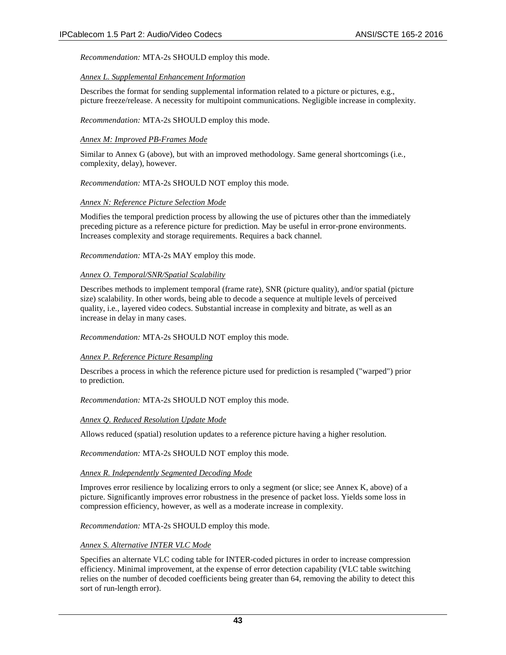*Recommendation:* MTA-2s SHOULD employ this mode.

#### *Annex L. Supplemental Enhancement Information*

Describes the format for sending supplemental information related to a picture or pictures, e.g., picture freeze/release. A necessity for multipoint communications. Negligible increase in complexity.

*Recommendation:* MTA-2s SHOULD employ this mode.

#### *Annex M: Improved PB-Frames Mode*

Similar to Annex G (above), but with an improved methodology. Same general shortcomings (i.e*.*, complexity, delay), however.

*Recommendation:* MTA-2s SHOULD NOT employ this mode.

#### *Annex N: Reference Picture Selection Mode*

Modifies the temporal prediction process by allowing the use of pictures other than the immediately preceding picture as a reference picture for prediction. May be useful in error-prone environments. Increases complexity and storage requirements. Requires a back channel.

*Recommendation:* MTA-2s MAY employ this mode.

#### *Annex O. Temporal/SNR/Spatial Scalability*

Describes methods to implement temporal (frame rate), SNR (picture quality), and/or spatial (picture size) scalability. In other words, being able to decode a sequence at multiple levels of perceived quality, i.e*.*, layered video codecs. Substantial increase in complexity and bitrate, as well as an increase in delay in many cases.

*Recommendation:* MTA-2s SHOULD NOT employ this mode.

#### *Annex P. Reference Picture Resampling*

Describes a process in which the reference picture used for prediction is resampled ("warped") prior to prediction.

*Recommendation:* MTA-2s SHOULD NOT employ this mode.

#### *Annex Q. Reduced Resolution Update Mode*

Allows reduced (spatial) resolution updates to a reference picture having a higher resolution.

*Recommendation:* MTA-2s SHOULD NOT employ this mode.

#### *Annex R. Independently Segmented Decoding Mode*

Improves error resilience by localizing errors to only a segment (or slice; see Annex K, above) of a picture. Significantly improves error robustness in the presence of packet loss. Yields some loss in compression efficiency, however, as well as a moderate increase in complexity.

*Recommendation:* MTA-2s SHOULD employ this mode.

#### *Annex S. Alternative INTER VLC Mode*

Specifies an alternate VLC coding table for INTER-coded pictures in order to increase compression efficiency. Minimal improvement, at the expense of error detection capability (VLC table switching relies on the number of decoded coefficients being greater than 64, removing the ability to detect this sort of run-length error).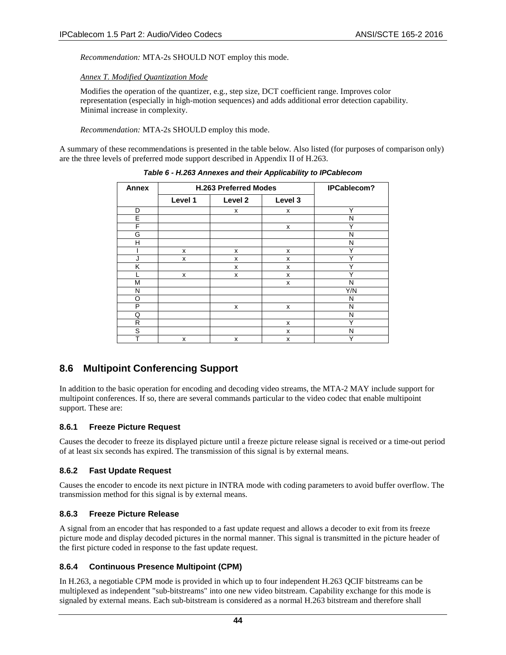*Recommendation:* MTA-2s SHOULD NOT employ this mode.

#### *Annex T. Modified Quantization Mode*

Modifies the operation of the quantizer, e.g., step size, DCT coefficient range. Improves color representation (especially in high-motion sequences) and adds additional error detection capability. Minimal increase in complexity.

*Recommendation:* MTA-2s SHOULD employ this mode.

<span id="page-43-5"></span>A summary of these recommendations is presented in the table below. Also listed (for purposes of comparison only) are the three levels of preferred mode support described in Appendix II of H.263.

| <b>Annex</b> |         | <b>H.263 Preferred Modes</b> |         | IPCablecom?  |
|--------------|---------|------------------------------|---------|--------------|
|              | Level 1 | Level 2                      | Level 3 |              |
| D            |         | х                            | x       | Υ            |
| E            |         |                              |         | Ν            |
| F            |         |                              | X       | Υ            |
| G            |         |                              |         | N            |
| н            |         |                              |         | N            |
|              | x       | x                            | x       | Υ            |
| J            | x       | x                            | x       |              |
| K            |         | x                            | x       | $\checkmark$ |
|              | x       | x                            | x       | Υ            |
| M            |         |                              | X       | N            |
| N            |         |                              |         | Y/N          |
| O            |         |                              |         | N            |
| P            |         | x                            | x       | N            |
| Q            |         |                              |         | N            |
| R            |         |                              | x       | Υ            |
| S            |         |                              | x       | N            |
| Т            | x       | x                            | x       | Υ            |

*Table 6 - H.263 Annexes and their Applicability to IPCablecom*

### <span id="page-43-0"></span>**8.6 Multipoint Conferencing Support**

In addition to the basic operation for encoding and decoding video streams, the MTA-2 MAY include support for multipoint conferences. If so, there are several commands particular to the video codec that enable multipoint support. These are:

#### <span id="page-43-1"></span>**8.6.1 Freeze Picture Request**

Causes the decoder to freeze its displayed picture until a freeze picture release signal is received or a time-out period of at least six seconds has expired. The transmission of this signal is by external means.

#### <span id="page-43-2"></span>**8.6.2 Fast Update Request**

Causes the encoder to encode its next picture in INTRA mode with coding parameters to avoid buffer overflow. The transmission method for this signal is by external means.

#### <span id="page-43-3"></span>**8.6.3 Freeze Picture Release**

A signal from an encoder that has responded to a fast update request and allows a decoder to exit from its freeze picture mode and display decoded pictures in the normal manner. This signal is transmitted in the picture header of the first picture coded in response to the fast update request.

#### <span id="page-43-4"></span>**8.6.4 Continuous Presence Multipoint (CPM)**

In H.263, a negotiable CPM mode is provided in which up to four independent H.263 QCIF bitstreams can be multiplexed as independent "sub-bitstreams" into one new video bitstream. Capability exchange for this mode is signaled by external means. Each sub-bitstream is considered as a normal H.263 bitstream and therefore shall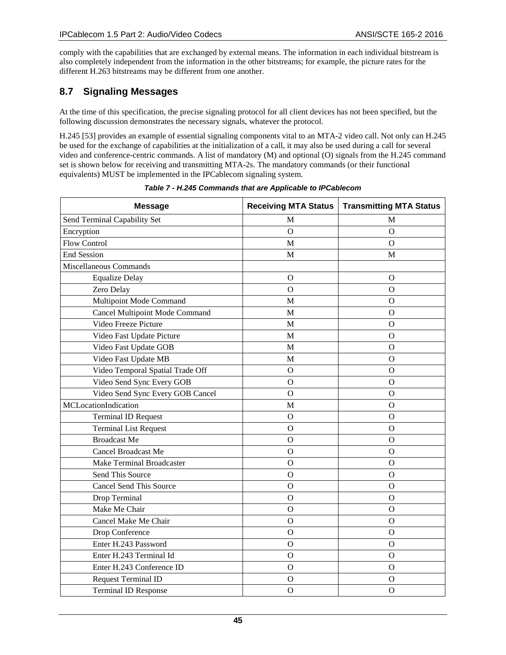comply with the capabilities that are exchanged by external means. The information in each individual bitstream is also completely independent from the information in the other bitstreams; for example, the picture rates for the different H.263 bitstreams may be different from one another.

# <span id="page-44-0"></span>**8.7 Signaling Messages**

At the time of this specification, the precise signaling protocol for all client devices has not been specified, but the following discussion demonstrates the necessary signals, whatever the protocol.

H.245 [\[53\]](#page-10-2) provides an example of essential signaling components vital to an MTA-2 video call. Not only can H.245 be used for the exchange of capabilities at the initialization of a call, it may also be used during a call for several video and conference-centric commands. A list of mandatory (M) and optional (O) signals from the H.245 command set is shown below for receiving and transmitting MTA-2s. The mandatory commands (or their functional equivalents) MUST be implemented in the IPCablecom signaling system.

<span id="page-44-1"></span>

| <b>Message</b>                        | <b>Receiving MTA Status</b> | <b>Transmitting MTA Status</b> |
|---------------------------------------|-----------------------------|--------------------------------|
| Send Terminal Capability Set          | M                           | М                              |
| Encryption                            | $\mathbf O$                 | $\mathbf O$                    |
| <b>Flow Control</b>                   | M                           | $\Omega$                       |
| <b>End Session</b>                    | M                           | M                              |
| Miscellaneous Commands                |                             |                                |
| <b>Equalize Delay</b>                 | О                           | O                              |
| Zero Delay                            | $\mathbf{O}$                | $\Omega$                       |
| Multipoint Mode Command               | M                           | $\Omega$                       |
| <b>Cancel Multipoint Mode Command</b> | $\mathbf M$                 | $\Omega$                       |
| Video Freeze Picture                  | M                           | $\overline{O}$                 |
| Video Fast Update Picture             | M                           | $\mathbf O$                    |
| Video Fast Update GOB                 | M                           | $\Omega$                       |
| Video Fast Update MB                  | M                           | $\overline{O}$                 |
| Video Temporal Spatial Trade Off      | $\mathbf O$                 | $\Omega$                       |
| Video Send Sync Every GOB             | $\mathbf{O}$                | $\Omega$                       |
| Video Send Sync Every GOB Cancel      | $\mathbf O$                 | $\overline{O}$                 |
| MCLocationIndication                  | $\mathbf M$                 | $\mathbf O$                    |
| <b>Terminal ID Request</b>            | $\mathbf O$                 | $\mathbf O$                    |
| <b>Terminal List Request</b>          | $\mathbf{O}$                | $\mathbf{O}$                   |
| <b>Broadcast Me</b>                   | O                           | O                              |
| <b>Cancel Broadcast Me</b>            | O                           | $\Omega$                       |
| Make Terminal Broadcaster             | $\Omega$                    | $\Omega$                       |
| Send This Source                      | $\mathbf{O}$                | $\Omega$                       |
| <b>Cancel Send This Source</b>        | $\overline{O}$              | $\mathbf O$                    |
| Drop Terminal                         | $\overline{O}$              | $\mathbf O$                    |
| Make Me Chair                         | O                           | O                              |
| Cancel Make Me Chair                  | $\mathbf{O}$                | $\Omega$                       |
| Drop Conference                       | $\overline{O}$              | $\Omega$                       |
| Enter H.243 Password                  | O                           | O                              |
| Enter H.243 Terminal Id               | $\mathbf{O}$                | $\Omega$                       |
| Enter H.243 Conference ID             | $\Omega$                    | $\Omega$                       |
| <b>Request Terminal ID</b>            | О                           | О                              |
| <b>Terminal ID Response</b>           | $\mathbf O$                 | $\overline{O}$                 |

*Table 7 - H.245 Commands that are Applicable to IPCablecom*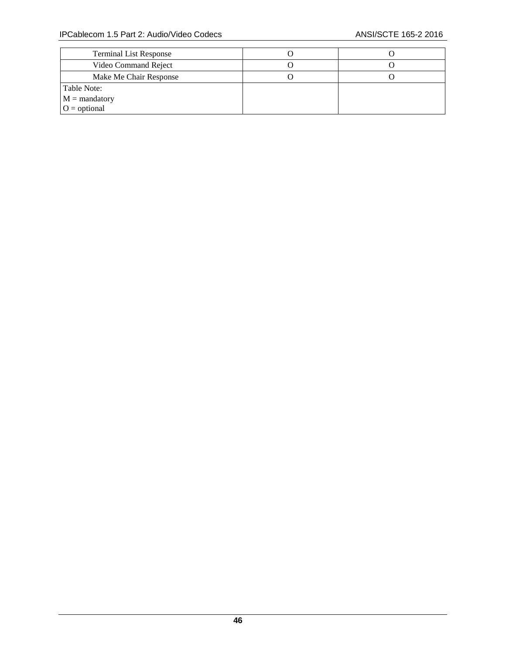| <b>Terminal List Response</b> |  |
|-------------------------------|--|
| Video Command Reject          |  |
| Make Me Chair Response        |  |
| Table Note:                   |  |
| $M =$ mandatory               |  |
| $O =$ optional                |  |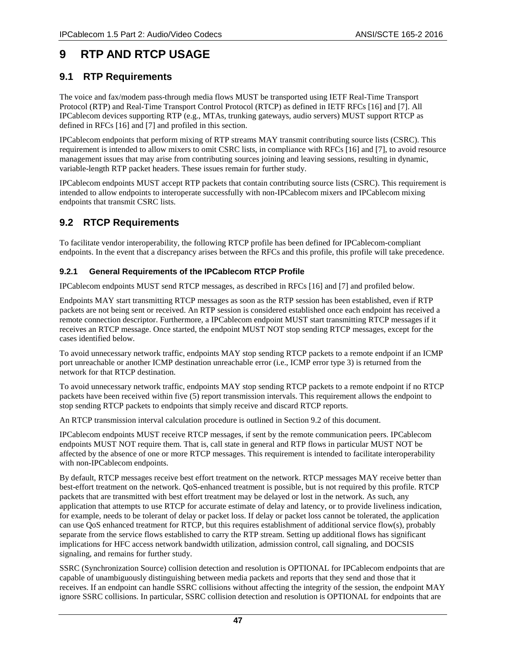# <span id="page-46-0"></span>**9 RTP AND RTCP USAGE**

# <span id="page-46-1"></span>**9.1 RTP Requirements**

The voice and fax/modem pass-through media flows MUST be transported using IETF Real-Time Transport Protocol (RTP) and Real-Time Transport Control Protocol (RTCP) as defined in IETF RFCs [\[16\]](#page-8-10) and [\[7\].](#page-8-12) All IPCablecom devices supporting RTP (e.g., MTAs, trunking gateways, audio servers) MUST support RTCP as defined in RFCs [\[16\]](#page-8-10) and [\[7\]](#page-8-12) and profiled in this section.

IPCablecom endpoints that perform mixing of RTP streams MAY transmit contributing source lists (CSRC). This requirement is intended to allow mixers to omit CSRC lists, in compliance with RFCs [\[16\]](#page-8-10) and [\[7\],](#page-8-12) to avoid resource management issues that may arise from contributing sources joining and leaving sessions, resulting in dynamic, variable-length RTP packet headers. These issues remain for further study.

IPCablecom endpoints MUST accept RTP packets that contain contributing source lists (CSRC). This requirement is intended to allow endpoints to interoperate successfully with non-IPCablecom mixers and IPCablecom mixing endpoints that transmit CSRC lists.

# <span id="page-46-2"></span>**9.2 RTCP Requirements**

To facilitate vendor interoperability, the following RTCP profile has been defined for IPCablecom-compliant endpoints. In the event that a discrepancy arises between the RFCs and this profile, this profile will take precedence.

#### <span id="page-46-3"></span>**9.2.1 General Requirements of the IPCablecom RTCP Profile**

IPCablecom endpoints MUST send RTCP messages, as described in RFCs [\[16\]](#page-8-10) and [\[7\]](#page-8-12) and profiled below.

Endpoints MAY start transmitting RTCP messages as soon as the RTP session has been established, even if RTP packets are not being sent or received. An RTP session is considered established once each endpoint has received a remote connection descriptor. Furthermore, a IPCablecom endpoint MUST start transmitting RTCP messages if it receives an RTCP message. Once started, the endpoint MUST NOT stop sending RTCP messages, except for the cases identified below.

To avoid unnecessary network traffic, endpoints MAY stop sending RTCP packets to a remote endpoint if an ICMP port unreachable or another ICMP destination unreachable error (i.e., ICMP error type 3) is returned from the network for that RTCP destination.

To avoid unnecessary network traffic, endpoints MAY stop sending RTCP packets to a remote endpoint if no RTCP packets have been received within five (5) report transmission intervals. This requirement allows the endpoint to stop sending RTCP packets to endpoints that simply receive and discard RTCP reports.

An RTCP transmission interval calculation procedure is outlined in Section [9.2](#page-46-2) of this document.

IPCablecom endpoints MUST receive RTCP messages, if sent by the remote communication peers. IPCablecom endpoints MUST NOT require them. That is, call state in general and RTP flows in particular MUST NOT be affected by the absence of one or more RTCP messages. This requirement is intended to facilitate interoperability with non-IPCablecom endpoints.

By default, RTCP messages receive best effort treatment on the network. RTCP messages MAY receive better than best-effort treatment on the network. QoS-enhanced treatment is possible, but is not required by this profile. RTCP packets that are transmitted with best effort treatment may be delayed or lost in the network. As such, any application that attempts to use RTCP for accurate estimate of delay and latency, or to provide liveliness indication, for example, needs to be tolerant of delay or packet loss. If delay or packet loss cannot be tolerated, the application can use QoS enhanced treatment for RTCP, but this requires establishment of additional service flow(s), probably separate from the service flows established to carry the RTP stream. Setting up additional flows has significant implications for HFC access network bandwidth utilization, admission control, call signaling, and DOCSIS signaling, and remains for further study.

SSRC (Synchronization Source) collision detection and resolution is OPTIONAL for IPCablecom endpoints that are capable of unambiguously distinguishing between media packets and reports that they send and those that it receives. If an endpoint can handle SSRC collisions without affecting the integrity of the session, the endpoint MAY ignore SSRC collisions. In particular, SSRC collision detection and resolution is OPTIONAL for endpoints that are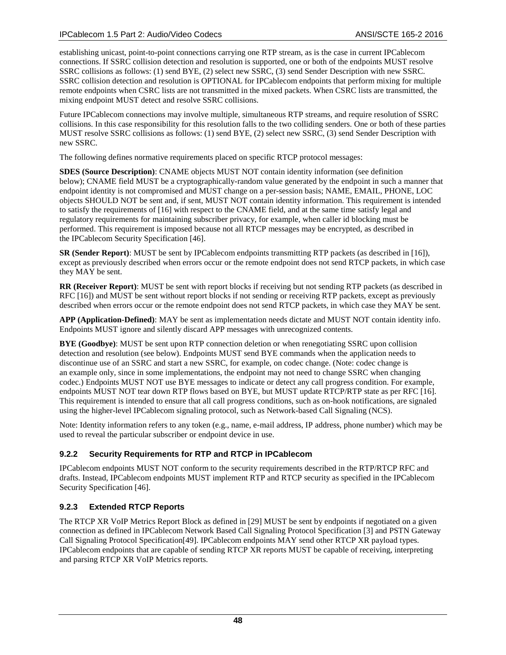establishing unicast, point-to-point connections carrying one RTP stream, as is the case in current IPCablecom connections. If SSRC collision detection and resolution is supported, one or both of the endpoints MUST resolve SSRC collisions as follows: (1) send BYE, (2) select new SSRC, (3) send Sender Description with new SSRC. SSRC collision detection and resolution is OPTIONAL for IPCablecom endpoints that perform mixing for multiple remote endpoints when CSRC lists are not transmitted in the mixed packets. When CSRC lists are transmitted, the mixing endpoint MUST detect and resolve SSRC collisions.

Future IPCablecom connections may involve multiple, simultaneous RTP streams, and require resolution of SSRC collisions. In this case responsibility for this resolution falls to the two colliding senders. One or both of these parties MUST resolve SSRC collisions as follows: (1) send BYE, (2) select new SSRC, (3) send Sender Description with new SSRC.

The following defines normative requirements placed on specific RTCP protocol messages:

**SDES (Source Description)**: CNAME objects MUST NOT contain identity information (see definition below); CNAME field MUST be a cryptographically-random value generated by the endpoint in such a manner that endpoint identity is not compromised and MUST change on a per-session basis; NAME, EMAIL, PHONE, LOC objects SHOULD NOT be sent and, if sent, MUST NOT contain identity information. This requirement is intended to satisfy the requirements of [\[16\]](#page-8-10) with respect to the CNAME field, and at the same time satisfy legal and regulatory requirements for maintaining subscriber privacy, for example, when caller id blocking must be performed. This requirement is imposed because not all RTCP messages may be encrypted, as described in the IPCablecom Security Specificatio[n \[46\].](#page-9-6)

**SR (Sender Report)**: MUST be sent by IPCablecom endpoints transmitting RTP packets (as described in [\[16\]\)](#page-8-10), except as previously described when errors occur or the remote endpoint does not send RTCP packets, in which case they MAY be sent.

**RR (Receiver Report)**: MUST be sent with report blocks if receiving but not sending RTP packets (as described in RFC [\[16\]\)](#page-8-10) and MUST be sent without report blocks if not sending or receiving RTP packets, except as previously described when errors occur or the remote endpoint does not send RTCP packets, in which case they MAY be sent.

**APP (Application-Defined)**: MAY be sent as implementation needs dictate and MUST NOT contain identity info. Endpoints MUST ignore and silently discard APP messages with unrecognized contents.

**BYE (Goodbye)**: MUST be sent upon RTP connection deletion or when renegotiating SSRC upon collision detection and resolution (see below). Endpoints MUST send BYE commands when the application needs to discontinue use of an SSRC and start a new SSRC, for example, on codec change. (Note: codec change is an example only, since in some implementations, the endpoint may not need to change SSRC when changing codec.) Endpoints MUST NOT use BYE messages to indicate or detect any call progress condition. For example, endpoints MUST NOT tear down RTP flows based on BYE, but MUST update RTCP/RTP state as per RFC [\[16\].](#page-8-10) This requirement is intended to ensure that all call progress conditions, such as on-hook notifications, are signaled using the higher-level IPCablecom signaling protocol, such as Network-based Call Signaling (NCS).

Note: Identity information refers to any token (e.g., name, e-mail address, IP address, phone number) which may be used to reveal the particular subscriber or endpoint device in use.

### <span id="page-47-0"></span>**9.2.2 Security Requirements for RTP and RTCP in IPCablecom**

IPCablecom endpoints MUST NOT conform to the security requirements described in the RTP/RTCP RFC and drafts. Instead, IPCablecom endpoints MUST implement RTP and RTCP security as specified in the IPCablecom Security Specification [\[46\].](#page-9-6)

### <span id="page-47-1"></span>**9.2.3 Extended RTCP Reports**

The RTCP XR VoIP Metrics Report Block as defined in [\[29\]](#page-9-14) MUST be sent by endpoints if negotiated on a given connection as defined in IPCablecom Network Based Call Signaling Protocol Specification [\[3\]](#page-8-19) and PSTN Gateway Call Signaling Protocol Specificatio[n\[49\].](#page-9-15) IPCablecom endpoints MAY send other RTCP XR payload types. IPCablecom endpoints that are capable of sending RTCP XR reports MUST be capable of receiving, interpreting and parsing RTCP XR VoIP Metrics reports.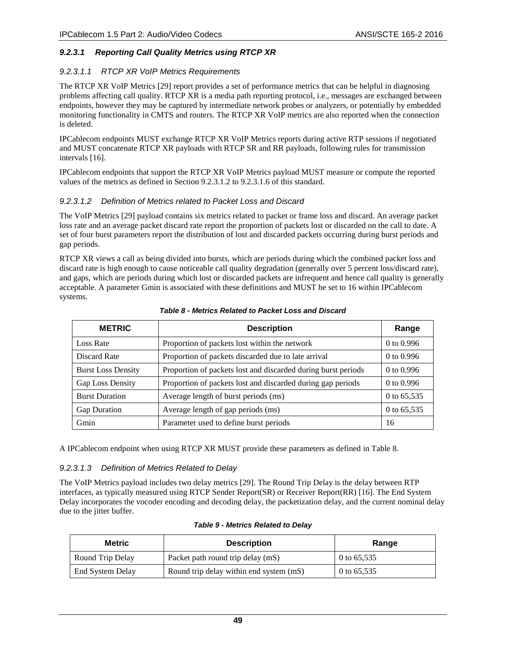#### *9.2.3.1 Reporting Call Quality Metrics using RTCP XR*

#### *9.2.3.1.1 RTCP XR VoIP Metrics Requirements*

The RTCP XR VoIP Metric[s \[29\]](#page-9-14) report provides a set of performance metrics that can be helpful in diagnosing problems affecting call quality. RTCP XR is a media path reporting protocol, i.e., messages are exchanged between endpoints, however they may be captured by intermediate network probes or analyzers, or potentially by embedded monitoring functionality in CMTS and routers. The RTCP XR VoIP metrics are also reported when the connection is deleted.

IPCablecom endpoints MUST exchange RTCP XR VoIP Metrics reports during active RTP sessions if negotiated and MUST concatenate RTCP XR payloads with RTCP SR and RR payloads, following rules for transmission intervals [\[16\].](#page-8-10)

IPCablecom endpoints that support the RTCP XR VoIP Metrics payload MUST measure or compute the reported values of the metrics as defined in Sectio[n 9.2.3.1.2](#page-48-2) to [9.2.3.1.6](#page-51-1) of this standard.

#### <span id="page-48-2"></span>*9.2.3.1.2 Definition of Metrics related to Packet Loss and Discard*

The VoIP Metric[s \[29\]](#page-9-14) payload contains six metrics related to packet or frame loss and discard. An average packet loss rate and an average packet discard rate report the proportion of packets lost or discarded on the call to date. A set of four burst parameters report the distribution of lost and discarded packets occurring during burst periods and gap periods.

RTCP XR views a call as being divided into bursts, which are periods during which the combined packet loss and discard rate is high enough to cause noticeable call quality degradation (generally over 5 percent loss/discard rate), and gaps, which are periods during which lost or discarded packets are infrequent and hence call quality is generally acceptable. A parameter Gmin is associated with these definitions and MUST be set to 16 within IPCablecom systems.

<span id="page-48-0"></span>

| <b>METRIC</b>             | <b>Description</b>                                            |              |  |  |  |  |
|---------------------------|---------------------------------------------------------------|--------------|--|--|--|--|
| <b>Loss Rate</b>          | Proportion of packets lost within the network                 | 0 to $0.996$ |  |  |  |  |
| Discard Rate              | Proportion of packets discarded due to late arrival           | 0 to $0.996$ |  |  |  |  |
| <b>Burst Loss Density</b> | Proportion of packets lost and discarded during burst periods | 0 to $0.996$ |  |  |  |  |
| <b>Gap Loss Density</b>   | Proportion of packets lost and discarded during gap periods   | 0 to $0.996$ |  |  |  |  |
| <b>Burst Duration</b>     | Average length of burst periods (ms)                          | 0 to 65,535  |  |  |  |  |
| <b>Gap Duration</b>       | Average length of gap periods (ms)                            | 0 to 65,535  |  |  |  |  |
| Gmin                      | Parameter used to define burst periods                        | 16           |  |  |  |  |

#### *Table 8 - Metrics Related to Packet Loss and Discard*

A IPCablecom endpoint when using RTCP XR MUST provide these parameters as defined i[n Table](#page-48-0) 8.

#### *9.2.3.1.3 Definition of Metrics Related to Delay*

The VoIP Metrics payload includes two delay metrics [\[29\].](#page-9-14) The Round Trip Delay is the delay between RTP interfaces, as typically measured using RTCP Sender Report(SR) or Receiver Report(RR) [\[16\].](#page-8-10) The End System Delay incorporates the vocoder encoding and decoding delay, the packetization delay, and the current nominal delay due to the jitter buffer.

<span id="page-48-1"></span>

| <b>Metric</b>    | <b>Description</b>                      | Range         |
|------------------|-----------------------------------------|---------------|
| Round Trip Delay | Packet path round trip delay (mS)       | 0 to $65,535$ |
| End System Delay | Round trip delay within end system (mS) | 0 to $65,535$ |

#### *Table 9 - Metrics Related to Delay*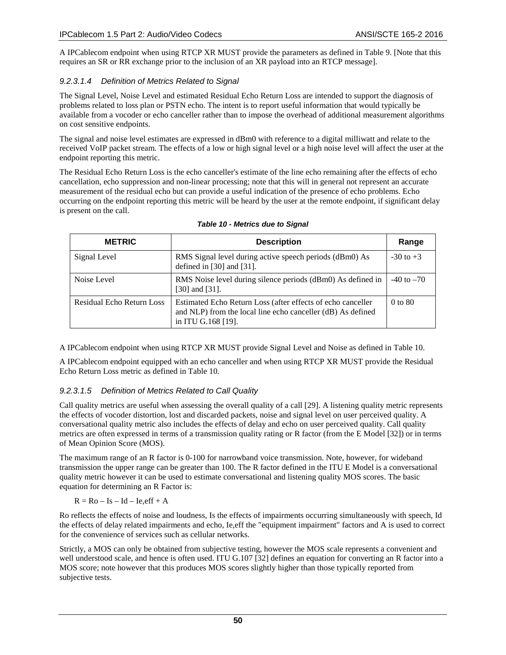A IPCablecom endpoint when using RTCP XR MUST provide the parameters as defined in [Table](#page-48-1) 9. [Note that this requires an SR or RR exchange prior to the inclusion of an XR payload into an RTCP message].

#### *9.2.3.1.4 Definition of Metrics Related to Signal*

The Signal Level, Noise Level and estimated Residual Echo Return Loss are intended to support the diagnosis of problems related to loss plan or PSTN echo. The intent is to report useful information that would typically be available from a vocoder or echo canceller rather than to impose the overhead of additional measurement algorithms on cost sensitive endpoints.

The signal and noise level estimates are expressed in dBm0 with reference to a digital milliwatt and relate to the received VoIP packet stream. The effects of a low or high signal level or a high noise level will affect the user at the endpoint reporting this metric.

The Residual Echo Return Loss is the echo canceller's estimate of the line echo remaining after the effects of echo cancellation, echo suppression and non-linear processing; note that this will in general not represent an accurate measurement of the residual echo but can provide a useful indication of the presence of echo problems. Echo occurring on the endpoint reporting this metric will be heard by the user at the remote endpoint, if significant delay is present on the call.

<span id="page-49-0"></span>

| <b>METRIC</b>             | <b>Description</b>                                                                                                                               | Range          |
|---------------------------|--------------------------------------------------------------------------------------------------------------------------------------------------|----------------|
| Signal Level              | RMS Signal level during active speech periods (dBm0) As<br>defined in $[30]$ and $[31]$ .                                                        | $-30$ to $+3$  |
| Noise Level               | RMS Noise level during silence periods (dBm0) As defined in<br>$[30]$ and $[31]$ .                                                               | $-40$ to $-70$ |
| Residual Echo Return Loss | Estimated Echo Return Loss (after effects of echo canceller<br>and NLP) from the local line echo canceller (dB) As defined<br>in ITU G.168 [19]. | $0$ to $80$    |

#### *Table 10 - Metrics due to Signal*

A IPCablecom endpoint when using RTCP XR MUST provide Signal Level and Noise as defined in [Table](#page-49-0) 10.

A IPCablecom endpoint equipped with an echo canceller and when using RTCP XR MUST provide the Residual Echo Return Loss metric as defined in [Table](#page-49-0) 10.

#### *9.2.3.1.5 Definition of Metrics Related to Call Quality*

Call quality metrics are useful when assessing the overall quality of a call [\[29\].](#page-9-14) A listening quality metric represents the effects of vocoder distortion, lost and discarded packets, noise and signal level on user perceived quality. A conversational quality metric also includes the effects of delay and echo on user perceived quality. Call quality metrics are often expressed in terms of a transmission quality rating or R factor (from the E Mode[l \[32\]\)](#page-9-18) or in terms of Mean Opinion Score (MOS).

The maximum range of an R factor is 0-100 for narrowband voice transmission. Note, however, for wideband transmission the upper range can be greater than 100. The R factor defined in the ITU E Model is a conversational quality metric however it can be used to estimate conversational and listening quality MOS scores. The basic equation for determining an R Factor is:

 $R = Ro - Is - Id - Ie,eff + A$ 

Ro reflects the effects of noise and loudness, Is the effects of impairments occurring simultaneously with speech, Id the effects of delay related impairments and echo, Ie,eff the "equipment impairment" factors and A is used to correct for the convenience of services such as cellular networks.

Strictly, a MOS can only be obtained from subjective testing, however the MOS scale represents a convenient and well understood scale, and hence is often used. ITU G.107 [\[32\]](#page-9-18) defines an equation for converting an R factor into a MOS score; note however that this produces MOS scores slightly higher than those typically reported from subjective tests.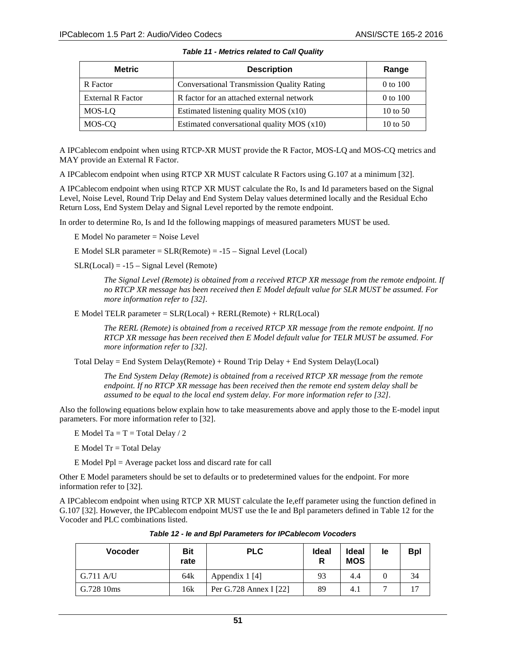<span id="page-50-0"></span>

| <b>Metric</b>            | <b>Description</b>                                | Range      |
|--------------------------|---------------------------------------------------|------------|
| R Factor                 | <b>Conversational Transmission Quality Rating</b> | 0 to 100   |
| <b>External R Factor</b> | R factor for an attached external network         | 0 to 100   |
| MOS-LQ                   | Estimated listening quality MOS $(x10)$           | 10 to $50$ |
| MOS-CQ                   | Estimated conversational quality MOS $(x10)$      | 10 to $50$ |

#### *Table 11 - Metrics related to Call Quality*

A IPCablecom endpoint when using RTCP-XR MUST provide the R Factor, MOS-LQ and MOS-CQ metrics and MAY provide an External R Factor.

A IPCablecom endpoint when using RTCP XR MUST calculate R Factors using G.107 at a minimum [\[32\].](#page-9-18)

A IPCablecom endpoint when using RTCP XR MUST calculate the Ro, Is and Id parameters based on the Signal Level, Noise Level, Round Trip Delay and End System Delay values determined locally and the Residual Echo Return Loss, End System Delay and Signal Level reported by the remote endpoint.

In order to determine Ro, Is and Id the following mappings of measured parameters MUST be used.

E Model No parameter = Noise Level

 $E$  Model SLR parameter = SLR(Remote) =  $-15 -$  Signal Level (Local)

 $SLR(Local) = -15 - Signal Level (Remote)$ 

*The Signal Level (Remote) is obtained from a received RTCP XR message from the remote endpoint. If no RTCP XR message has been received then E Model default value for SLR MUST be assumed. For more information refer to [\[32\].](#page-9-18)*

E Model TELR parameter = SLR(Local) + RERL(Remote) + RLR(Local)

*The RERL (Remote) is obtained from a received RTCP XR message from the remote endpoint. If no RTCP XR message has been received then E Model default value for TELR MUST be assumed. For more information refer to [\[32\].](#page-9-18)*

Total Delay = End System Delay(Remote) + Round Trip Delay + End System Delay(Local)

*The End System Delay (Remote) is obtained from a received RTCP XR message from the remote endpoint. If no RTCP XR message has been received then the remote end system delay shall be assumed to be equal to the local end system delay. For more information refer t[o \[32\].](#page-9-18)*

Also the following equations below explain how to take measurements above and apply those to the E-model input parameters. For more information refer t[o \[32\].](#page-9-18)

E Model Ta =  $T = Total Delay / 2$ 

 $E$  Model Tr = Total Delay

E Model Ppl = Average packet loss and discard rate for call

Other E Model parameters should be set to defaults or to predetermined values for the endpoint. For more information refer to [\[32\].](#page-9-18)

A IPCablecom endpoint when using RTCP XR MUST calculate the Ie,eff parameter using the function defined in G.107 [\[32\].](#page-9-18) However, the IPCablecom endpoint MUST use the Ie and Bpl parameters defined in [Table](#page-50-1) 12 for the Vocoder and PLC combinations listed.

<span id="page-50-1"></span>

| <b>Vocoder</b> | Bit<br>rate | <b>PLC</b>             | <b>Ideal</b><br>R | <b>Ideal</b><br><b>MOS</b> | le | <b>Bpl</b> |
|----------------|-------------|------------------------|-------------------|----------------------------|----|------------|
| G.711 A/U      | 64k         | Appendix 1 [4]         | 93                | 4.4                        |    | 34         |
| G.728 10ms     | 16k         | Per G.728 Annex I [22] | 89                | $-4.1$                     |    |            |

*Table 12 - Ie and Bpl Parameters for IPCablecom Vocoders*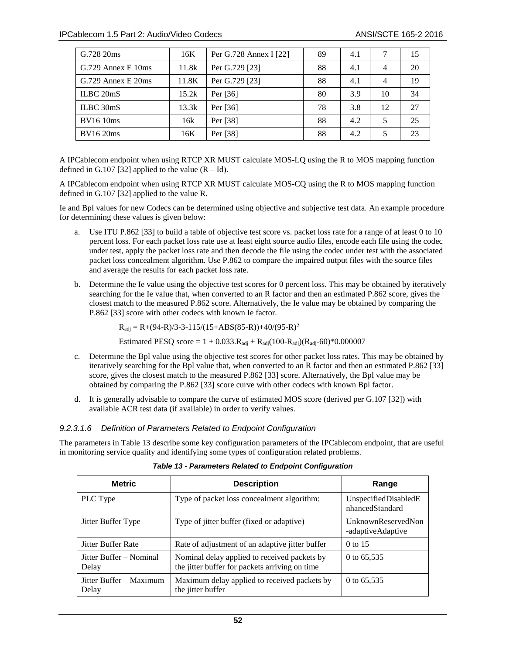| G.728 20ms           | 16K   | Per G.728 Annex I [22] | 89 | 4.1 |    | 15 |
|----------------------|-------|------------------------|----|-----|----|----|
| $G.729$ Annex E 10ms | 11.8k | Per G.729 [23]         | 88 | 4.1 | 4  | 20 |
| $G.729$ Annex E 20ms | 11.8K | Per G.729 [23]         | 88 | 4.1 | 4  | 19 |
| ILBC 20mS            | 15.2k | Per [36]               | 80 | 3.9 | 10 | 34 |
| ILBC 30mS            | 13.3k | Per [36]               | 78 | 3.8 | 12 | 27 |
| <b>BV16 10ms</b>     | 16k   | Per [38]               | 88 | 4.2 | 5  | 25 |
| <b>BV1620ms</b>      | 16K   | Per [38]               | 88 | 4.2 | 5  | 23 |

A IPCablecom endpoint when using RTCP XR MUST calculate MOS-LQ using the R to MOS mapping function defined in G.107 [\[32\]](#page-9-18) applied to the value  $(R - Id)$ .

A IPCablecom endpoint when using RTCP XR MUST calculate MOS-CQ using the R to MOS mapping function defined in G.107 [\[32\]](#page-9-18) applied to the value R.

Ie and Bpl values for new Codecs can be determined using objective and subjective test data. An example procedure for determining these values is given below:

- a. Use ITU P.862 [\[33\]](#page-9-19) to build a table of objective test score vs. packet loss rate for a range of at least 0 to 10 percent loss. For each packet loss rate use at least eight source audio files, encode each file using the codec under test, apply the packet loss rate and then decode the file using the codec under test with the associated packet loss concealment algorithm. Use P.862 to compare the impaired output files with the source files and average the results for each packet loss rate.
- b. Determine the Ie value using the objective test scores for 0 percent loss. This may be obtained by iteratively searching for the Ie value that, when converted to an R factor and then an estimated P.862 score, gives the closest match to the measured P.862 score. Alternatively, the Ie value may be obtained by comparing the P.86[2 \[33\]](#page-9-19) score with other codecs with known Ie factor.

 $R_{\text{adi}} = R + (94 - R)/3 - 3 - 115/(15 + ABS(85 - R)) + 40/(95 - R)^2$ 

Estimated PESQ score =  $1 + 0.033 \text{.} R_{\text{adj}} + R_{\text{adj}} (100 - R_{\text{adj}})(R_{\text{adj}} - 60) \text{*} 0.000007$ 

- c. Determine the Bpl value using the objective test scores for other packet loss rates. This may be obtained by iteratively searching for the Bpl value that, when converted to an R factor and then an estimated P.862 [\[33\]](#page-9-19) score, gives the closest match to the measured P.86[2 \[33\]](#page-9-19) score. Alternatively, the Bpl value may be obtained by comparing the P.862 [\[33\]](#page-9-19) score curve with other codecs with known Bpl factor.
- d. It is generally advisable to compare the curve of estimated MOS score (derived per G.107 [\[32\]\)](#page-9-18) with available ACR test data (if available) in order to verify values.

#### <span id="page-51-1"></span>*9.2.3.1.6 Definition of Parameters Related to Endpoint Configuration*

The parameters i[n Table](#page-51-0) 13 describe some key configuration parameters of the IPCablecom endpoint, that are useful in monitoring service quality and identifying some types of configuration related problems.

<span id="page-51-0"></span>

| <b>Metric</b>                    | <b>Description</b>                                                                             | Range                                           |  |  |
|----------------------------------|------------------------------------------------------------------------------------------------|-------------------------------------------------|--|--|
| PLC Type                         | Type of packet loss concealment algorithm:                                                     | UnspecifiedDisabledE<br>nhancedStandard         |  |  |
| Jitter Buffer Type               | Type of jitter buffer (fixed or adaptive)                                                      | <b>UnknownReservedNon</b><br>-adaptive Adaptive |  |  |
| <b>Jitter Buffer Rate</b>        | Rate of adjustment of an adaptive jitter buffer                                                | $0$ to 15                                       |  |  |
| Jitter Buffer – Nominal<br>Delay | Nominal delay applied to received packets by<br>the jitter buffer for packets arriving on time | 0 to $65,535$                                   |  |  |
| Jitter Buffer – Maximum<br>Delay | Maximum delay applied to received packets by<br>the jitter buffer                              | 0 to $65,535$                                   |  |  |

*Table 13 - Parameters Related to Endpoint Configuration*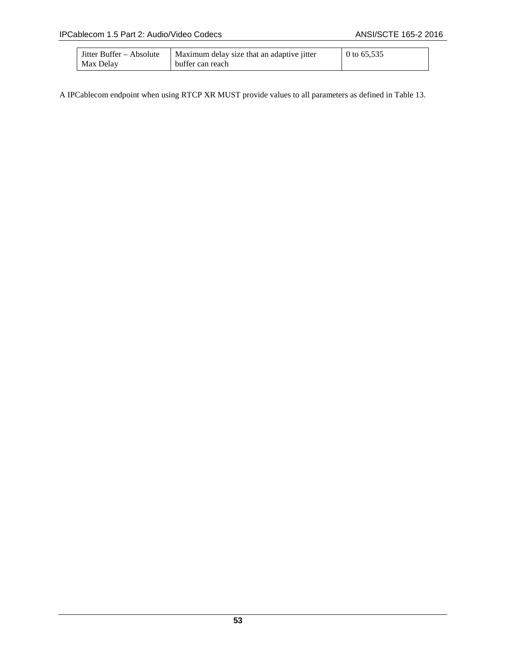| Jitter Buffer – Absolute | Maximum delay size that an adaptive jitter | 0 to $65,535$ |
|--------------------------|--------------------------------------------|---------------|
| Max Delay                | buffer can reach                           |               |

A IPCablecom endpoint when using RTCP XR MUST provide values to all parameters as defined i[n Table](#page-51-0) 13.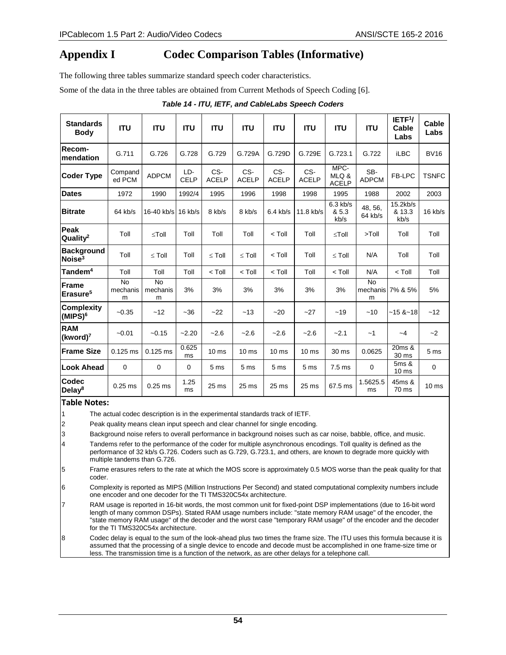# <span id="page-53-0"></span>**Appendix I Codec Comparison Tables (Informative)**

The following three tables summarize standard speech coder characteristics.

<span id="page-53-1"></span>Some of the data in the three tables are obtained from Current Methods of Speech Codin[g \[6\].](#page-8-26)

| <b>Standards</b><br><b>Body</b>         | <b>ITU</b>                 | <b>ITU</b>                 | <b>ITU</b>         | <b>ITU</b>          | <b>ITU</b>          | <b>ITU</b>          | <b>ITU</b>          | <b>ITU</b>                    | <b>ITU</b>                         | IETF <sup>1</sup> /<br>Cable<br>Labs | Cable<br>Labs    |
|-----------------------------------------|----------------------------|----------------------------|--------------------|---------------------|---------------------|---------------------|---------------------|-------------------------------|------------------------------------|--------------------------------------|------------------|
| Recom-<br>mendation                     | G.711                      | G.726                      | G.728              | G.729               | G.729A              | G.729D              | G.729E              | G.723.1                       | G.722                              | <b>iLBC</b>                          | <b>BV16</b>      |
| <b>Coder Type</b>                       | Compand<br>ed PCM          | <b>ADPCM</b>               | LD-<br><b>CELP</b> | CS-<br><b>ACELP</b> | CS-<br><b>ACELP</b> | CS-<br><b>ACELP</b> | CS-<br><b>ACELP</b> | MPC-<br>MLQ &<br><b>ACELP</b> | SB-<br><b>ADPCM</b>                | FB-LPC                               | <b>TSNFC</b>     |
| <b>Dates</b>                            | 1972                       | 1990                       | 1992/4             | 1995                | 1996                | 1998                | 1998                | 1995                          | 1988                               | 2002                                 | 2003             |
| <b>Bitrate</b>                          | 64 kb/s                    | 16-40 kb/s                 | $16$ kb/s          | 8 kb/s              | 8 kb/s              | $6.4$ kb/s          | 11.8 kb/s           | $6.3$ kb/s<br>& 5.3<br>kb/s   | 48, 56,<br>64 kb/s                 | $15.2$ kb/s<br>& 13.3<br>kb/s        | $16$ kb/s        |
| Peak<br>Quality <sup>2</sup>            | Toll                       | $\leq$ Toll                | Toll               | Toll                | Toll                | $<$ Toll            | Toll                | $\leq$ Toll                   | $>$ Toll                           | Toll                                 | Toll             |
| <b>Background</b><br>Noise <sup>3</sup> | Toll                       | $\leq$ Toll                | Toll               | $\leq$ Toll         | $\leq$ Toll         | $<$ Toll            | Toll                | $\leq$ Toll                   | N/A                                | Toll                                 | Toll             |
| Tandem <sup>4</sup>                     | Toll                       | Toll                       | Toll               | $<$ Toll            | $<$ Toll            | $<$ Toll            | Toll                | $<$ Toll                      | N/A                                | $<$ Toll                             | Toll             |
| <b>Frame</b><br>Erasure <sup>5</sup>    | <b>No</b><br>mechanis<br>m | <b>No</b><br>mechanis<br>m | 3%                 | 3%                  | 3%                  | 3%                  | 3%                  | 3%                            | <b>No</b><br>mechanis 7% & 5%<br>m |                                      | 5%               |
| <b>Complexity</b><br>$(MIPS)^6$         | $-0.35$                    | ~12                        | $-36$              | $-22$               | ~13                 | $-20$               | $-27$               | $-19$                         | $-10$                              | $-15 & -18$                          | $-12$            |
| <b>RAM</b><br>(kword) <sup>7</sup>      | $-0.01$                    | $-0.15$                    | $-2.20$            | $-2.6$              | $-2.6$              | $-2.6$              | $-2.6$              | $-2.1$                        | $-1$                               | $-4$                                 | $-2$             |
| <b>Frame Size</b>                       | $0.125$ ms                 | $0.125$ ms                 | 0.625<br>ms        | 10 <sub>ms</sub>    | 10 <sub>ms</sub>    | 10 <sub>ms</sub>    | 10 <sub>ms</sub>    | 30 ms                         | 0.0625                             | 20ms &<br>30 ms                      | 5 <sub>ms</sub>  |
| <b>Look Ahead</b>                       | $\mathbf 0$                | $\Omega$                   | $\mathbf 0$        | 5 <sub>ms</sub>     | 5 <sub>ms</sub>     | 5 ms                | 5 ms                | $7.5$ ms                      | $\mathbf 0$                        | 5ms &<br>10 <sub>ms</sub>            | $\mathbf 0$      |
| Codec<br>Delay <sup>8</sup>             | $0.25$ ms                  | $0.25$ ms                  | 1.25<br>ms         | 25 ms               | 25 ms               | 25 <sub>ms</sub>    | 25 ms               | 67.5 ms                       | 1.5625.5<br>ms                     | 45ms &<br>70 ms                      | 10 <sub>ms</sub> |

#### *Table 14 - ITU, IETF, and CableLabs Speech Coders*

#### **Table Notes:**

1 The actual codec description is in the experimental standards track of IETF.

2 Peak quality means clean input speech and clear channel for single encoding.

- 3 Background noise refers to overall performance in background noises such as car noise, babble, office, and music.
- 4 Tandems refer to the performance of the coder for multiple asynchronous encodings. Toll quality is defined as the performance of 32 kb/s G.726. Coders such as G.729, G.723.1, and others, are known to degrade more quickly with multiple tandems than G.726.

5 Frame erasures refers to the rate at which the MOS score is approximately 0.5 MOS worse than the peak quality for that coder.

- 6 Complexity is reported as MIPS (Million Instructions Per Second) and stated computational complexity numbers include one encoder and one decoder for the TI TMS320C54x architecture.
- RAM usage is reported in 16-bit words, the most common unit for fixed-point DSP implementations (due to 16-bit word length of many common DSPs). Stated RAM usage numbers include: "state memory RAM usage" of the encoder, the "state memory RAM usage" of the decoder and the worst case "temporary RAM usage" of the encoder and the decoder for the TI TMS320C54x architecture.
- 8 Codec delay is equal to the sum of the look-ahead plus two times the frame size. The ITU uses this formula because it is assumed that the processing of a single device to encode and decode must be accomplished in one frame-size time or less. The transmission time is a function of the network, as are other delays for a telephone call.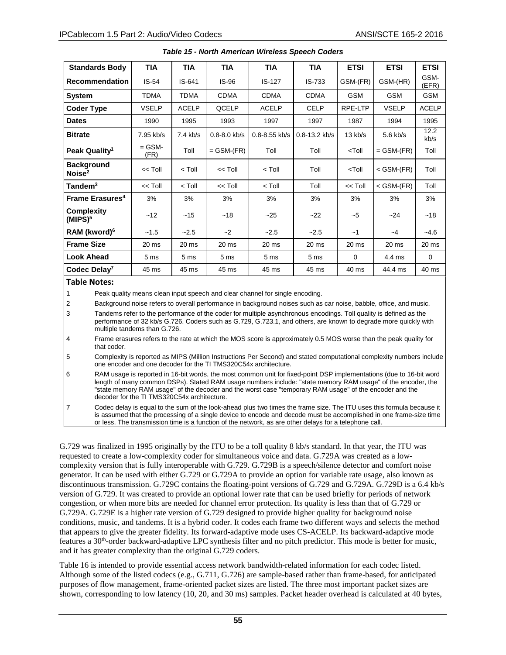<span id="page-54-0"></span>

| <b>Standards Body</b>                    | <b>TIA</b>                                  | <b>TIA</b>      | <b>TIA</b>                                                      | <b>TIA</b>                                                                                                                                                                                                                                                                                                                                    | <b>TIA</b>      | <b>ETSI</b>                                                                        | <b>ETSI</b>     | <b>ETSI</b>   |
|------------------------------------------|---------------------------------------------|-----------------|-----------------------------------------------------------------|-----------------------------------------------------------------------------------------------------------------------------------------------------------------------------------------------------------------------------------------------------------------------------------------------------------------------------------------------|-----------------|------------------------------------------------------------------------------------|-----------------|---------------|
| <b>Recommendation</b>                    | $IS-54$                                     | IS-641          | <b>IS-96</b>                                                    | <b>IS-127</b>                                                                                                                                                                                                                                                                                                                                 | IS-733          | GSM-(FR)                                                                           | GSM-(HR)        | GSM-<br>(EFR) |
| <b>System</b>                            | <b>TDMA</b>                                 | <b>TDMA</b>     | <b>CDMA</b>                                                     | <b>CDMA</b>                                                                                                                                                                                                                                                                                                                                   | <b>CDMA</b>     | <b>GSM</b>                                                                         | GSM             | <b>GSM</b>    |
| <b>Coder Type</b>                        | <b>VSELP</b>                                | <b>ACELP</b>    | QCELP                                                           | <b>ACELP</b>                                                                                                                                                                                                                                                                                                                                  | <b>CELP</b>     | RPE-LTP                                                                            | <b>VSELP</b>    | <b>ACELP</b>  |
| <b>Dates</b>                             | 1990                                        | 1995            | 1993                                                            | 1997                                                                                                                                                                                                                                                                                                                                          | 1997            | 1987                                                                               | 1994            | 1995          |
| <b>Bitrate</b>                           | $7.95$ kb/s                                 | 7.4 kb/s        | $0.8 - 8.0$ kb/s                                                | 0.8-8.55 kb/s                                                                                                                                                                                                                                                                                                                                 | 0.8-13.2 kb/s   | $13$ kb/s                                                                          | $5.6$ kb/s      | 12.2<br>kb/s  |
| Peak Quality <sup>1</sup>                | $=$ GSM-<br>(FR)                            | Toll            | $=$ GSM- $(FR)$                                                 | Toll                                                                                                                                                                                                                                                                                                                                          | Toll            | <toll< th=""><th><math>=</math> GSM-<math>(FR)</math></th><th>Toll</th></toll<>    | $=$ GSM- $(FR)$ | Toll          |
| <b>Background</b><br>Noise <sup>2</sup>  | $<<$ Toll                                   | $<$ Toll        | $<<$ Toll                                                       | $<$ Toll                                                                                                                                                                                                                                                                                                                                      | Toll            | <toll< th=""><th><math>&lt;</math> GSM-<math>(FR)</math></th><th>Toll</th></toll<> | $<$ GSM- $(FR)$ | Toll          |
| Tandem <sup>3</sup>                      | << Toll                                     | $<$ Toll        | $<<$ Toll                                                       | < Toll                                                                                                                                                                                                                                                                                                                                        | Toll            | $<<$ Toll                                                                          | $<$ GSM- $(FR)$ | Toll          |
| Frame Erasures <sup>4</sup>              | 3%                                          | 3%              | 3%                                                              | 3%                                                                                                                                                                                                                                                                                                                                            | 3%              | 3%                                                                                 | 3%              | 3%            |
| <b>Complexity</b><br>(MIPS) <sup>5</sup> | $-12$                                       | ~15             | $-18$                                                           | $-25$                                                                                                                                                                                                                                                                                                                                         | $-22$           | ~5                                                                                 | $-24$           | ~18           |
| RAM (kword) <sup>6</sup>                 | $-1.5$                                      | $-2.5$          | $-2$                                                            | $-2.5$                                                                                                                                                                                                                                                                                                                                        | $-2.5$          | $-1$                                                                               | $-4$            | $-4.6$        |
| <b>Frame Size</b>                        | 20 ms                                       | 20 ms           | 20 ms                                                           | 20 ms                                                                                                                                                                                                                                                                                                                                         | 20 ms           | 20 ms                                                                              | 20 ms           | 20 ms         |
| <b>Look Ahead</b>                        | 5 <sub>ms</sub>                             | 5 <sub>ms</sub> | 5 <sub>ms</sub>                                                 | 5 <sub>ms</sub>                                                                                                                                                                                                                                                                                                                               | 5 <sub>ms</sub> | 0                                                                                  | 4.4 ms          | 0             |
| Codec Delay <sup>7</sup>                 | 45 ms                                       | 45 ms           | 45 ms                                                           | 45 ms                                                                                                                                                                                                                                                                                                                                         | 45 ms           | 40 ms                                                                              | 44.4 ms         | 40 ms         |
| <b>Table Notes:</b>                      |                                             |                 |                                                                 |                                                                                                                                                                                                                                                                                                                                               |                 |                                                                                    |                 |               |
| 1                                        |                                             |                 |                                                                 | Peak quality means clean input speech and clear channel for single encoding.                                                                                                                                                                                                                                                                  |                 |                                                                                    |                 |               |
| 2                                        |                                             |                 |                                                                 | Background noise refers to overall performance in background noises such as car noise, babble, office, and music.                                                                                                                                                                                                                             |                 |                                                                                    |                 |               |
| 3                                        | multiple tandems than G.726.                |                 |                                                                 | Tandems refer to the performance of the coder for multiple asynchronous encodings. Toll quality is defined as the<br>performance of 32 kb/s G.726. Coders such as G.729, G.723.1, and others, are known to degrade more quickly with                                                                                                          |                 |                                                                                    |                 |               |
| 4<br>that coder.                         |                                             |                 |                                                                 | Frame erasures refers to the rate at which the MOS score is approximately 0.5 MOS worse than the peak quality for                                                                                                                                                                                                                             |                 |                                                                                    |                 |               |
| 5                                        |                                             |                 | one encoder and one decoder for the TI TMS320C54x architecture. | Complexity is reported as MIPS (Million Instructions Per Second) and stated computational complexity numbers include                                                                                                                                                                                                                          |                 |                                                                                    |                 |               |
| 6                                        | decoder for the TI TMS320C54x architecture. |                 |                                                                 | RAM usage is reported in 16-bit words, the most common unit for fixed-point DSP implementations (due to 16-bit word<br>length of many common DSPs). Stated RAM usage numbers include: "state memory RAM usage" of the encoder, the<br>"state memory RAM usage" of the decoder and the worst case "temporary RAM usage" of the encoder and the |                 |                                                                                    |                 |               |
| $\overline{7}$                           |                                             |                 |                                                                 | Codec delay is equal to the sum of the look-ahead plus two times the frame size. The ITU uses this formula because it                                                                                                                                                                                                                         |                 |                                                                                    |                 |               |

G.729 was finalized in 1995 originally by the ITU to be a toll quality 8 kb/s standard. In that year, the ITU was requested to create a low-complexity coder for simultaneous voice and data. G.729A was created as a lowcomplexity version that is fully interoperable with G.729. G.729B is a speech/silence detector and comfort noise generator. It can be used with either G.729 or G.729A to provide an option for variable rate usage, also known as discontinuous transmission. G.729C contains the floating-point versions of G.729 and G.729A. G.729D is a 6.4 kb/s version of G.729. It was created to provide an optional lower rate that can be used briefly for periods of network congestion, or when more bits are needed for channel error protection. Its quality is less than that of G.729 or G.729A. G.729E is a higher rate version of G.729 designed to provide higher quality for background noise conditions, music, and tandems. It is a hybrid coder. It codes each frame two different ways and selects the method that appears to give the greater fidelity. Its forward-adaptive mode uses CS-ACELP. Its backward-adaptive mode features a 30th-order backward-adaptive LPC synthesis filter and no pitch predictor. This mode is better for music, and it has greater complexity than the original G.729 coders.

or less. The transmission time is a function of the network, as are other delays for a telephone call.

is assumed that the processing of a single device to encode and decode must be accomplished in one frame-size time

[Table](#page-55-0) 16 is intended to provide essential access network bandwidth-related information for each codec listed. Although some of the listed codecs (e.g., G.711, G.726) are sample-based rather than frame-based, for anticipated purposes of flow management, frame-oriented packet sizes are listed. The three most important packet sizes are shown, corresponding to low latency (10, 20, and 30 ms) samples. Packet header overhead is calculated at 40 bytes,